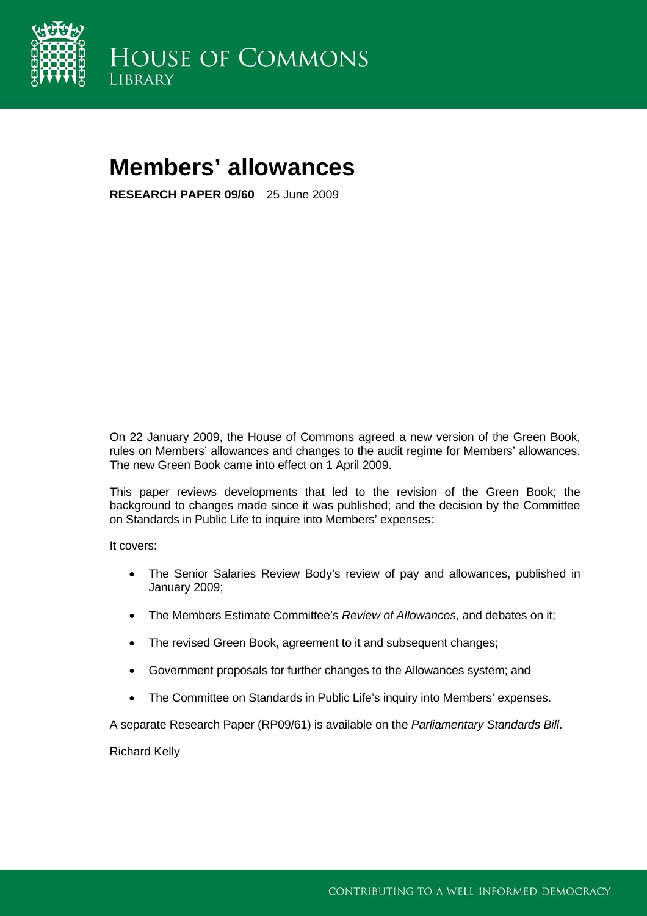

# **Members' allowances**

**RESEARCH PAPER 09/60** 25 June 2009

On 22 January 2009, the House of Commons agreed a new version of the Green Book, rules on Members' allowances and changes to the audit regime for Members' allowances. The new Green Book came into effect on 1 April 2009.

This paper reviews developments that led to the revision of the Green Book; the background to changes made since it was published; and the decision by the Committee on Standards in Public Life to inquire into Members' expenses:

It covers:

- The Senior Salaries Review Body's review of pay and allowances, published in January 2009;
- The Members Estimate Committee's *Review of Allowances*, and debates on it;
- The revised Green Book, agreement to it and subsequent changes;
- Government proposals for further changes to the Allowances system; and
- The Committee on Standards in Public Life's inquiry into Members' expenses.

A separate Research Paper (RP09/61) is available on the *Parliamentary Standards Bill*.

Richard Kelly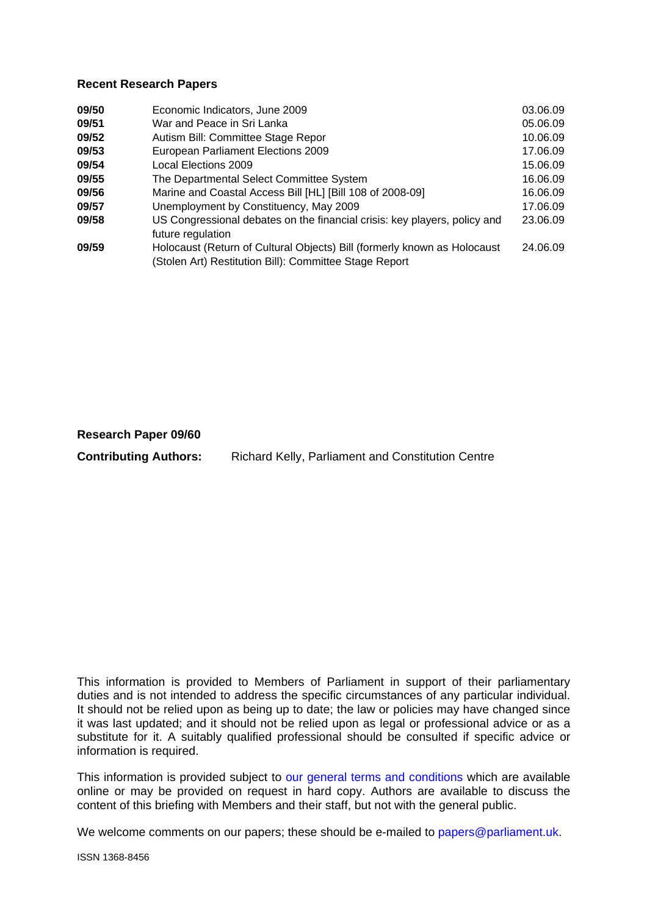#### **Recent Research Papers**

| 09/50 | Economic Indicators, June 2009                                                                                                     | 03.06.09 |
|-------|------------------------------------------------------------------------------------------------------------------------------------|----------|
| 09/51 | War and Peace in Sri Lanka                                                                                                         | 05.06.09 |
| 09/52 | Autism Bill: Committee Stage Repor                                                                                                 | 10.06.09 |
| 09/53 | European Parliament Elections 2009                                                                                                 | 17.06.09 |
| 09/54 | Local Elections 2009                                                                                                               | 15.06.09 |
| 09/55 | The Departmental Select Committee System                                                                                           | 16.06.09 |
| 09/56 | Marine and Coastal Access Bill [HL] [Bill 108 of 2008-09]                                                                          | 16.06.09 |
| 09/57 | Unemployment by Constituency, May 2009                                                                                             | 17.06.09 |
| 09/58 | US Congressional debates on the financial crisis: key players, policy and<br>future regulation                                     | 23.06.09 |
| 09/59 | Holocaust (Return of Cultural Objects) Bill (formerly known as Holocaust<br>(Stolen Art) Restitution Bill): Committee Stage Report | 24.06.09 |

**Research Paper 09/60** 

**Contributing Authors:** Richard Kelly, Parliament and Constitution Centre

This information is provided to Members of Parliament in support of their parliamentary duties and is not intended to address the specific circumstances of any particular individual. It should not be relied upon as being up to date; the law or policies may have changed since it was last updated; and it should not be relied upon as legal or professional advice or as a substitute for it. A suitably qualified professional should be consulted if specific advice or information is required.

This information is provided subject to [our general terms and conditions](http://www.parliament.uk/site_information/parliamentary_copyright.cfm) which are available online or may be provided on request in hard copy. Authors are available to discuss the content of this briefing with Members and their staff, but not with the general public.

We welcome comments on our papers; these should be e-mailed to [papers@parliament.uk.](mailto:papers@parliament.uk)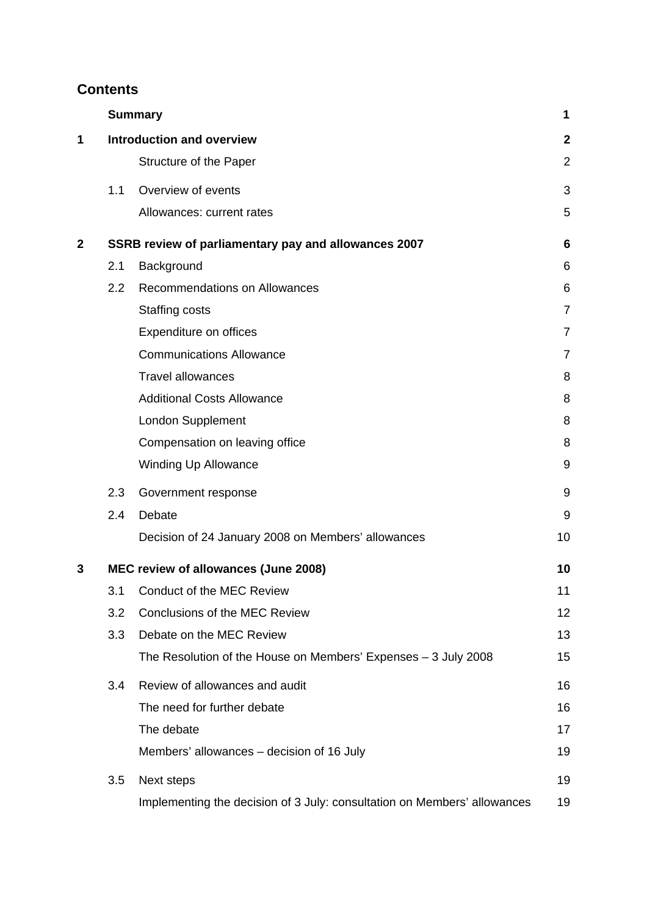# **Contents**

|             |     | <b>Summary</b>                                                           | 1              |
|-------------|-----|--------------------------------------------------------------------------|----------------|
| 1           |     | <b>Introduction and overview</b>                                         | $\mathbf{2}$   |
|             |     | Structure of the Paper                                                   | $\overline{2}$ |
|             | 1.1 | Overview of events                                                       | 3              |
|             |     | Allowances: current rates                                                | 5              |
| $\mathbf 2$ |     | SSRB review of parliamentary pay and allowances 2007                     | 6              |
|             | 2.1 | Background                                                               | 6              |
|             | 2.2 | Recommendations on Allowances                                            | 6              |
|             |     | Staffing costs                                                           | $\overline{7}$ |
|             |     | Expenditure on offices                                                   | 7              |
|             |     | <b>Communications Allowance</b>                                          | $\overline{7}$ |
|             |     | <b>Travel allowances</b>                                                 | 8              |
|             |     | <b>Additional Costs Allowance</b>                                        | 8              |
|             |     | <b>London Supplement</b>                                                 | 8              |
|             |     | Compensation on leaving office                                           | 8              |
|             |     | <b>Winding Up Allowance</b>                                              | 9              |
|             | 2.3 | Government response                                                      | 9              |
|             | 2.4 | Debate                                                                   | 9              |
|             |     | Decision of 24 January 2008 on Members' allowances                       | 10             |
| 3           |     | MEC review of allowances (June 2008)                                     | 10             |
|             | 3.1 | Conduct of the MEC Review                                                | 11             |
|             | 3.2 | Conclusions of the MEC Review                                            | 12             |
|             | 3.3 | Debate on the MEC Review                                                 | 13             |
|             |     | The Resolution of the House on Members' Expenses - 3 July 2008           | 15             |
|             | 3.4 | Review of allowances and audit                                           | 16             |
|             |     | The need for further debate                                              | 16             |
|             |     | The debate                                                               | 17             |
|             |     | Members' allowances - decision of 16 July                                | 19             |
|             | 3.5 | Next steps                                                               | 19             |
|             |     | Implementing the decision of 3 July: consultation on Members' allowances | 19             |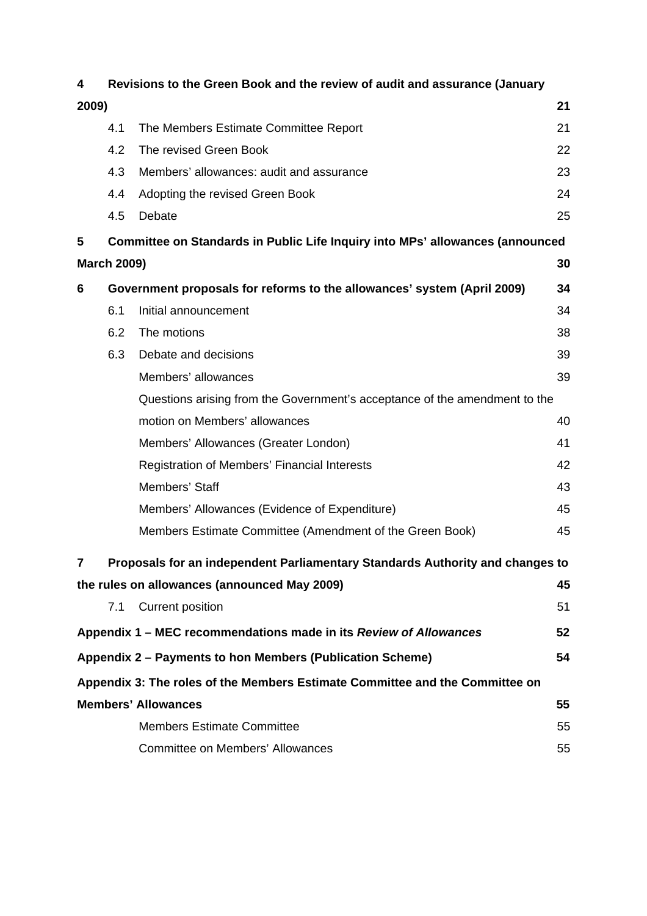| 4                                                                            | Revisions to the Green Book and the review of audit and assurance (January |                                                                               |    |  |  |  |
|------------------------------------------------------------------------------|----------------------------------------------------------------------------|-------------------------------------------------------------------------------|----|--|--|--|
| 2009)<br>21                                                                  |                                                                            |                                                                               |    |  |  |  |
|                                                                              | 4.1                                                                        | The Members Estimate Committee Report                                         | 21 |  |  |  |
|                                                                              | 4.2                                                                        | The revised Green Book                                                        | 22 |  |  |  |
|                                                                              | 4.3                                                                        | Members' allowances: audit and assurance                                      | 23 |  |  |  |
|                                                                              | 4.4                                                                        | Adopting the revised Green Book                                               | 24 |  |  |  |
|                                                                              | 4.5                                                                        | Debate                                                                        | 25 |  |  |  |
| 5                                                                            |                                                                            | Committee on Standards in Public Life Inquiry into MPs' allowances (announced |    |  |  |  |
|                                                                              | <b>March 2009)</b>                                                         |                                                                               | 30 |  |  |  |
| 6                                                                            |                                                                            | Government proposals for reforms to the allowances' system (April 2009)       | 34 |  |  |  |
|                                                                              | 6.1                                                                        | Initial announcement                                                          | 34 |  |  |  |
|                                                                              | 6.2                                                                        | The motions                                                                   | 38 |  |  |  |
|                                                                              | 6.3                                                                        | Debate and decisions                                                          | 39 |  |  |  |
|                                                                              |                                                                            | Members' allowances                                                           | 39 |  |  |  |
|                                                                              | Questions arising from the Government's acceptance of the amendment to the |                                                                               |    |  |  |  |
|                                                                              |                                                                            | motion on Members' allowances                                                 | 40 |  |  |  |
|                                                                              |                                                                            | Members' Allowances (Greater London)                                          | 41 |  |  |  |
|                                                                              |                                                                            | Registration of Members' Financial Interests                                  | 42 |  |  |  |
|                                                                              |                                                                            | Members' Staff                                                                | 43 |  |  |  |
|                                                                              |                                                                            | Members' Allowances (Evidence of Expenditure)                                 | 45 |  |  |  |
|                                                                              |                                                                            | Members Estimate Committee (Amendment of the Green Book)                      | 45 |  |  |  |
| 7                                                                            |                                                                            | Proposals for an independent Parliamentary Standards Authority and changes to |    |  |  |  |
|                                                                              |                                                                            | the rules on allowances (announced May 2009)                                  | 45 |  |  |  |
|                                                                              | 7.1                                                                        | <b>Current position</b>                                                       | 51 |  |  |  |
|                                                                              |                                                                            | Appendix 1 - MEC recommendations made in its Review of Allowances             | 52 |  |  |  |
|                                                                              |                                                                            | Appendix 2 – Payments to hon Members (Publication Scheme)                     | 54 |  |  |  |
| Appendix 3: The roles of the Members Estimate Committee and the Committee on |                                                                            |                                                                               |    |  |  |  |
|                                                                              |                                                                            | <b>Members' Allowances</b>                                                    | 55 |  |  |  |
|                                                                              |                                                                            | <b>Members Estimate Committee</b>                                             | 55 |  |  |  |
|                                                                              |                                                                            | <b>Committee on Members' Allowances</b>                                       | 55 |  |  |  |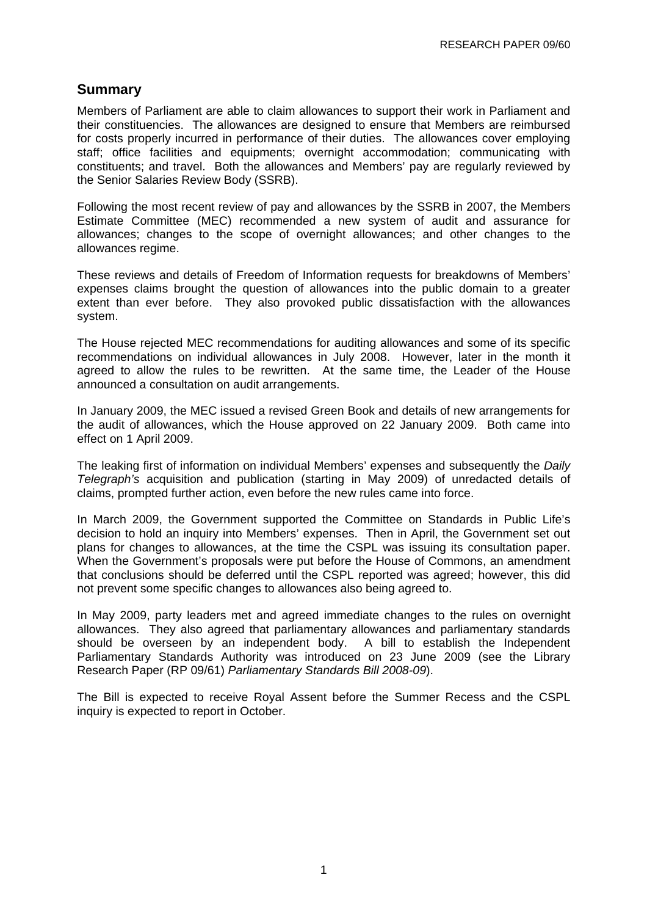# <span id="page-4-0"></span>**Summary**

Members of Parliament are able to claim allowances to support their work in Parliament and their constituencies. The allowances are designed to ensure that Members are reimbursed for costs properly incurred in performance of their duties. The allowances cover employing staff; office facilities and equipments; overnight accommodation; communicating with constituents; and travel. Both the allowances and Members' pay are regularly reviewed by the Senior Salaries Review Body (SSRB).

Following the most recent review of pay and allowances by the SSRB in 2007, the Members Estimate Committee (MEC) recommended a new system of audit and assurance for allowances; changes to the scope of overnight allowances; and other changes to the allowances regime.

These reviews and details of Freedom of Information requests for breakdowns of Members' expenses claims brought the question of allowances into the public domain to a greater extent than ever before. They also provoked public dissatisfaction with the allowances system.

The House rejected MEC recommendations for auditing allowances and some of its specific recommendations on individual allowances in July 2008. However, later in the month it agreed to allow the rules to be rewritten. At the same time, the Leader of the House announced a consultation on audit arrangements.

In January 2009, the MEC issued a revised Green Book and details of new arrangements for the audit of allowances, which the House approved on 22 January 2009. Both came into effect on 1 April 2009.

The leaking first of information on individual Members' expenses and subsequently the *Daily Telegraph's* acquisition and publication (starting in May 2009) of unredacted details of claims, prompted further action, even before the new rules came into force.

In March 2009, the Government supported the Committee on Standards in Public Life's decision to hold an inquiry into Members' expenses. Then in April, the Government set out plans for changes to allowances, at the time the CSPL was issuing its consultation paper. When the Government's proposals were put before the House of Commons, an amendment that conclusions should be deferred until the CSPL reported was agreed; however, this did not prevent some specific changes to allowances also being agreed to.

In May 2009, party leaders met and agreed immediate changes to the rules on overnight allowances. They also agreed that parliamentary allowances and parliamentary standards should be overseen by an independent body. A bill to establish the Independent Parliamentary Standards Authority was introduced on 23 June 2009 (see the Library Research Paper (RP 09/61) *Parliamentary Standards Bill 2008-09*).

The Bill is expected to receive Royal Assent before the Summer Recess and the CSPL inquiry is expected to report in October.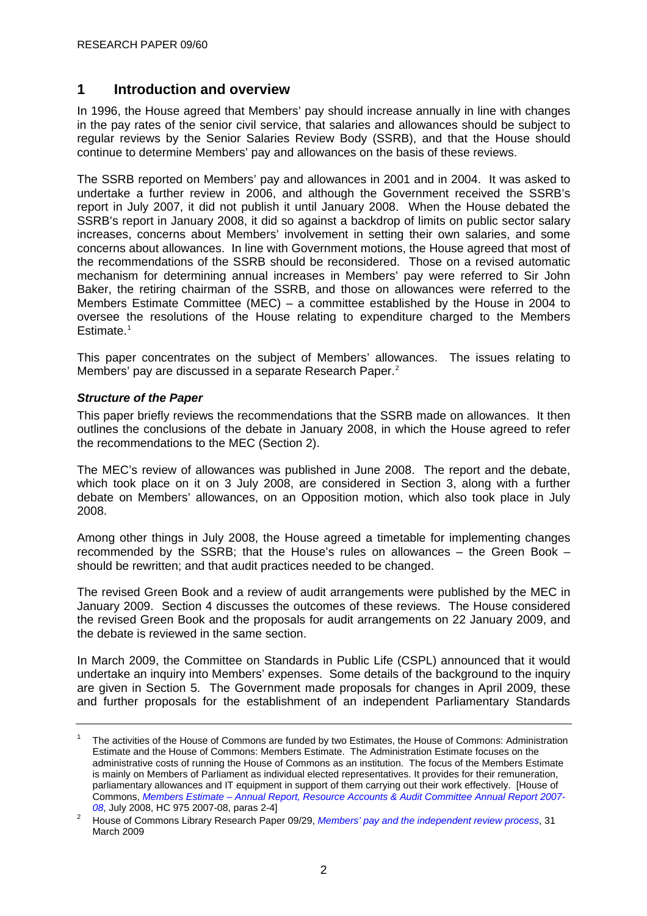# <span id="page-5-0"></span>**1 Introduction and overview**

In 1996, the House agreed that Members' pay should increase annually in line with changes in the pay rates of the senior civil service, that salaries and allowances should be subject to regular reviews by the Senior Salaries Review Body (SSRB), and that the House should continue to determine Members' pay and allowances on the basis of these reviews.

The SSRB reported on Members' pay and allowances in 2001 and in 2004. It was asked to undertake a further review in 2006, and although the Government received the SSRB's report in July 2007, it did not publish it until January 2008. When the House debated the SSRB's report in January 2008, it did so against a backdrop of limits on public sector salary increases, concerns about Members' involvement in setting their own salaries, and some concerns about allowances. In line with Government motions, the House agreed that most of the recommendations of the SSRB should be reconsidered. Those on a revised automatic mechanism for determining annual increases in Members' pay were referred to Sir John Baker, the retiring chairman of the SSRB, and those on allowances were referred to the Members Estimate Committee (MEC) – a committee established by the House in 2004 to oversee the resolutions of the House relating to expenditure charged to the Members Estimate.<sup>[1](#page-5-0)</sup>

This paper concentrates on the subject of Members' allowances. The issues relating to Members' pay are discussed in a separate Research Paper. $2$ 

## *Structure of the Paper*

This paper briefly reviews the recommendations that the SSRB made on allowances. It then outlines the conclusions of the debate in January 2008, in which the House agreed to refer the recommendations to the MEC (Section 2).

The MEC's review of allowances was published in June 2008. The report and the debate, which took place on it on 3 July 2008, are considered in Section 3, along with a further debate on Members' allowances, on an Opposition motion, which also took place in July 2008.

Among other things in July 2008, the House agreed a timetable for implementing changes recommended by the SSRB; that the House's rules on allowances – the Green Book – should be rewritten; and that audit practices needed to be changed.

The revised Green Book and a review of audit arrangements were published by the MEC in January 2009. Section 4 discusses the outcomes of these reviews. The House considered the revised Green Book and the proposals for audit arrangements on 22 January 2009, and the debate is reviewed in the same section.

In March 2009, the Committee on Standards in Public Life (CSPL) announced that it would undertake an inquiry into Members' expenses. Some details of the background to the inquiry are given in Section 5. The Government made proposals for changes in April 2009, these and further proposals for the establishment of an independent Parliamentary Standards

<sup>1</sup> The activities of the House of Commons are funded by two Estimates, the House of Commons: Administration Estimate and the House of Commons: Members Estimate. The Administration Estimate focuses on the administrative costs of running the House of Commons as an institution. The focus of the Members Estimate is mainly on Members of Parliament as individual elected representatives. It provides for their remuneration, parliamentary allowances and IT equipment in support of them carrying out their work effectively. [House of Commons, *[Members Estimate – Annual Report, Resource Accounts & Audit Committee Annual Report 2007-](http://www.publications.parliament.uk/pa/cm/cmresource/975.pdf) 08*, July 2008, HC 975 2007-08, paras 2-4]

House of Commons Library Research Paper 09/29, *[Members' pay and the independent review process](http://www.parliament.uk/commons/lib/research/rp2009/rp09-029.pdf)*, 31 March 2009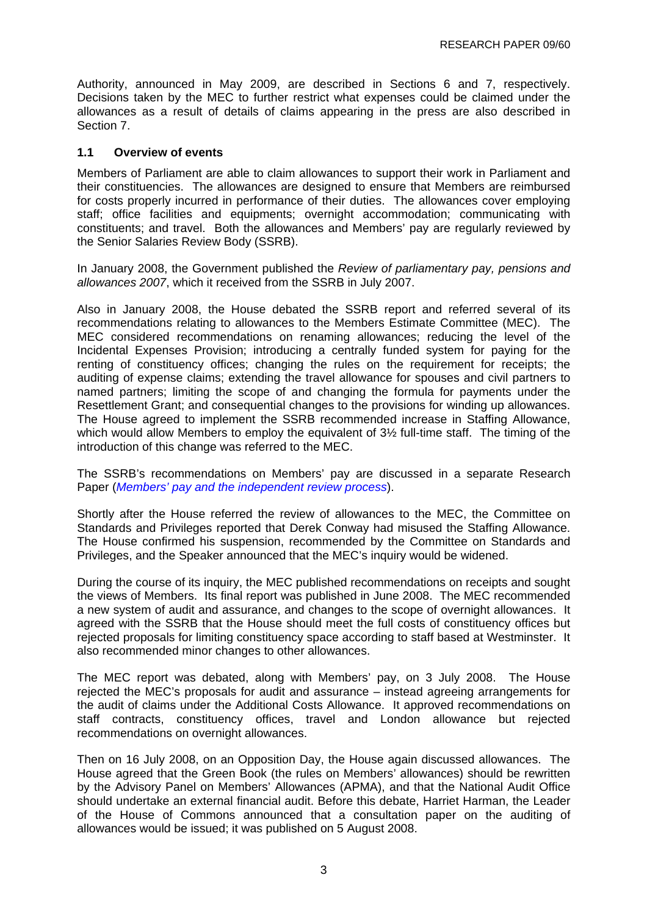<span id="page-6-0"></span>Authority, announced in May 2009, are described in Sections 6 and 7, respectively. Decisions taken by the MEC to further restrict what expenses could be claimed under the allowances as a result of details of claims appearing in the press are also described in Section 7.

## **1.1 Overview of events**

Members of Parliament are able to claim allowances to support their work in Parliament and their constituencies. The allowances are designed to ensure that Members are reimbursed for costs properly incurred in performance of their duties. The allowances cover employing staff; office facilities and equipments; overnight accommodation; communicating with constituents; and travel. Both the allowances and Members' pay are regularly reviewed by the Senior Salaries Review Body (SSRB).

In January 2008, the Government published the *Review of parliamentary pay, pensions and allowances 2007*, which it received from the SSRB in July 2007.

Also in January 2008, the House debated the SSRB report and referred several of its recommendations relating to allowances to the Members Estimate Committee (MEC). The MEC considered recommendations on renaming allowances; reducing the level of the Incidental Expenses Provision; introducing a centrally funded system for paying for the renting of constituency offices; changing the rules on the requirement for receipts; the auditing of expense claims; extending the travel allowance for spouses and civil partners to named partners; limiting the scope of and changing the formula for payments under the Resettlement Grant; and consequential changes to the provisions for winding up allowances. The House agreed to implement the SSRB recommended increase in Staffing Allowance, which would allow Members to employ the equivalent of  $3\frac{1}{2}$  full-time staff. The timing of the introduction of this change was referred to the MEC.

The SSRB's recommendations on Members' pay are discussed in a separate Research Paper (*[Members' pay and the independent review process](http://www.parliament.uk/commons/lib/research/rp2009/rp09-029.pdf)*).

Shortly after the House referred the review of allowances to the MEC, the Committee on Standards and Privileges reported that Derek Conway had misused the Staffing Allowance. The House confirmed his suspension, recommended by the Committee on Standards and Privileges, and the Speaker announced that the MEC's inquiry would be widened.

During the course of its inquiry, the MEC published recommendations on receipts and sought the views of Members. Its final report was published in June 2008. The MEC recommended a new system of audit and assurance, and changes to the scope of overnight allowances. It agreed with the SSRB that the House should meet the full costs of constituency offices but rejected proposals for limiting constituency space according to staff based at Westminster. It also recommended minor changes to other allowances.

The MEC report was debated, along with Members' pay, on 3 July 2008. The House rejected the MEC's proposals for audit and assurance – instead agreeing arrangements for the audit of claims under the Additional Costs Allowance. It approved recommendations on staff contracts, constituency offices, travel and London allowance but rejected recommendations on overnight allowances.

Then on 16 July 2008, on an Opposition Day, the House again discussed allowances. The House agreed that the Green Book (the rules on Members' allowances) should be rewritten by the Advisory Panel on Members' Allowances (APMA), and that the National Audit Office should undertake an external financial audit. Before this debate, Harriet Harman, the Leader of the House of Commons announced that a consultation paper on the auditing of allowances would be issued; it was published on 5 August 2008.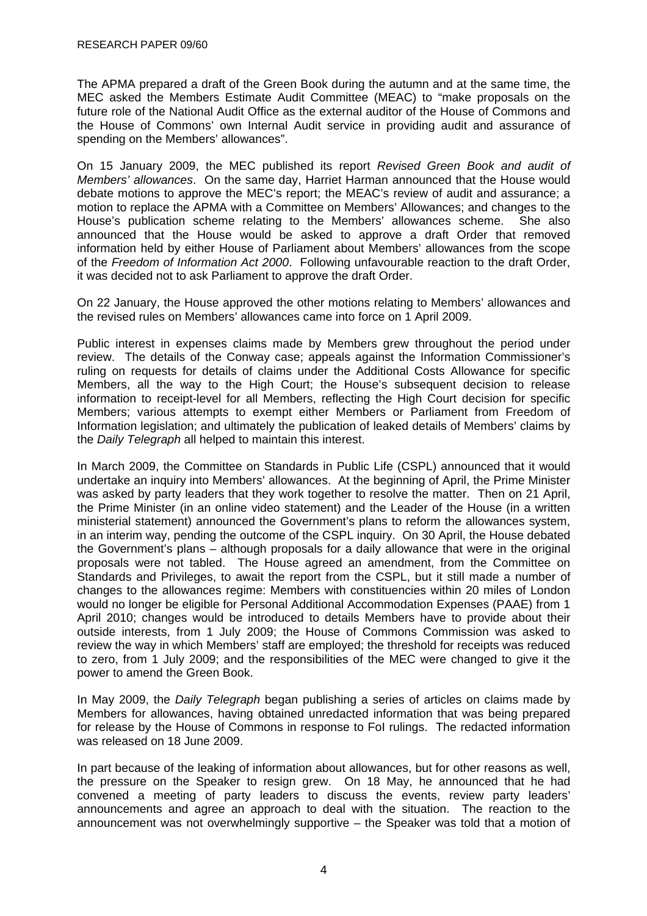The APMA prepared a draft of the Green Book during the autumn and at the same time, the MEC asked the Members Estimate Audit Committee (MEAC) to "make proposals on the future role of the National Audit Office as the external auditor of the House of Commons and the House of Commons' own Internal Audit service in providing audit and assurance of spending on the Members' allowances".

On 15 January 2009, the MEC published its report *Revised Green Book and audit of Members' allowances*. On the same day, Harriet Harman announced that the House would debate motions to approve the MEC's report; the MEAC's review of audit and assurance; a motion to replace the APMA with a Committee on Members' Allowances; and changes to the House's publication scheme relating to the Members' allowances scheme. She also announced that the House would be asked to approve a draft Order that removed information held by either House of Parliament about Members' allowances from the scope of the *Freedom of Information Act 2000*. Following unfavourable reaction to the draft Order, it was decided not to ask Parliament to approve the draft Order.

On 22 January, the House approved the other motions relating to Members' allowances and the revised rules on Members' allowances came into force on 1 April 2009.

Public interest in expenses claims made by Members grew throughout the period under review. The details of the Conway case; appeals against the Information Commissioner's ruling on requests for details of claims under the Additional Costs Allowance for specific Members, all the way to the High Court; the House's subsequent decision to release information to receipt-level for all Members, reflecting the High Court decision for specific Members; various attempts to exempt either Members or Parliament from Freedom of Information legislation; and ultimately the publication of leaked details of Members' claims by the *Daily Telegraph* all helped to maintain this interest.

In March 2009, the Committee on Standards in Public Life (CSPL) announced that it would undertake an inquiry into Members' allowances. At the beginning of April, the Prime Minister was asked by party leaders that they work together to resolve the matter. Then on 21 April, the Prime Minister (in an online video statement) and the Leader of the House (in a written ministerial statement) announced the Government's plans to reform the allowances system, in an interim way, pending the outcome of the CSPL inquiry. On 30 April, the House debated the Government's plans – although proposals for a daily allowance that were in the original proposals were not tabled. The House agreed an amendment, from the Committee on Standards and Privileges, to await the report from the CSPL, but it still made a number of changes to the allowances regime: Members with constituencies within 20 miles of London would no longer be eligible for Personal Additional Accommodation Expenses (PAAE) from 1 April 2010; changes would be introduced to details Members have to provide about their outside interests, from 1 July 2009; the House of Commons Commission was asked to review the way in which Members' staff are employed; the threshold for receipts was reduced to zero, from 1 July 2009; and the responsibilities of the MEC were changed to give it the power to amend the Green Book.

In May 2009, the *Daily Telegraph* began publishing a series of articles on claims made by Members for allowances, having obtained unredacted information that was being prepared for release by the House of Commons in response to FoI rulings. The redacted information was released on 18 June 2009.

In part because of the leaking of information about allowances, but for other reasons as well, the pressure on the Speaker to resign grew. On 18 May, he announced that he had convened a meeting of party leaders to discuss the events, review party leaders' announcements and agree an approach to deal with the situation. The reaction to the announcement was not overwhelmingly supportive – the Speaker was told that a motion of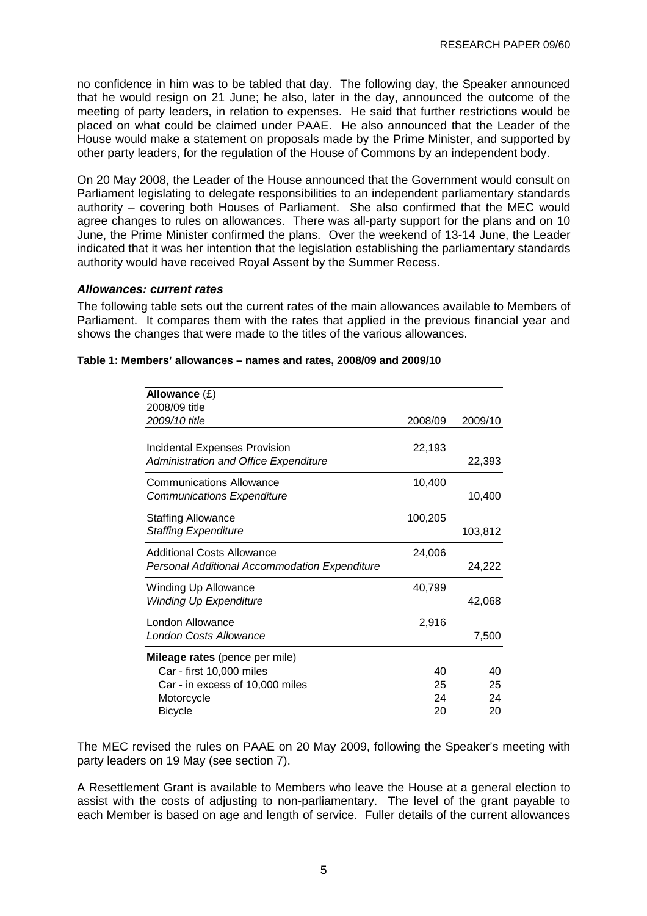<span id="page-8-0"></span>no confidence in him was to be tabled that day. The following day, the Speaker announced that he would resign on 21 June; he also, later in the day, announced the outcome of the meeting of party leaders, in relation to expenses. He said that further restrictions would be placed on what could be claimed under PAAE. He also announced that the Leader of the House would make a statement on proposals made by the Prime Minister, and supported by other party leaders, for the regulation of the House of Commons by an independent body.

On 20 May 2008, the Leader of the House announced that the Government would consult on Parliament legislating to delegate responsibilities to an independent parliamentary standards authority – covering both Houses of Parliament. She also confirmed that the MEC would agree changes to rules on allowances. There was all-party support for the plans and on 10 June, the Prime Minister confirmed the plans. Over the weekend of 13-14 June, the Leader indicated that it was her intention that the legislation establishing the parliamentary standards authority would have received Royal Assent by the Summer Recess.

## *Allowances: current rates*

The following table sets out the current rates of the main allowances available to Members of Parliament. It compares them with the rates that applied in the previous financial year and shows the changes that were made to the titles of the various allowances.

| Allowance $(E)$                               |         |         |
|-----------------------------------------------|---------|---------|
| 2008/09 title                                 |         |         |
| 2009/10 title                                 | 2008/09 | 2009/10 |
|                                               |         |         |
| <b>Incidental Expenses Provision</b>          | 22,193  |         |
| Administration and Office Expenditure         |         | 22,393  |
| Communications Allowance                      | 10,400  |         |
| <b>Communications Expenditure</b>             |         | 10,400  |
| <b>Staffing Allowance</b>                     | 100,205 |         |
| <b>Staffing Expenditure</b>                   |         | 103,812 |
| Additional Costs Allowance                    | 24,006  |         |
| Personal Additional Accommodation Expenditure |         | 24,222  |
|                                               |         |         |
| Winding Up Allowance                          | 40,799  |         |
| <b>Winding Up Expenditure</b>                 |         | 42,068  |
| London Allowance                              | 2,916   |         |
| London Costs Allowance                        |         | 7,500   |
| Mileage rates (pence per mile)                |         |         |
| Car - first 10,000 miles                      | 40      | 40      |
| Car - in excess of 10,000 miles               | 25      | 25      |
| Motorcycle                                    | 24      | 24      |
| <b>Bicycle</b>                                | 20      | 20      |
|                                               |         |         |

#### **Table 1: Members' allowances – names and rates, 2008/09 and 2009/10**

The MEC revised the rules on PAAE on 20 May 2009, following the Speaker's meeting with party leaders on 19 May (see section 7).

A Resettlement Grant is available to Members who leave the House at a general election to assist with the costs of adjusting to non-parliamentary. The level of the grant payable to each Member is based on age and length of service. Fuller details of the current allowances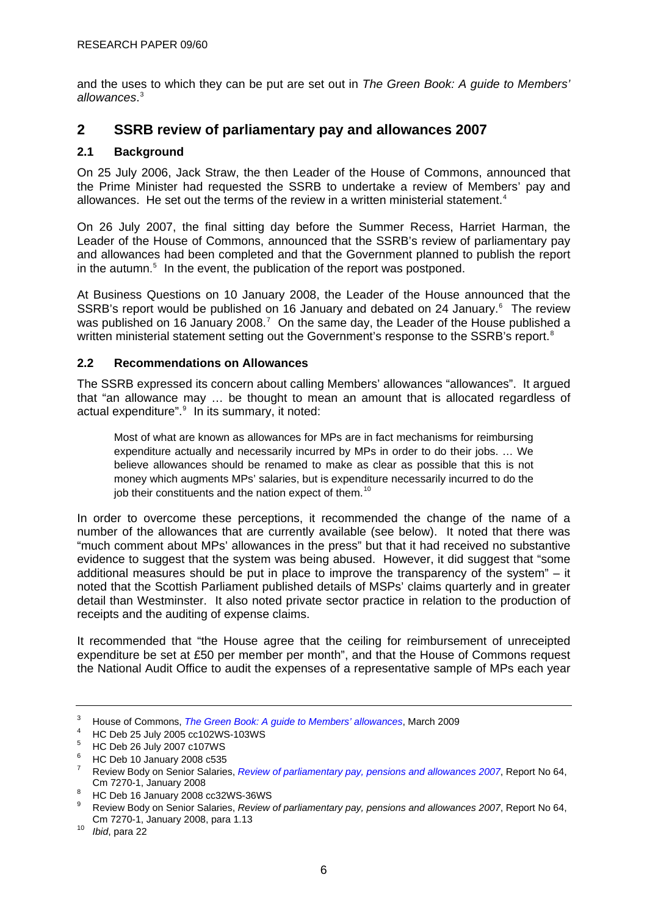<span id="page-9-0"></span>and the uses to which they can be put are set out in *The Green Book: A guide to Members' allowances*. [3](#page-9-0)

# **2 SSRB review of parliamentary pay and allowances 2007**

## **2.1 Background**

On 25 July 2006, Jack Straw, the then Leader of the House of Commons, announced that the Prime Minister had requested the SSRB to undertake a review of Members' pay and allowances. He set out the terms of the review in a written ministerial statement.<sup>[4](#page-9-0)</sup>

On 26 July 2007, the final sitting day before the Summer Recess, Harriet Harman, the Leader of the House of Commons, announced that the SSRB's review of parliamentary pay and allowances had been completed and that the Government planned to publish the report in the autumn.<sup>[5](#page-9-0)</sup> In the event, the publication of the report was postponed.

At Business Questions on 10 January 2008, the Leader of the House announced that the SSRB's report would be published on 1[6](#page-9-0) January and debated on 24 January. $6$  The review was published on 16 January 2008.<sup>[7](#page-9-0)</sup> On the same day, the Leader of the House published a written ministerial statement setting out the Government's response to the SSRB's report.<sup>[8](#page-9-0)</sup>

## **2.2 Recommendations on Allowances**

The SSRB expressed its concern about calling Members' allowances "allowances". It argued that "an allowance may … be thought to mean an amount that is allocated regardless of actual expenditure".<sup>[9](#page-9-0)</sup> In its summary, it noted:

Most of what are known as allowances for MPs are in fact mechanisms for reimbursing expenditure actually and necessarily incurred by MPs in order to do their jobs. … We believe allowances should be renamed to make as clear as possible that this is not money which augments MPs' salaries, but is expenditure necessarily incurred to do the job their constituents and the nation expect of them.<sup>[10](#page-9-0)</sup>

In order to overcome these perceptions, it recommended the change of the name of a number of the allowances that are currently available (see below). It noted that there was "much comment about MPs' allowances in the press" but that it had received no substantive evidence to suggest that the system was being abused. However, it did suggest that "some additional measures should be put in place to improve the transparency of the system" – it noted that the Scottish Parliament published details of MSPs' claims quarterly and in greater detail than Westminster. It also noted private sector practice in relation to the production of receipts and the auditing of expense claims.

It recommended that "the House agree that the ceiling for reimbursement of unreceipted expenditure be set at £50 per member per month", and that the House of Commons request the National Audit Office to audit the expenses of a representative sample of MPs each year

<sup>8</sup> HC Deb 16 January 2008 cc32WS-36WS

<sup>3</sup> <sup>3</sup> House of Commons, *The Green Book: A guide to Members' allowances*, March 2009

HC Deb 25 July 2005 cc102WS-103WS

<sup>5</sup> HC Deb 26 July 2007 c107WS

<sup>6</sup> HC Deb 10 January 2008 c535

<sup>7</sup> Review Body on Senior Salaries, *[Review of parliamentary pay, pensions and allowances 2007](http://www.ome.uk.com/downloads/Review%20of%20Parliamentary%20pay%202007%20volume%201.pdf.pdf)*, Report No 64,  $Cm$  7270-1, January 2008

<sup>9</sup> Review Body on Senior Salaries, *Review of parliamentary pay, pensions and allowances 2007*, Report No 64, Cm 7270-1, January 2008, para 1.13 10 *Ibid*, para 22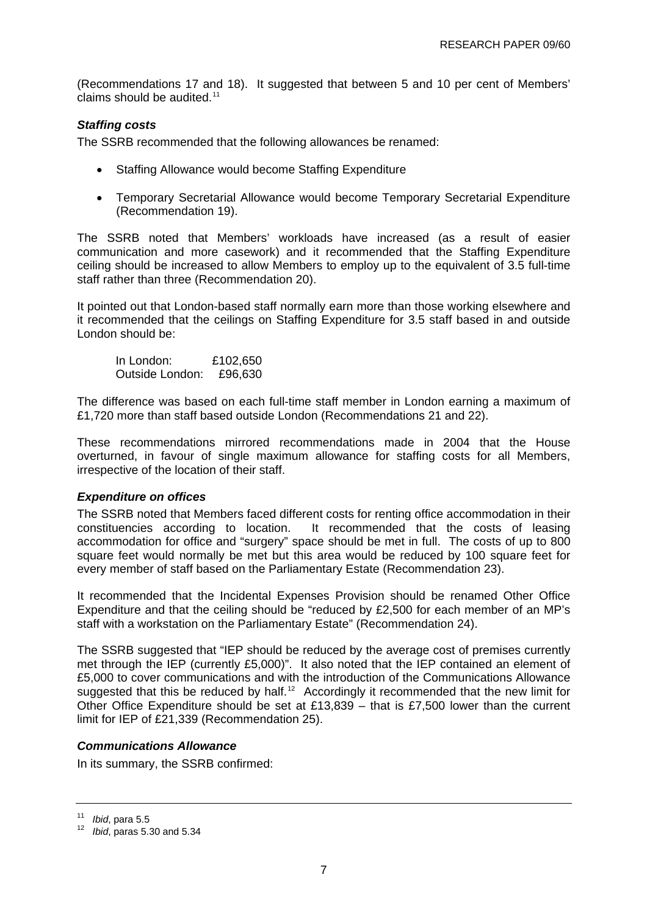<span id="page-10-0"></span>(Recommendations 17 and 18). It suggested that between 5 and 10 per cent of Members' claims should be audited. $11$ 

## *Staffing costs*

The SSRB recommended that the following allowances be renamed:

- Staffing Allowance would become Staffing Expenditure
- Temporary Secretarial Allowance would become Temporary Secretarial Expenditure (Recommendation 19).

The SSRB noted that Members' workloads have increased (as a result of easier communication and more casework) and it recommended that the Staffing Expenditure ceiling should be increased to allow Members to employ up to the equivalent of 3.5 full-time staff rather than three (Recommendation 20).

It pointed out that London-based staff normally earn more than those working elsewhere and it recommended that the ceilings on Staffing Expenditure for 3.5 staff based in and outside London should be:

 In London: £102,650 Outside London: £96,630

The difference was based on each full-time staff member in London earning a maximum of £1,720 more than staff based outside London (Recommendations 21 and 22).

These recommendations mirrored recommendations made in 2004 that the House overturned, in favour of single maximum allowance for staffing costs for all Members, irrespective of the location of their staff.

## *Expenditure on offices*

The SSRB noted that Members faced different costs for renting office accommodation in their constituencies according to location. It recommended that the costs of leasing accommodation for office and "surgery" space should be met in full. The costs of up to 800 square feet would normally be met but this area would be reduced by 100 square feet for every member of staff based on the Parliamentary Estate (Recommendation 23).

It recommended that the Incidental Expenses Provision should be renamed Other Office Expenditure and that the ceiling should be "reduced by £2,500 for each member of an MP's staff with a workstation on the Parliamentary Estate" (Recommendation 24).

The SSRB suggested that "IEP should be reduced by the average cost of premises currently met through the IEP (currently £5,000)". It also noted that the IEP contained an element of £5,000 to cover communications and with the introduction of the Communications Allowance suggested that this be reduced by half.<sup>[12](#page-10-0)</sup> Accordingly it recommended that the new limit for Other Office Expenditure should be set at £13,839 – that is £7,500 lower than the current limit for IEP of £21,339 (Recommendation 25).

## *Communications Allowance*

In its summary, the SSRB confirmed:

<sup>11</sup>*Ibid*, para 5.5 12 *Ibid*, paras 5.30 and 5.34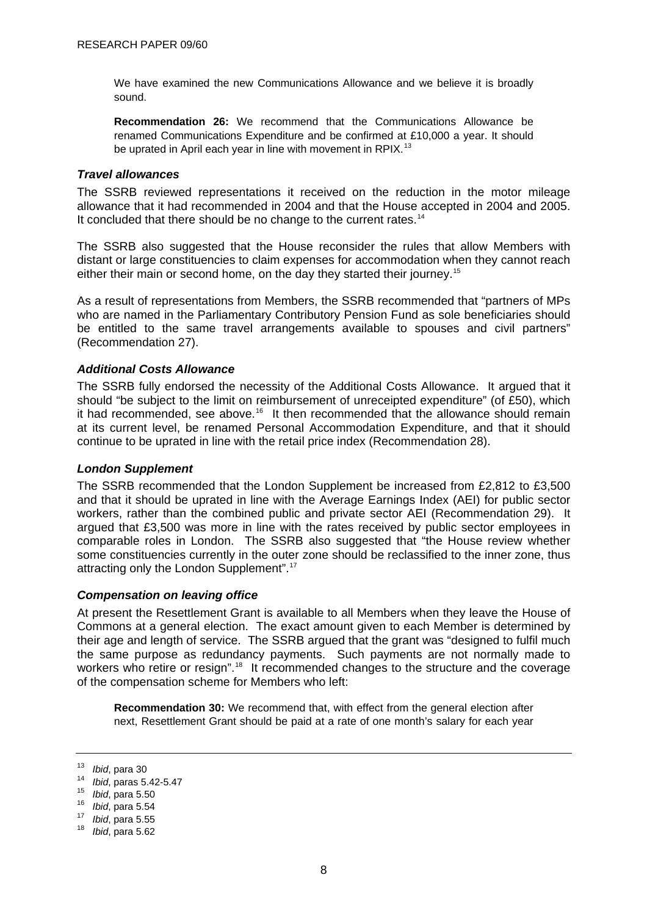<span id="page-11-0"></span>We have examined the new Communications Allowance and we believe it is broadly sound.

**Recommendation 26:** We recommend that the Communications Allowance be renamed Communications Expenditure and be confirmed at £10,000 a year. It should be uprated in April each year in line with movement in RPIX.<sup>[13](#page-11-0)</sup>

## *Travel allowances*

The SSRB reviewed representations it received on the reduction in the motor mileage allowance that it had recommended in 2004 and that the House accepted in 2004 and 2005. It concluded that there should be no change to the current rates.<sup>[14](#page-11-0)</sup>

The SSRB also suggested that the House reconsider the rules that allow Members with distant or large constituencies to claim expenses for accommodation when they cannot reach either their main or second home, on the day they started their journey.<sup>[15](#page-11-0)</sup>

As a result of representations from Members, the SSRB recommended that "partners of MPs who are named in the Parliamentary Contributory Pension Fund as sole beneficiaries should be entitled to the same travel arrangements available to spouses and civil partners" (Recommendation 27).

## *Additional Costs Allowance*

The SSRB fully endorsed the necessity of the Additional Costs Allowance. It argued that it should "be subject to the limit on reimbursement of unreceipted expenditure" (of £50), which it had recommended, see above.[16](#page-11-0) It then recommended that the allowance should remain at its current level, be renamed Personal Accommodation Expenditure, and that it should continue to be uprated in line with the retail price index (Recommendation 28).

## *London Supplement*

The SSRB recommended that the London Supplement be increased from £2,812 to £3,500 and that it should be uprated in line with the Average Earnings Index (AEI) for public sector workers, rather than the combined public and private sector AEI (Recommendation 29). It argued that £3,500 was more in line with the rates received by public sector employees in comparable roles in London. The SSRB also suggested that "the House review whether some constituencies currently in the outer zone should be reclassified to the inner zone, thus attracting only the London Supplement".<sup>[17](#page-11-0)</sup>

#### *Compensation on leaving office*

At present the Resettlement Grant is available to all Members when they leave the House of Commons at a general election. The exact amount given to each Member is determined by their age and length of service. The SSRB argued that the grant was "designed to fulfil much the same purpose as redundancy payments. Such payments are not normally made to workers who retire or resign".<sup>[18](#page-11-0)</sup> It recommended changes to the structure and the coverage of the compensation scheme for Members who left:

**Recommendation 30:** We recommend that, with effect from the general election after next, Resettlement Grant should be paid at a rate of one month's salary for each year

<sup>13</sup> *Ibid*, para 30<br><sup>14</sup> *Ibid*, paras 5.42-5.47<br><sup>15</sup> *Ibid*, para 5.54<br><sup>17</sup> *Ibid*, para 5.55<br><sup>18</sup> *Ibid*, para 5.62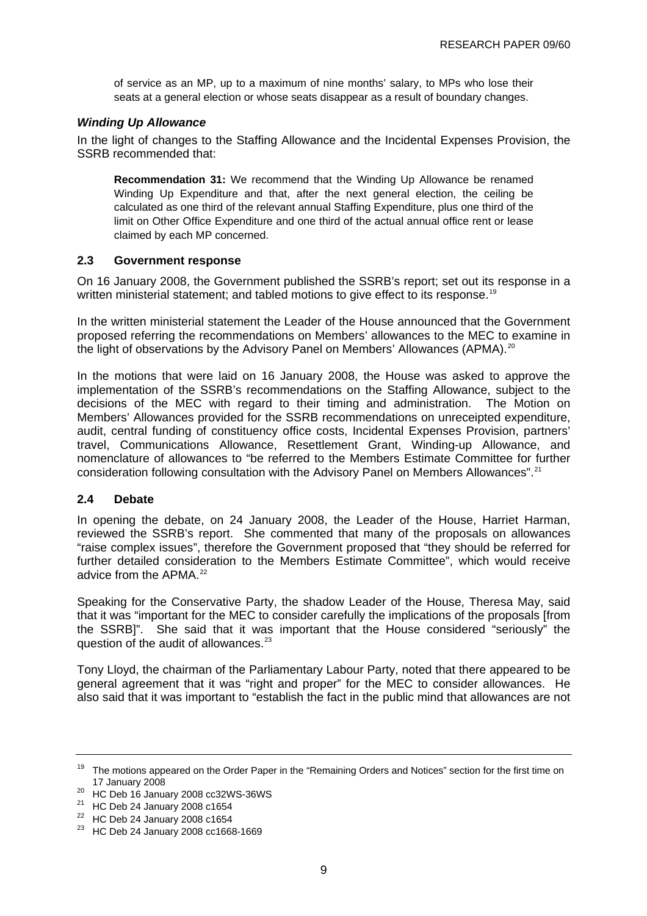<span id="page-12-0"></span>of service as an MP, up to a maximum of nine months' salary, to MPs who lose their seats at a general election or whose seats disappear as a result of boundary changes.

## *Winding Up Allowance*

In the light of changes to the Staffing Allowance and the Incidental Expenses Provision, the SSRB recommended that:

**Recommendation 31:** We recommend that the Winding Up Allowance be renamed Winding Up Expenditure and that, after the next general election, the ceiling be calculated as one third of the relevant annual Staffing Expenditure, plus one third of the limit on Other Office Expenditure and one third of the actual annual office rent or lease claimed by each MP concerned.

## **2.3 Government response**

On 16 January 2008, the Government published the SSRB's report; set out its response in a written ministerial statement; and tabled motions to give effect to its response.<sup>[19](#page-12-0)</sup>

In the written ministerial statement the Leader of the House announced that the Government proposed referring the recommendations on Members' allowances to the MEC to examine in the light of observations by the Advisory Panel on Members' Allowances (APMA).<sup>[20](#page-12-0)</sup>

In the motions that were laid on 16 January 2008, the House was asked to approve the implementation of the SSRB's recommendations on the Staffing Allowance, subject to the decisions of the MEC with regard to their timing and administration. The Motion on Members' Allowances provided for the SSRB recommendations on unreceipted expenditure, audit, central funding of constituency office costs, Incidental Expenses Provision, partners' travel, Communications Allowance, Resettlement Grant, Winding-up Allowance, and nomenclature of allowances to "be referred to the Members Estimate Committee for further consideration following consultation with the Advisory Panel on Members Allowances".<sup>[21](#page-12-0)</sup>

#### **2.4 Debate**

In opening the debate, on 24 January 2008, the Leader of the House, Harriet Harman, reviewed the SSRB's report. She commented that many of the proposals on allowances "raise complex issues", therefore the Government proposed that "they should be referred for further detailed consideration to the Members Estimate Committee", which would receive advice from the APMA.<sup>[22](#page-12-0)</sup>

Speaking for the Conservative Party, the shadow Leader of the House, Theresa May, said that it was "important for the MEC to consider carefully the implications of the proposals [from the SSRB]". She said that it was important that the House considered "seriously" the question of the audit of allowances.<sup>[23](#page-12-0)</sup>

Tony Lloyd, the chairman of the Parliamentary Labour Party, noted that there appeared to be general agreement that it was "right and proper" for the MEC to consider allowances. He also said that it was important to "establish the fact in the public mind that allowances are not

<sup>&</sup>lt;sup>19</sup> The motions appeared on the Order Paper in the "Remaining Orders and Notices" section for the first time on 17 January 2008

<sup>&</sup>lt;sup>20</sup> HC Deb 16 January 2008 cc32WS-36WS

 $21$  HC Deb 24 January 2008 c1654

 $22$  HC Deb 24 January 2008 c1654

<sup>23</sup> HC Deb 24 January 2008 cc1668-1669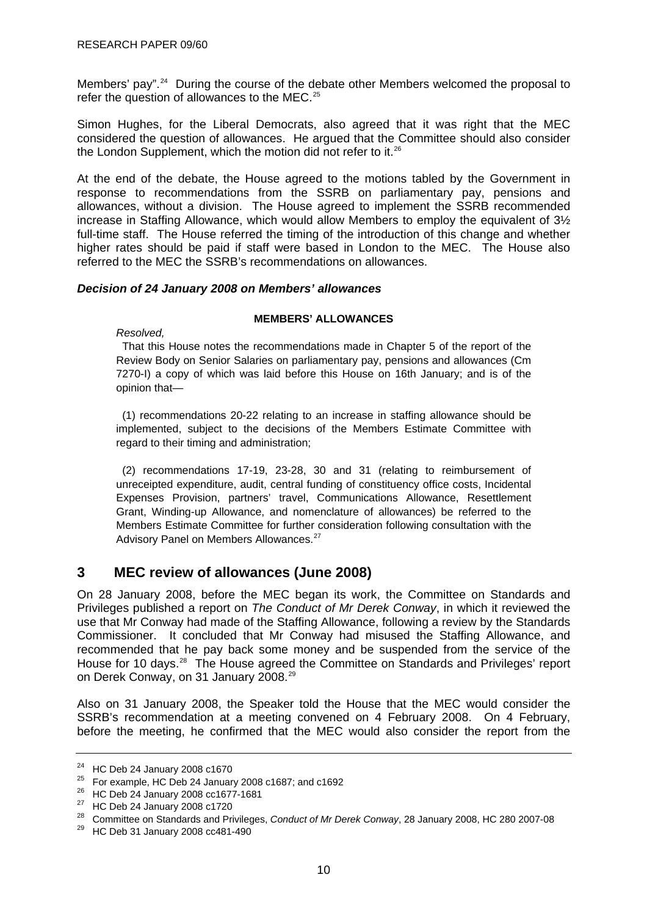<span id="page-13-0"></span>Members' pay".<sup>[24](#page-13-0)</sup> During the course of the debate other Members welcomed the proposal to refer the question of allowances to the MEC.<sup>[25](#page-13-0)</sup>

Simon Hughes, for the Liberal Democrats, also agreed that it was right that the MEC considered the question of allowances. He argued that the Committee should also consider the London Supplement, which the motion did not refer to it.<sup>[26](#page-13-0)</sup>

At the end of the debate, the House agreed to the motions tabled by the Government in response to recommendations from the SSRB on parliamentary pay, pensions and allowances, without a division. The House agreed to implement the SSRB recommended increase in Staffing Allowance, which would allow Members to employ the equivalent of 3½ full-time staff. The House referred the timing of the introduction of this change and whether higher rates should be paid if staff were based in London to the MEC. The House also referred to the MEC the SSRB's recommendations on allowances.

## *Decision of 24 January 2008 on Members' allowances*

## **MEMBERS' ALLOWANCES**

*Resolved,* 

 That this House notes the recommendations made in Chapter 5 of the report of the Review Body on Senior Salaries on parliamentary pay, pensions and allowances (Cm 7270-I) a copy of which was laid before this House on 16th January; and is of the opinion that—

 (1) recommendations 20-22 relating to an increase in staffing allowance should be implemented, subject to the decisions of the Members Estimate Committee with regard to their timing and administration;

 (2) recommendations 17-19, 23-28, 30 and 31 (relating to reimbursement of unreceipted expenditure, audit, central funding of constituency office costs, Incidental Expenses Provision, partners' travel, Communications Allowance, Resettlement Grant, Winding-up Allowance, and nomenclature of allowances) be referred to the Members Estimate Committee for further consideration following consultation with the Advisory Panel on Members Allowances.<sup>[27](#page-13-0)</sup>

# **3 MEC review of allowances (June 2008)**

On 28 January 2008, before the MEC began its work, the Committee on Standards and Privileges published a report on *The Conduct of Mr Derek Conway*, in which it reviewed the use that Mr Conway had made of the Staffing Allowance, following a review by the Standards Commissioner. It concluded that Mr Conway had misused the Staffing Allowance, and recommended that he pay back some money and be suspended from the service of the House for 10 days.<sup>[28](#page-13-0)</sup> The House agreed the Committee on Standards and Privileges' report on Derek Conway, on 31 January 2008.<sup>[29](#page-13-0)</sup>

Also on 31 January 2008, the Speaker told the House that the MEC would consider the SSRB's recommendation at a meeting convened on 4 February 2008. On 4 February, before the meeting, he confirmed that the MEC would also consider the report from the

<sup>24</sup> HC Deb 24 January 2008 c1670

<sup>25</sup> For example, HC Deb 24 January 2008 c1687; and c1692

<sup>26</sup> HC Deb 24 January 2008 cc1677-1681

 $27$  HC Deb 24 January 2008 c1720

<sup>&</sup>lt;sup>28</sup> Committee on Standards and Privileges, *Conduct of Mr Derek Conway*, 28 January 2008, HC 280 2007-08<br><sup>29</sup> HC Deb 31 January 2008 cc481-490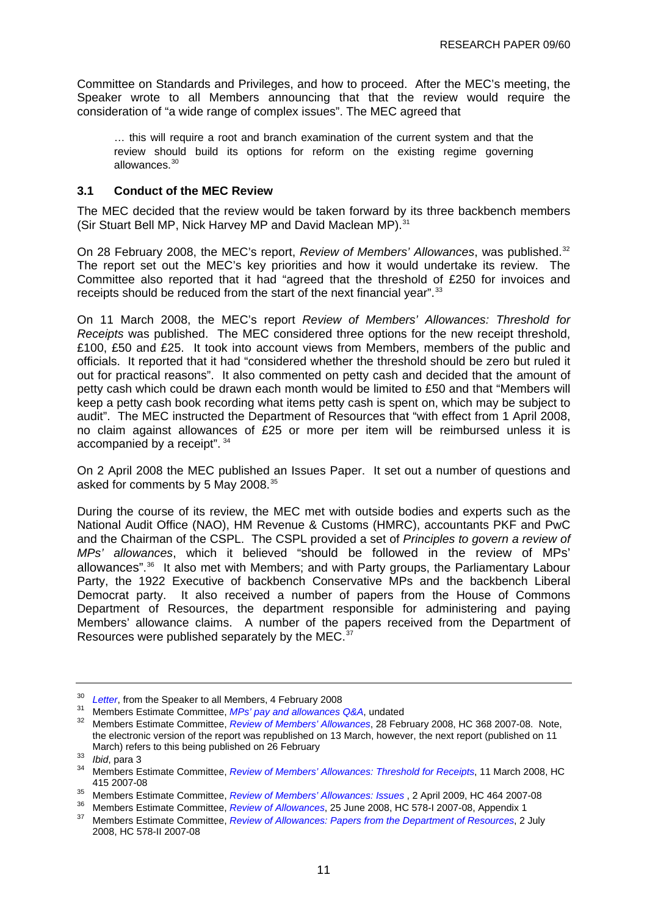<span id="page-14-0"></span>Committee on Standards and Privileges, and how to proceed. After the MEC's meeting, the Speaker wrote to all Members announcing that that the review would require the consideration of "a wide range of complex issues". The MEC agreed that

… this will require a root and branch examination of the current system and that the review should build its options for reform on the existing regime governing allowances.<sup>[30](#page-14-0)</sup>

## **3.1 Conduct of the MEC Review**

The MEC decided that the review would be taken forward by its three backbench members (Sir Stuart Bell MP, Nick Harvey MP and David Maclean MP).<sup>[31](#page-14-0)</sup>

On 28 February 2008, the MEC's report, *Review of Members' Allowances*, was published.[32](#page-14-0) The report set out the MEC's key priorities and how it would undertake its review. The Committee also reported that it had "agreed that the threshold of £250 for invoices and receipts should be reduced from the start of the next financial year".<sup>[33](#page-14-0)</sup>

On 11 March 2008, the MEC's report *Review of Members' Allowances: Threshold for Receipts* was published. The MEC considered three options for the new receipt threshold, £100, £50 and £25. It took into account views from Members, members of the public and officials. It reported that it had "considered whether the threshold should be zero but ruled it out for practical reasons". It also commented on petty cash and decided that the amount of petty cash which could be drawn each month would be limited to £50 and that "Members will keep a petty cash book recording what items petty cash is spent on, which may be subject to audit". The MEC instructed the Department of Resources that "with effect from 1 April 2008, no claim against allowances of £25 or more per item will be reimbursed unless it is accompanied by a receipt". [34](#page-14-0)

On 2 April 2008 the MEC published an Issues Paper. It set out a number of questions and asked for comments by 5 May 2008.<sup>[35](#page-14-0)</sup>

During the course of its review, the MEC met with outside bodies and experts such as the National Audit Office (NAO), HM Revenue & Customs (HMRC), accountants PKF and PwC and the Chairman of the CSPL. The CSPL provided a set of *Principles to govern a review of MPs' allowances*, which it believed "should be followed in the review of MPs' allowances". [36](#page-14-0) It also met with Members; and with Party groups, the Parliamentary Labour Party, the 1922 Executive of backbench Conservative MPs and the backbench Liberal Democrat party. It also received a number of papers from the House of Commons Department of Resources, the department responsible for administering and paying Members' allowance claims. A number of the papers received from the Department of Resources were published separately by the MEC.<sup>[37](#page-14-0)</sup>

<sup>&</sup>lt;sup>30</sup>Letter, from the Speaker to all Members, 4 February 2008<br><sup>31</sup> Members Estimate Committee, *MPs' pay and allowances Q&A*, undated<br><sup>32</sup> Members Estimate Committee, *Review of Members' Allowances*, 28 February 2008, HC the electronic version of the report was republished on 13 March, however, the next report (published on 11

March) refers to this being published on 26 February<br>
33 *Ibid*, para 3<br>
34 Members Estimate Committee, *[Review of Members' Allowances: Threshold for Receipts](http://www.publications.parliament.uk/pa/cm200708/cmselect/cmmemest/415/415.pdf)*, 11 March 2008, HC<br>
415 2007-08

<sup>&</sup>lt;sup>35</sup>Members Estimate Committee, *Review of Members' Allowances: Issues*, 2 April 2009, HC 464 2007-08<br><sup>36</sup> Members Estimate Committee, *Review of Allowances*, 25 June 2008, HC 578-I 2007-08, Appendix 1<br><sup>37</sup> Members Estima

<sup>2008,</sup> HC 578-II 2007-08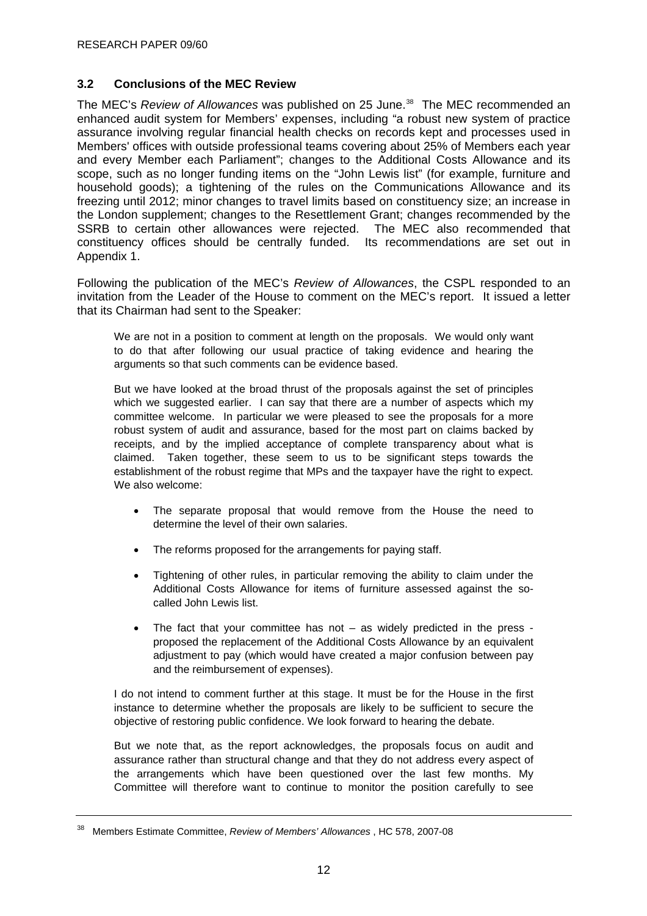## <span id="page-15-0"></span>**3.2 Conclusions of the MEC Review**

The MEC's *Review of Allowances* was published on 25 June.<sup>[38](#page-15-0)</sup> The MEC recommended an enhanced audit system for Members' expenses, including "a robust new system of practice assurance involving regular financial health checks on records kept and processes used in Members' offices with outside professional teams covering about 25% of Members each year and every Member each Parliament"; changes to the Additional Costs Allowance and its scope, such as no longer funding items on the "John Lewis list" (for example, furniture and household goods); a tightening of the rules on the Communications Allowance and its freezing until 2012; minor changes to travel limits based on constituency size; an increase in the London supplement; changes to the Resettlement Grant; changes recommended by the SSRB to certain other allowances were rejected. The MEC also recommended that constituency offices should be centrally funded. Its recommendations are set out in Appendix 1.

Following the publication of the MEC's *Review of Allowances*, the CSPL responded to an invitation from the Leader of the House to comment on the MEC's report. It issued a letter that its Chairman had sent to the Speaker:

We are not in a position to comment at length on the proposals. We would only want to do that after following our usual practice of taking evidence and hearing the arguments so that such comments can be evidence based.

But we have looked at the broad thrust of the proposals against the set of principles which we suggested earlier. I can say that there are a number of aspects which my committee welcome. In particular we were pleased to see the proposals for a more robust system of audit and assurance, based for the most part on claims backed by receipts, and by the implied acceptance of complete transparency about what is claimed. Taken together, these seem to us to be significant steps towards the establishment of the robust regime that MPs and the taxpayer have the right to expect. We also welcome:

- The separate proposal that would remove from the House the need to determine the level of their own salaries.
- The reforms proposed for the arrangements for paying staff.
- Tightening of other rules, in particular removing the ability to claim under the Additional Costs Allowance for items of furniture assessed against the socalled John Lewis list.
- The fact that your committee has not as widely predicted in the press proposed the replacement of the Additional Costs Allowance by an equivalent adjustment to pay (which would have created a major confusion between pay and the reimbursement of expenses).

I do not intend to comment further at this stage. It must be for the House in the first instance to determine whether the proposals are likely to be sufficient to secure the objective of restoring public confidence. We look forward to hearing the debate.

But we note that, as the report acknowledges, the proposals focus on audit and assurance rather than structural change and that they do not address every aspect of the arrangements which have been questioned over the last few months. My Committee will therefore want to continue to monitor the position carefully to see

<sup>38</sup> Members Estimate Committee, *Review of Members' Allowances* , HC 578, 2007-08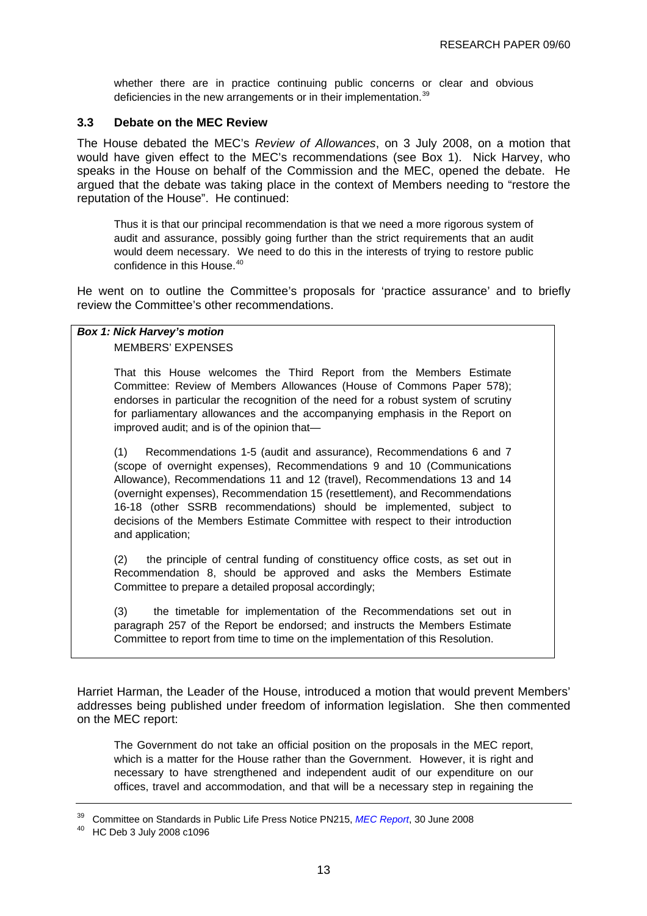<span id="page-16-0"></span>whether there are in practice continuing public concerns or clear and obvious deficiencies in the new arrangements or in their implementation.<sup>[39](#page-16-0)</sup>

## **3.3 Debate on the MEC Review**

The House debated the MEC's *Review of Allowances*, on 3 July 2008, on a motion that would have given effect to the MEC's recommendations (see Box 1). Nick Harvey, who speaks in the House on behalf of the Commission and the MEC, opened the debate. He argued that the debate was taking place in the context of Members needing to "restore the reputation of the House". He continued:

Thus it is that our principal recommendation is that we need a more rigorous system of audit and assurance, possibly going further than the strict requirements that an audit would deem necessary. We need to do this in the interests of trying to restore public confidence in this House.<sup>[40](#page-16-0)</sup>

He went on to outline the Committee's proposals for 'practice assurance' and to briefly review the Committee's other recommendations.

## *Box 1: Nick Harvey's motion*

## MEMBERS' EXPENSES

That this House welcomes the Third Report from the Members Estimate Committee: Review of Members Allowances (House of Commons Paper 578); endorses in particular the recognition of the need for a robust system of scrutiny for parliamentary allowances and the accompanying emphasis in the Report on improved audit; and is of the opinion that—

(1) Recommendations 1-5 (audit and assurance), Recommendations 6 and 7 (scope of overnight expenses), Recommendations 9 and 10 (Communications Allowance), Recommendations 11 and 12 (travel), Recommendations 13 and 14 (overnight expenses), Recommendation 15 (resettlement), and Recommendations 16-18 (other SSRB recommendations) should be implemented, subject to decisions of the Members Estimate Committee with respect to their introduction and application;

(2) the principle of central funding of constituency office costs, as set out in Recommendation 8, should be approved and asks the Members Estimate Committee to prepare a detailed proposal accordingly;

(3) the timetable for implementation of the Recommendations set out in paragraph 257 of the Report be endorsed; and instructs the Members Estimate Committee to report from time to time on the implementation of this Resolution.

Harriet Harman, the Leader of the House, introduced a motion that would prevent Members' addresses being published under freedom of information legislation. She then commented on the MEC report:

The Government do not take an official position on the proposals in the MEC report, which is a matter for the House rather than the Government. However, it is right and necessary to have strengthened and independent audit of our expenditure on our offices, travel and accommodation, and that will be a necessary step in regaining the

<sup>&</sup>lt;sup>39</sup> Committee on Standards in Public Life Press Notice PN215, *MEC Report*, 30 June 2008<br><sup>40</sup> HC Deb 3 July 2008 c1096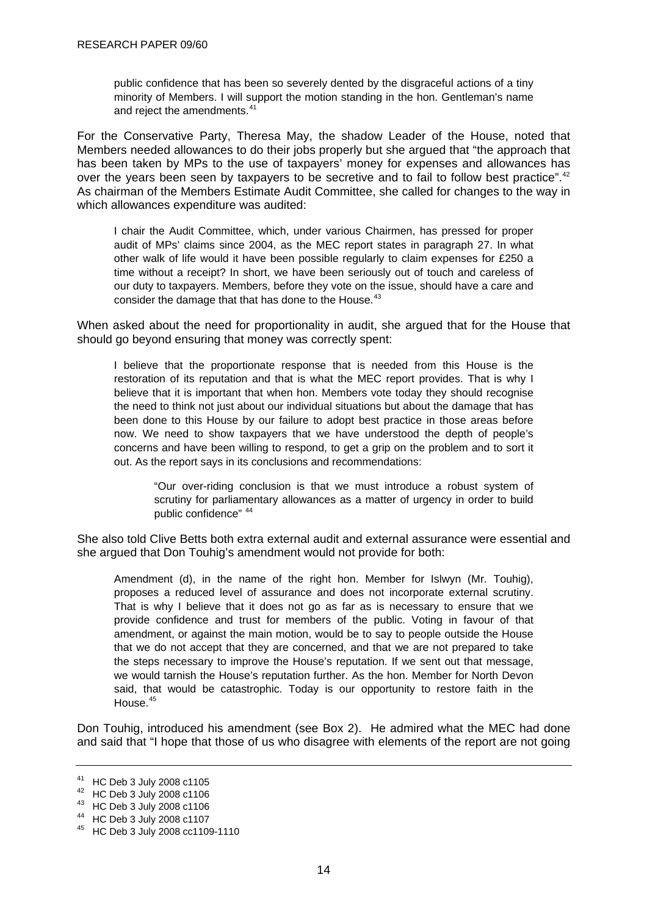<span id="page-17-0"></span>public confidence that has been so severely dented by the disgraceful actions of a tiny minority of Members. I will support the motion standing in the hon. Gentleman's name and reject the amendments.<sup>[41](#page-17-0)</sup>

For the Conservative Party, Theresa May, the shadow Leader of the House, noted that Members needed allowances to do their jobs properly but she argued that "the approach that has been taken by MPs to the use of taxpayers' money for expenses and allowances has over the years been seen by taxpayers to be secretive and to fail to follow best practice".<sup>42</sup> As chairman of the Members Estimate Audit Committee, she called for changes to the way in which allowances expenditure was audited:

I chair the Audit Committee, which, under various Chairmen, has pressed for proper audit of MPs' claims since 2004, as the MEC report states in paragraph 27. In what other walk of life would it have been possible regularly to claim expenses for £250 a time without a receipt? In short, we have been seriously out of touch and careless of our duty to taxpayers. Members, before they vote on the issue, should have a care and consider the damage that that has done to the House.<sup>[43](#page-17-0)</sup>

When asked about the need for proportionality in audit, she argued that for the House that should go beyond ensuring that money was correctly spent:

I believe that the proportionate response that is needed from this House is the restoration of its reputation and that is what the MEC report provides. That is why I believe that it is important that when hon. Members vote today they should recognise the need to think not just about our individual situations but about the damage that has been done to this House by our failure to adopt best practice in those areas before now. We need to show taxpayers that we have understood the depth of people's concerns and have been willing to respond, to get a grip on the problem and to sort it out. As the report says in its conclusions and recommendations:

"Our over-riding conclusion is that we must introduce a robust system of scrutiny for parliamentary allowances as a matter of urgency in order to build public confidence"  $44$ 

She also told Clive Betts both extra external audit and external assurance were essential and she argued that Don Touhig's amendment would not provide for both:

Amendment (d), in the name of the right hon. Member for Islwyn (Mr. Touhig), proposes a reduced level of assurance and does not incorporate external scrutiny. That is why I believe that it does not go as far as is necessary to ensure that we provide confidence and trust for members of the public. Voting in favour of that amendment, or against the main motion, would be to say to people outside the House that we do not accept that they are concerned, and that we are not prepared to take the steps necessary to improve the House's reputation. If we sent out that message, we would tarnish the House's reputation further. As the hon. Member for North Devon said, that would be catastrophic. Today is our opportunity to restore faith in the House.<sup>[45](#page-17-0)</sup>

Don Touhig, introduced his amendment (see Box 2). He admired what the MEC had done and said that "I hope that those of us who disagree with elements of the report are not going

<sup>41</sup> HC Deb 3 July 2008 c1105

<sup>42</sup> HC Deb 3 July 2008 c1106

<sup>43</sup> HC Deb 3 July 2008 c1106

<sup>44</sup> HC Deb 3 July 2008 c1107

<sup>45</sup> HC Deb 3 July 2008 cc1109-1110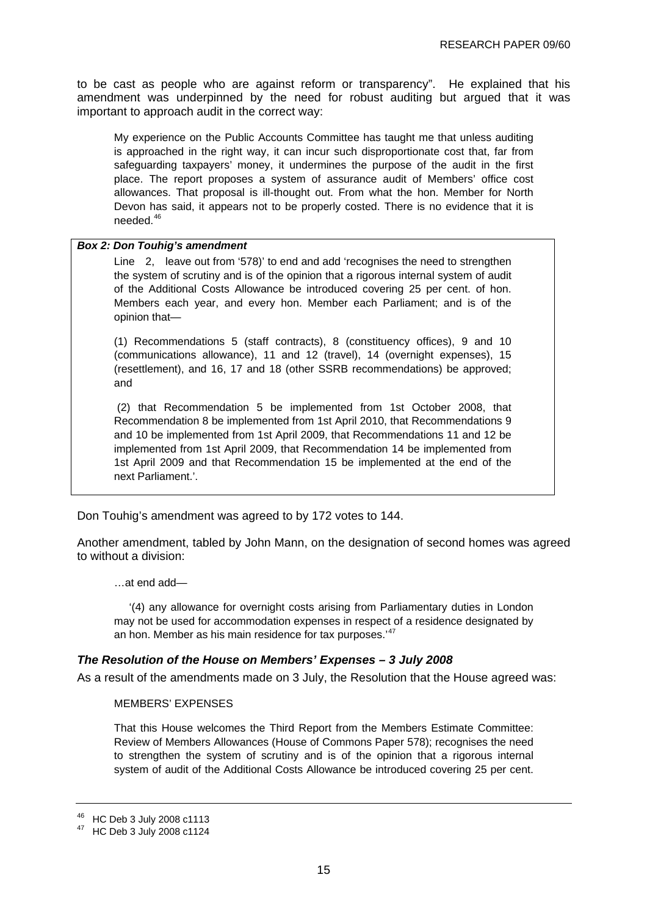<span id="page-18-0"></span>to be cast as people who are against reform or transparency". He explained that his amendment was underpinned by the need for robust auditing but argued that it was important to approach audit in the correct way:

My experience on the Public Accounts Committee has taught me that unless auditing is approached in the right way, it can incur such disproportionate cost that, far from safeguarding taxpayers' money, it undermines the purpose of the audit in the first place. The report proposes a system of assurance audit of Members' office cost allowances. That proposal is ill-thought out. From what the hon. Member for North Devon has said, it appears not to be properly costed. There is no evidence that it is needed.<sup>[46](#page-18-0)</sup>

#### *Box 2: Don Touhig's amendment*

Line 2, leave out from '578)' to end and add 'recognises the need to strengthen the system of scrutiny and is of the opinion that a rigorous internal system of audit of the Additional Costs Allowance be introduced covering 25 per cent. of hon. Members each year, and every hon. Member each Parliament; and is of the opinion that—

(1) Recommendations 5 (staff contracts), 8 (constituency offices), 9 and 10 (communications allowance), 11 and 12 (travel), 14 (overnight expenses), 15 (resettlement), and 16, 17 and 18 (other SSRB recommendations) be approved; and

 (2) that Recommendation 5 be implemented from 1st October 2008, that Recommendation 8 be implemented from 1st April 2010, that Recommendations 9 and 10 be implemented from 1st April 2009, that Recommendations 11 and 12 be implemented from 1st April 2009, that Recommendation 14 be implemented from 1st April 2009 and that Recommendation 15 be implemented at the end of the next Parliament.'.

Don Touhig's amendment was agreed to by 172 votes to 144.

Another amendment, tabled by John Mann, on the designation of second homes was agreed to without a division:

…at end add—

 '(4) any allowance for overnight costs arising from Parliamentary duties in London may not be used for accommodation expenses in respect of a residence designated by an hon. Member as his main residence for tax purposes.<sup>[47](#page-18-0)</sup>

#### *The Resolution of the House on Members' Expenses – 3 July 2008*

As a result of the amendments made on 3 July, the Resolution that the House agreed was:

#### MEMBERS' EXPENSES

That this House welcomes the Third Report from the Members Estimate Committee: Review of Members Allowances (House of Commons Paper 578); recognises the need to strengthen the system of scrutiny and is of the opinion that a rigorous internal system of audit of the Additional Costs Allowance be introduced covering 25 per cent.

<sup>46</sup> HC Deb 3 July 2008 c1113

<sup>47</sup> HC Deb 3 July 2008 c1124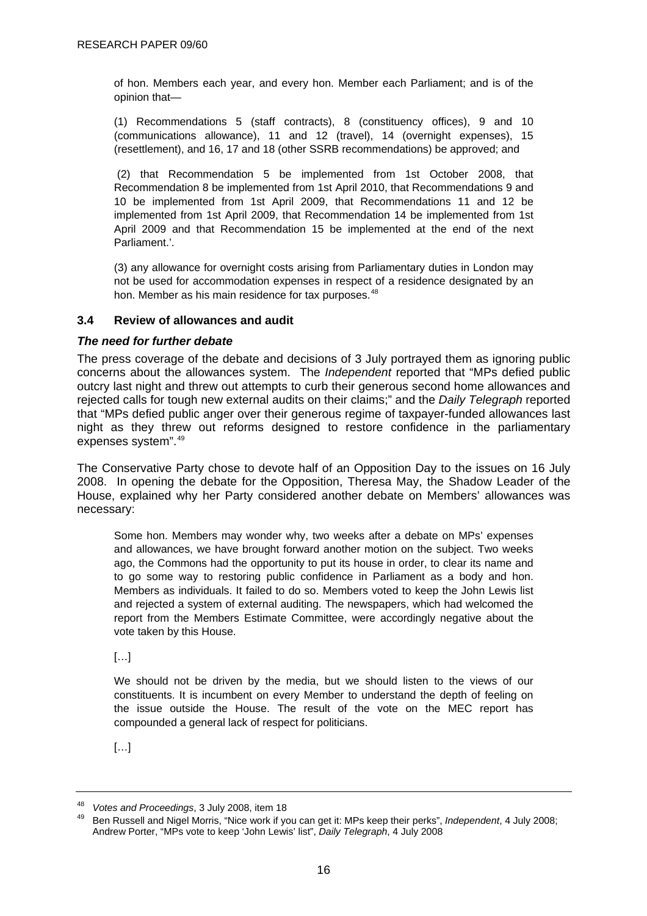<span id="page-19-0"></span>of hon. Members each year, and every hon. Member each Parliament; and is of the opinion that—

(1) Recommendations 5 (staff contracts), 8 (constituency offices), 9 and 10 (communications allowance), 11 and 12 (travel), 14 (overnight expenses), 15 (resettlement), and 16, 17 and 18 (other SSRB recommendations) be approved; and

 (2) that Recommendation 5 be implemented from 1st October 2008, that Recommendation 8 be implemented from 1st April 2010, that Recommendations 9 and 10 be implemented from 1st April 2009, that Recommendations 11 and 12 be implemented from 1st April 2009, that Recommendation 14 be implemented from 1st April 2009 and that Recommendation 15 be implemented at the end of the next Parliament.'.

(3) any allowance for overnight costs arising from Parliamentary duties in London may not be used for accommodation expenses in respect of a residence designated by an hon. Member as his main residence for tax purposes.<sup>[48](#page-19-0)</sup>

## **3.4 Review of allowances and audit**

## *The need for further debate*

The press coverage of the debate and decisions of 3 July portrayed them as ignoring public concerns about the allowances system. The *Independent* reported that "MPs defied public outcry last night and threw out attempts to curb their generous second home allowances and rejected calls for tough new external audits on their claims;" and the *Daily Telegraph* reported that "MPs defied public anger over their generous regime of taxpayer-funded allowances last night as they threw out reforms designed to restore confidence in the parliamentary expenses system".[49](#page-19-0)

The Conservative Party chose to devote half of an Opposition Day to the issues on 16 July 2008. In opening the debate for the Opposition, Theresa May, the Shadow Leader of the House, explained why her Party considered another debate on Members' allowances was necessary:

Some hon. Members may wonder why, two weeks after a debate on MPs' expenses and allowances, we have brought forward another motion on the subject. Two weeks ago, the Commons had the opportunity to put its house in order, to clear its name and to go some way to restoring public confidence in Parliament as a body and hon. Members as individuals. It failed to do so. Members voted to keep the John Lewis list and rejected a system of external auditing. The newspapers, which had welcomed the report from the Members Estimate Committee, were accordingly negative about the vote taken by this House.

 $[...]$ 

We should not be driven by the media, but we should listen to the views of our constituents. It is incumbent on every Member to understand the depth of feeling on the issue outside the House. The result of the vote on the MEC report has compounded a general lack of respect for politicians.

 $[\ldots]$ 

<sup>&</sup>lt;sup>48</sup> Votes and Proceedings, 3 July 2008, item 18<br><sup>49</sup> Ben Russell and Nigel Morris, "Nice work if you can get it: MPs keep their perks", *Independent*, 4 July 2008; Andrew Porter, "MPs vote to keep 'John Lewis' list", *Daily Telegraph*, 4 July 2008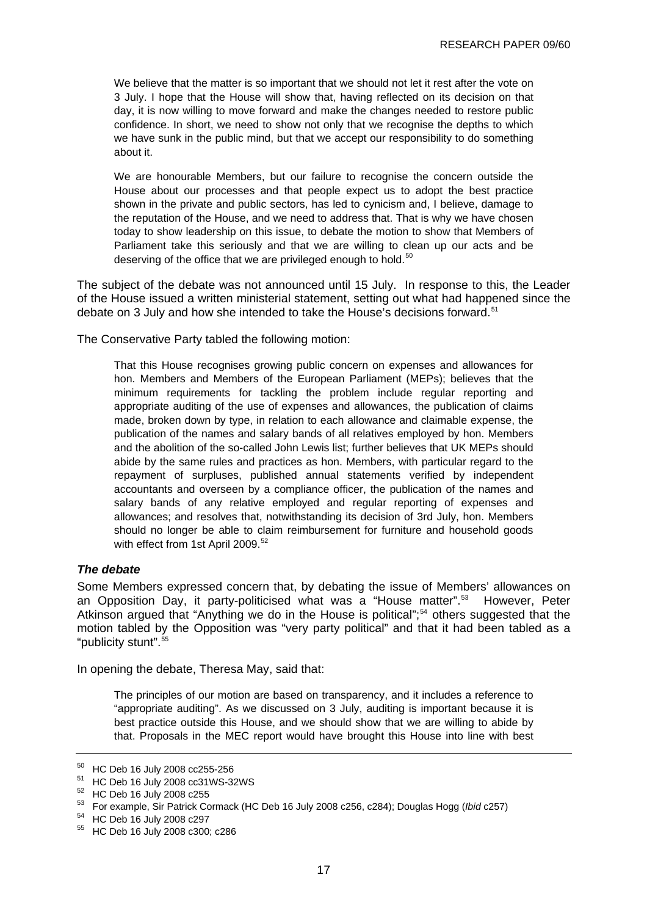<span id="page-20-0"></span>We believe that the matter is so important that we should not let it rest after the vote on 3 July. I hope that the House will show that, having reflected on its decision on that day, it is now willing to move forward and make the changes needed to restore public confidence. In short, we need to show not only that we recognise the depths to which we have sunk in the public mind, but that we accept our responsibility to do something about it.

We are honourable Members, but our failure to recognise the concern outside the House about our processes and that people expect us to adopt the best practice shown in the private and public sectors, has led to cynicism and, I believe, damage to the reputation of the House, and we need to address that. That is why we have chosen today to show leadership on this issue, to debate the motion to show that Members of Parliament take this seriously and that we are willing to clean up our acts and be deserving of the office that we are privileged enough to hold.<sup>[50](#page-20-0)</sup>

The subject of the debate was not announced until 15 July. In response to this, the Leader of the House issued a written ministerial statement, setting out what had happened since the debate on 3 July and how she intended to take the House's decisions forward.<sup>[51](#page-20-0)</sup>

The Conservative Party tabled the following motion:

That this House recognises growing public concern on expenses and allowances for hon. Members and Members of the European Parliament (MEPs); believes that the minimum requirements for tackling the problem include regular reporting and appropriate auditing of the use of expenses and allowances, the publication of claims made, broken down by type, in relation to each allowance and claimable expense, the publication of the names and salary bands of all relatives employed by hon. Members and the abolition of the so-called John Lewis list; further believes that UK MEPs should abide by the same rules and practices as hon. Members, with particular regard to the repayment of surpluses, published annual statements verified by independent accountants and overseen by a compliance officer, the publication of the names and salary bands of any relative employed and regular reporting of expenses and allowances; and resolves that, notwithstanding its decision of 3rd July, hon. Members should no longer be able to claim reimbursement for furniture and household goods with effect from 1st April 2009.<sup>[52](#page-20-0)</sup>

## *The debate*

Some Members expressed concern that, by debating the issue of Members' allowances on an Opposition Day, it party-politicised what was a "House matter".<sup>[53](#page-20-0)</sup> However, Peter Atkinson argued that "Anything we do in the House is political";<sup>[54](#page-20-0)</sup> others suggested that the motion tabled by the Opposition was "very party political" and that it had been tabled as a "bublicity stunt".<sup>55</sup>

In opening the debate, Theresa May, said that:

The principles of our motion are based on transparency, and it includes a reference to "appropriate auditing". As we discussed on 3 July, auditing is important because it is best practice outside this House, and we should show that we are willing to abide by that. Proposals in the MEC report would have brought this House into line with best

<sup>50</sup> HC Deb 16 July 2008 cc255-256

<sup>51</sup> HC Deb 16 July 2008 cc31WS-32WS

<sup>52</sup> HC Deb 16 July 2008 c255

<sup>53</sup> For example, Sir Patrick Cormack (HC Deb 16 July 2008 c256, c284); Douglas Hogg (*Ibid* c257) 54 HC Deb 16 July 2008 c297

<sup>55</sup> HC Deb 16 July 2008 c300; c286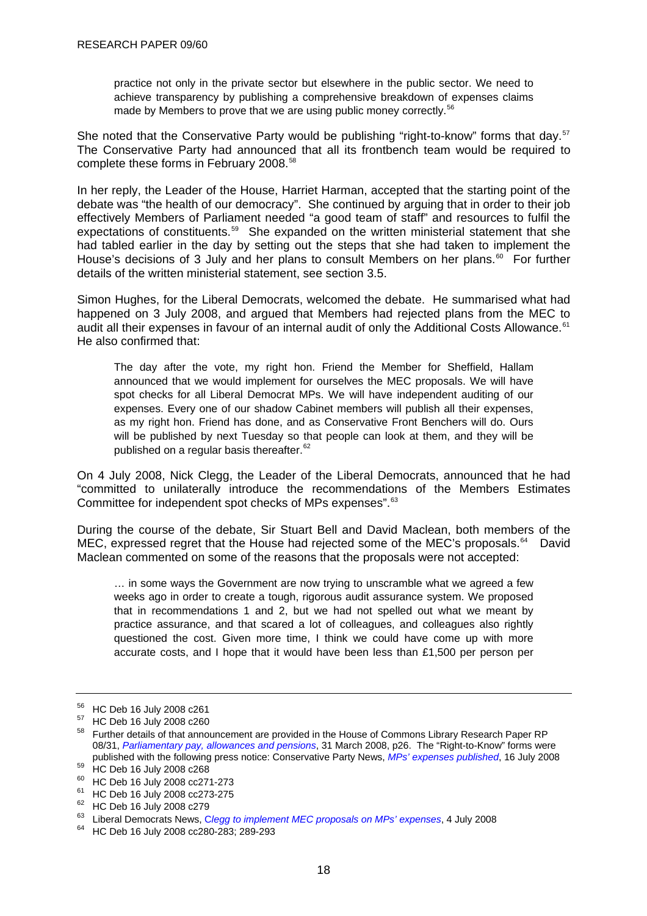<span id="page-21-0"></span>practice not only in the private sector but elsewhere in the public sector. We need to achieve transparency by publishing a comprehensive breakdown of expenses claims made by Members to prove that we are using public money correctly.<sup>[56](#page-21-0)</sup>

She noted that the Conservative Party would be publishing "right-to-know" forms that day.<sup>[57](#page-21-0)</sup> The Conservative Party had announced that all its frontbench team would be required to complete these forms in February 2008.<sup>[58](#page-21-0)</sup>

In her reply, the Leader of the House, Harriet Harman, accepted that the starting point of the debate was "the health of our democracy". She continued by arguing that in order to their job effectively Members of Parliament needed "a good team of staff" and resources to fulfil the expectations of constituents.<sup>[59](#page-21-0)</sup> She expanded on the written ministerial statement that she had tabled earlier in the day by setting out the steps that she had taken to implement the House's decisions of 3 July and her plans to consult Members on her plans.<sup>[60](#page-21-0)</sup> For further details of the written ministerial statement, see section 3.5.

Simon Hughes, for the Liberal Democrats, welcomed the debate. He summarised what had happened on 3 July 2008, and argued that Members had rejected plans from the MEC to audit all their expenses in favour of an internal audit of only the Additional Costs Allowance.<sup>[61](#page-21-0)</sup> He also confirmed that:

The day after the vote, my right hon. Friend the Member for Sheffield, Hallam announced that we would implement for ourselves the MEC proposals. We will have spot checks for all Liberal Democrat MPs. We will have independent auditing of our expenses. Every one of our shadow Cabinet members will publish all their expenses, as my right hon. Friend has done, and as Conservative Front Benchers will do. Ours will be published by next Tuesday so that people can look at them, and they will be published on a regular basis thereafter. $62$ 

On 4 July 2008, Nick Clegg, the Leader of the Liberal Democrats, announced that he had "committed to unilaterally introduce the recommendations of the Members Estimates Committee for independent spot checks of MPs expenses".<sup>[63](#page-21-0)</sup>

During the course of the debate, Sir Stuart Bell and David Maclean, both members of the MEC, expressed regret that the House had rejected some of the MEC's proposals.<sup>[64](#page-21-0)</sup> David Maclean commented on some of the reasons that the proposals were not accepted:

… in some ways the Government are now trying to unscramble what we agreed a few weeks ago in order to create a tough, rigorous audit assurance system. We proposed that in recommendations 1 and 2, but we had not spelled out what we meant by practice assurance, and that scared a lot of colleagues, and colleagues also rightly questioned the cost. Given more time, I think we could have come up with more accurate costs, and I hope that it would have been less than £1,500 per person per

<sup>56</sup> HC Deb 16 July 2008 c261

 $^{57}$  HC Deb 16 July 2008 c260

<sup>58</sup> Further details of that announcement are provided in the House of Commons Library Research Paper RP 08/31, *[Parliamentary pay, allowances and pensions](http://www.parliament.uk/commons/lib/research/rp2008/rp08-031.pdf)*, 31 March 2008, p26. The "Right-to-Know" forms were published with the following press notice: Conservative Party News, *MPs' expenses published*[,](http://www.conservatives.com/tile.do?def=news.story.page&obj_id=145781) 16 July 2008 59 HC Deb 16 July 2008 c268

<sup>60</sup> HC Deb 16 July 2008 cc271-273

<sup>61</sup> HC Deb 16 July 2008 cc273-275

<sup>62</sup> HC Deb 16 July 2008 c279

<sup>&</sup>lt;sup>63</sup> Liberal Democrats News[,](http://www.libdems.org.uk/government/story.html?id=14633) Clegg to implement MEC proposals on MPs' expenses, 4 July 2008<br><sup>64</sup> HC Deb 16 July 2008 cc280-283; 289-293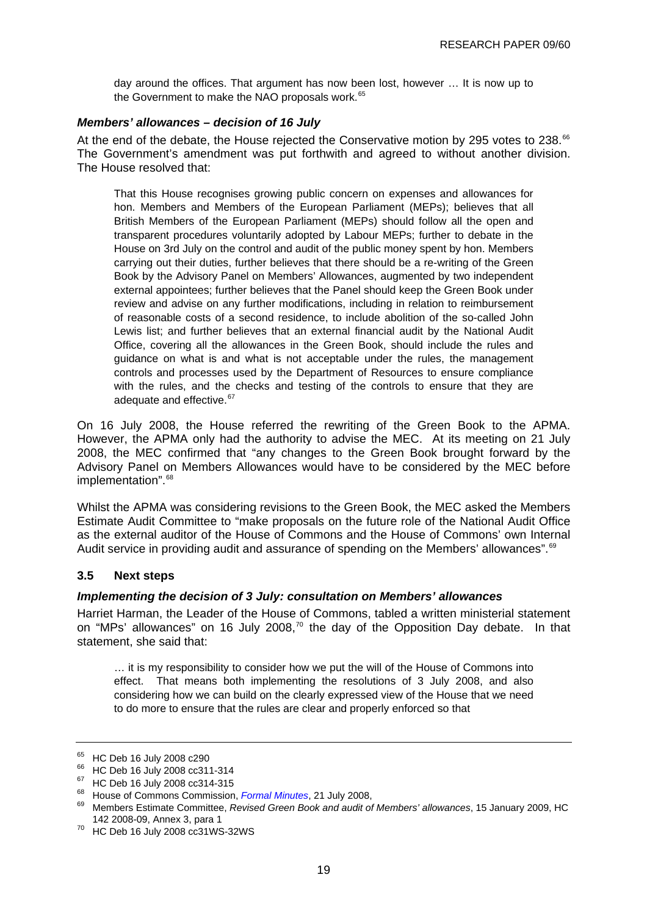<span id="page-22-0"></span>day around the offices. That argument has now been lost, however … It is now up to the Government to make the NAO proposals work.<sup>[65](#page-22-0)</sup>

## *Members' allowances – decision of 16 July*

At the end of the debate, the House rejected the Conservative motion by 295 votes to 238.<sup>[66](#page-22-0)</sup> The Government's amendment was put forthwith and agreed to without another division. The House resolved that:

That this House recognises growing public concern on expenses and allowances for hon. Members and Members of the European Parliament (MEPs); believes that all British Members of the European Parliament (MEPs) should follow all the open and transparent procedures voluntarily adopted by Labour MEPs; further to debate in the House on 3rd July on the control and audit of the public money spent by hon. Members carrying out their duties, further believes that there should be a re-writing of the Green Book by the Advisory Panel on Members' Allowances, augmented by two independent external appointees; further believes that the Panel should keep the Green Book under review and advise on any further modifications, including in relation to reimbursement of reasonable costs of a second residence, to include abolition of the so-called John Lewis list; and further believes that an external financial audit by the National Audit Office, covering all the allowances in the Green Book, should include the rules and guidance on what is and what is not acceptable under the rules, the management controls and processes used by the Department of Resources to ensure compliance with the rules, and the checks and testing of the controls to ensure that they are adequate and effective.<sup>[67](#page-22-0)</sup>

On 16 July 2008, the House referred the rewriting of the Green Book to the APMA. However, the APMA only had the authority to advise the MEC. At its meeting on 21 July 2008, the MEC confirmed that "any changes to the Green Book brought forward by the Advisory Panel on Members Allowances would have to be considered by the MEC before implementation". [68](#page-22-0)

Whilst the APMA was considering revisions to the Green Book, the MEC asked the Members Estimate Audit Committee to "make proposals on the future role of the National Audit Office as the external auditor of the House of Commons and the House of Commons' own Internal Audit service in providing audit and assurance of spending on the Members' allowances".<sup>[69](#page-22-0)</sup>

## **3.5 Next steps**

#### *Implementing the decision of 3 July: consultation on Members' allowances*

Harriet Harman, the Leader of the House of Commons, tabled a written ministerial statement on "MPs' allowances" on 16 July 2008.<sup>[70](#page-22-0)</sup> the day of the Opposition Day debate. In that statement, she said that:

… it is my responsibility to consider how we put the will of the House of Commons into effect. That means both implementing the resolutions of 3 July 2008, and also considering how we can build on the clearly expressed view of the House that we need to do more to ensure that the rules are clear and properly enforced so that

<sup>65</sup> HC Deb 16 July 2008 c290

<sup>66</sup> HC Deb 16 July 2008 cc311-314

 $^{67}$  HC Deb 16 July 2008 cc314-315<br> $^{68}$  House of Commons Commission, *Formal Minutes*, 21 July 2008,

<sup>&</sup>lt;sup>69</sup> Members Estimate Committee[,](http://www.parliament.uk/about_commons/house_of_commons_commission_/hccfm210708.cfm) *Revised Green Book and audit of Members' allowances*, 15 January 2009, HC<br>142 2008-09, Annex 3, para 1

 $10^{70}$  HC Deb 16 July 2008 cc31WS-32WS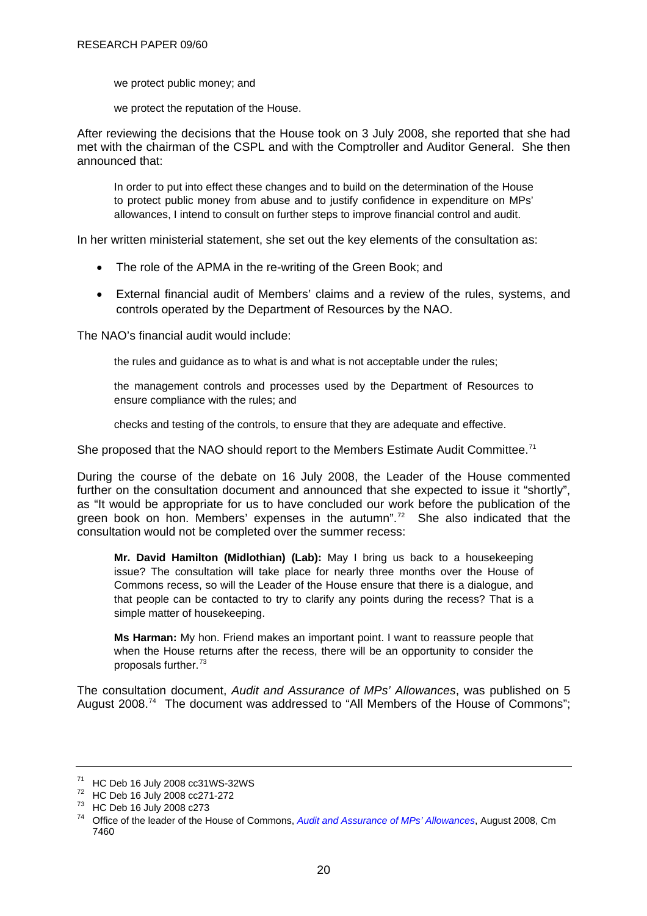<span id="page-23-0"></span>we protect public money; and

we protect the reputation of the House.

After reviewing the decisions that the House took on 3 July 2008, she reported that she had met with the chairman of the CSPL and with the Comptroller and Auditor General. She then announced that:

In order to put into effect these changes and to build on the determination of the House to protect public money from abuse and to justify confidence in expenditure on MPs' allowances, I intend to consult on further steps to improve financial control and audit.

In her written ministerial statement, she set out the key elements of the consultation as:

- The role of the APMA in the re-writing of the Green Book; and
- External financial audit of Members' claims and a review of the rules, systems, and controls operated by the Department of Resources by the NAO.

The NAO's financial audit would include:

the rules and guidance as to what is and what is not acceptable under the rules;

the management controls and processes used by the Department of Resources to ensure compliance with the rules; and

checks and testing of the controls, to ensure that they are adequate and effective.

She proposed that the NAO should report to the Members Estimate Audit Committee.<sup>[71](#page-23-0)</sup>

During the course of the debate on 16 July 2008, the Leader of the House commented further on the consultation document and announced that she expected to issue it "shortly", as "It would be appropriate for us to have concluded our work before the publication of the green book on hon. Members' expenses in the autumn".[72](#page-23-0) She also indicated that the consultation would not be completed over the summer recess:

**Mr. David Hamilton (Midlothian) (Lab):** May I bring us back to a housekeeping issue? The consultation will take place for nearly three months over the House of Commons recess, so will the Leader of the House ensure that there is a dialogue, and that people can be contacted to try to clarify any points during the recess? That is a simple matter of housekeeping.

**Ms Harman:** My hon. Friend makes an important point. I want to reassure people that when the House returns after the recess, there will be an opportunity to consider the proposals further.[73](#page-23-0)

The consultation document, *Audit and Assurance of MPs' Allowances*, was published on 5 August 2008.<sup>[74](#page-23-0)</sup> The document was addressed to "All Members of the House of Commons";

 $71$  HC Deb 16 July 2008 cc31WS-32WS

<sup>72</sup> HC Deb 16 July 2008 cc271-272

<sup>73</sup> HC Deb 16 July 2008 c273

<sup>74</sup> Office of the leader of the House of Commons, *[Audit and Assurance of MPs' Allowances](http://www.official-documents.gov.uk/document/cm74/7460/7460.pdf)*, August 2008, Cm 7460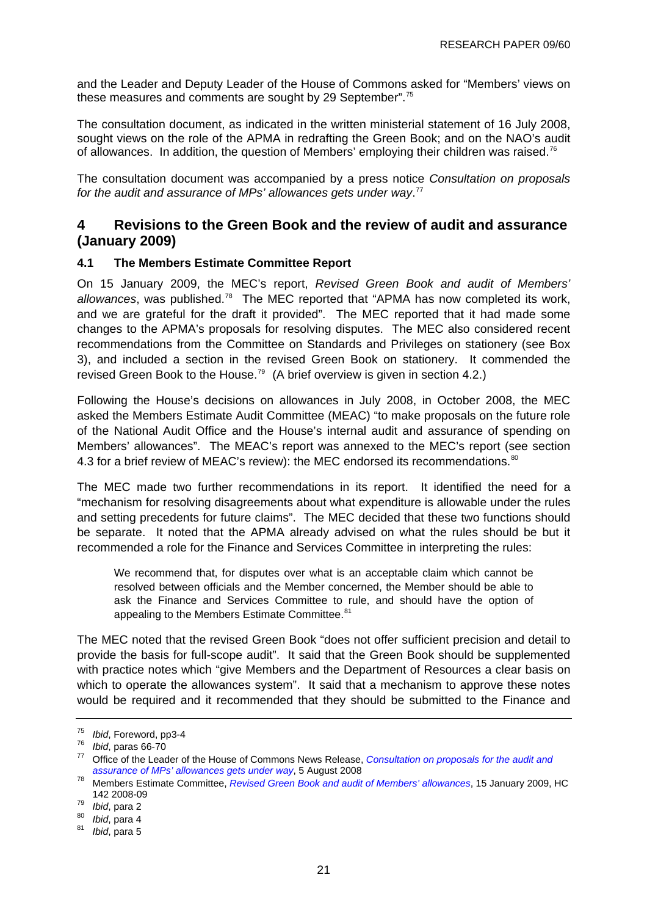<span id="page-24-0"></span>and the Leader and Deputy Leader of the House of Commons asked for "Members' views on these measures and comments are sought by 29 September".<sup>[75](#page-24-0)</sup>

The consultation document, as indicated in the written ministerial statement of 16 July 2008, sought views on the role of the APMA in redrafting the Green Book; and on the NAO's audit of allowances. In addition, the question of Members' employing their children was raised.<sup>[76](#page-24-0)</sup>

The consultation document was accompanied by a press notice *Consultation on proposals for the audit and assurance of MPs' allowances gets under way*. [77](#page-24-0)

# **4 Revisions to the Green Book and the review of audit and assurance (January 2009)**

## **4.1 The Members Estimate Committee Report**

On 15 January 2009, the MEC's report, *Revised Green Book and audit of Members' allowances*, was published.[78](#page-24-0) The MEC reported that "APMA has now completed its work, and we are grateful for the draft it provided". The MEC reported that it had made some changes to the APMA's proposals for resolving disputes. The MEC also considered recent recommendations from the Committee on Standards and Privileges on stationery (see Box 3), and included a section in the revised Green Book on stationery. It commended the revised Green Book to the House.<sup>[79](#page-24-0)</sup> (A brief overview is given in section 4.2.)

Following the House's decisions on allowances in July 2008, in October 2008, the MEC asked the Members Estimate Audit Committee (MEAC) "to make proposals on the future role of the National Audit Office and the House's internal audit and assurance of spending on Members' allowances". The MEAC's report was annexed to the MEC's report (see section 4.3 for a brief review of MEAC's review): the MEC endorsed its recommendations.<sup>[80](#page-24-0)</sup>

The MEC made two further recommendations in its report. It identified the need for a "mechanism for resolving disagreements about what expenditure is allowable under the rules and setting precedents for future claims". The MEC decided that these two functions should be separate. It noted that the APMA already advised on what the rules should be but it recommended a role for the Finance and Services Committee in interpreting the rules:

We recommend that, for disputes over what is an acceptable claim which cannot be resolved between officials and the Member concerned, the Member should be able to ask the Finance and Services Committee to rule, and should have the option of appealing to the Members Estimate Committee.<sup>[81](#page-24-0)</sup>

The MEC noted that the revised Green Book "does not offer sufficient precision and detail to provide the basis for full-scope audit". It said that the Green Book should be supplemented with practice notes which "give Members and the Department of Resources a clear basis on which to operate the allowances system". It said that a mechanism to approve these notes would be required and it recommended that they should be submitted to the Finance and

<sup>75</sup>*Ibid*, Foreword, pp3-4 76 *Ibid*, paras 66-70 77 Office of the Leader of the House of Commons News Release, *[Consultation on proposals for the audit and](http://www.commonsleader.gov.uk/output/Page2540.asp)* 

*assurance of MPs' allowances gets under way*[,](http://www.commonsleader.gov.uk/output/Page2540.asp) 5 August 2008 78 Members Estimate Committee, *[Revised Green Book and audit of Members' allowances](http://www.publications.parliament.uk/pa/cm200809/cmselect/cmmemest/142/142.pdf)*, 15 January 2009, HC 142 2008-09 79 *Ibid*, para 2 80 *Ibid*, para 4 81 *Ibid*, para 5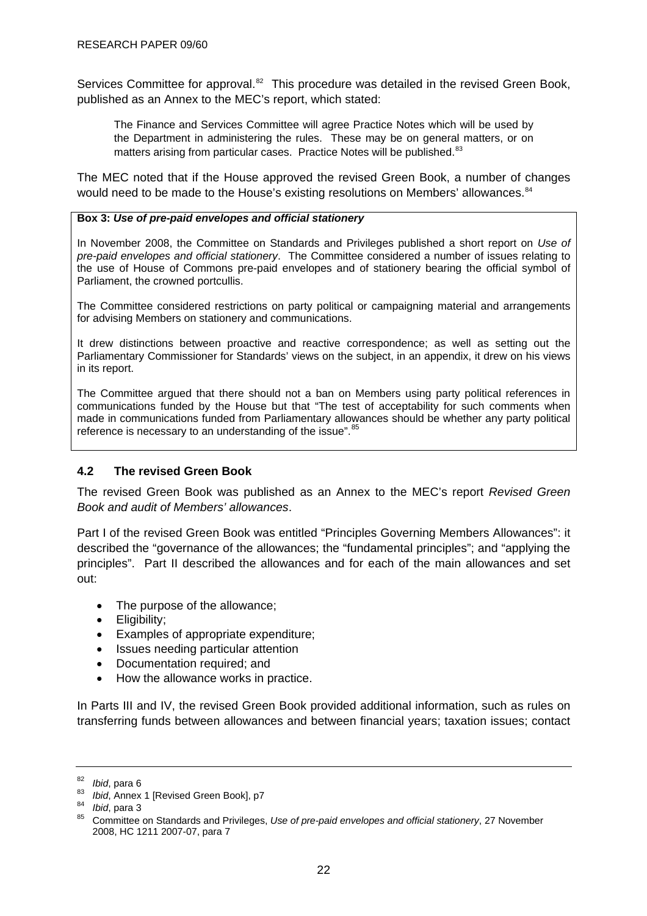<span id="page-25-0"></span>Services Committee for approval.<sup>[82](#page-25-0)</sup> This procedure was detailed in the revised Green Book, published as an Annex to the MEC's report, which stated:

The Finance and Services Committee will agree Practice Notes which will be used by the Department in administering the rules. These may be on general matters, or on matters arising from particular cases. Practice Notes will be published.<sup>[83](#page-25-0)</sup>

The MEC noted that if the House approved the revised Green Book, a number of changes would need to be made to the House's existing resolutions on Members' allowances.<sup>[84](#page-25-0)</sup>

#### **Box 3:** *Use of pre-paid envelopes and official stationery*

In November 2008, the Committee on Standards and Privileges published a short report on *Use of pre-paid envelopes and official stationery*. The Committee considered a number of issues relating to the use of House of Commons pre-paid envelopes and of stationery bearing the official symbol of Parliament, the crowned portcullis.

The Committee considered restrictions on party political or campaigning material and arrangements for advising Members on stationery and communications.

It drew distinctions between proactive and reactive correspondence; as well as setting out the Parliamentary Commissioner for Standards' views on the subject, in an appendix, it drew on his views in its report.

The Committee argued that there should not a ban on Members using party political references in communications funded by the House but that "The test of acceptability for such comments when made in communications funded from Parliamentary allowances should be whether any party political reference is necessary to an understanding of the issue".<sup>[85](#page-25-0)</sup>

## **4.2 The revised Green Book**

The revised Green Book was published as an Annex to the MEC's report *Revised Green Book and audit of Members' allowances*.

Part I of the revised Green Book was entitled "Principles Governing Members Allowances": it described the "governance of the allowances; the "fundamental principles"; and "applying the principles". Part II described the allowances and for each of the main allowances and set out:

- The purpose of the allowance;
- Eligibility;
- Examples of appropriate expenditure;
- Issues needing particular attention
- Documentation required; and
- How the allowance works in practice.

In Parts III and IV, the revised Green Book provided additional information, such as rules on transferring funds between allowances and between financial years; taxation issues; contact

<sup>&</sup>lt;sup>82</sup> *Ibid*, para 6<br><sup>83</sup> *Ibid*, Annex 1 [Revised Green Book], p7<br><sup>84</sup> *Ibid*, para 3<br><sup>85</sup> Committee on Standards and Privileges, *Use of pre-paid envelopes and official stationery*, 27 November 2008, HC 1211 2007-07, para 7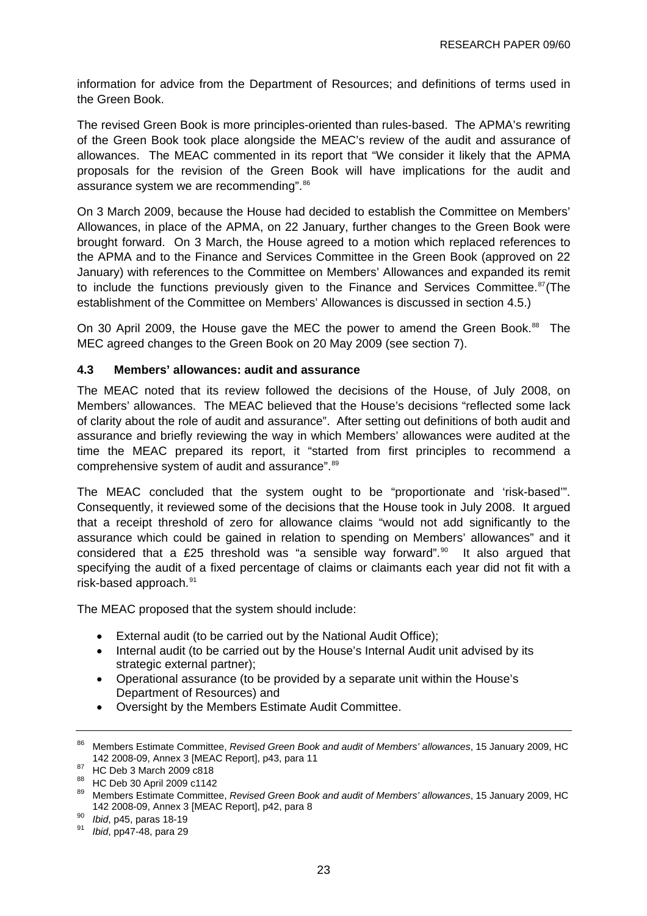<span id="page-26-0"></span>information for advice from the Department of Resources; and definitions of terms used in the Green Book.

The revised Green Book is more principles-oriented than rules-based. The APMA's rewriting of the Green Book took place alongside the MEAC's review of the audit and assurance of allowances. The MEAC commented in its report that "We consider it likely that the APMA proposals for the revision of the Green Book will have implications for the audit and assurance system we are recommending". [86](#page-26-0)

On 3 March 2009, because the House had decided to establish the Committee on Members' Allowances, in place of the APMA, on 22 January, further changes to the Green Book were brought forward. On 3 March, the House agreed to a motion which replaced references to the APMA and to the Finance and Services Committee in the Green Book (approved on 22 January) with references to the Committee on Members' Allowances and expanded its remit to include the functions previously given to the Finance and Services Committee. $87$ (The establishment of the Committee on Members' Allowances is discussed in section 4.5.)

On 30 April 2009, the House gave the MEC the power to amend the Green Book.<sup>[88](#page-26-0)</sup> The MEC agreed changes to the Green Book on 20 May 2009 (see section 7).

## **4.3 Members' allowances: audit and assurance**

The MEAC noted that its review followed the decisions of the House, of July 2008, on Members' allowances. The MEAC believed that the House's decisions "reflected some lack of clarity about the role of audit and assurance". After setting out definitions of both audit and assurance and briefly reviewing the way in which Members' allowances were audited at the time the MEAC prepared its report, it "started from first principles to recommend a comprehensive system of audit and assurance".<sup>[89](#page-26-0)</sup>

The MEAC concluded that the system ought to be "proportionate and 'risk-based'". Consequently, it reviewed some of the decisions that the House took in July 2008. It argued that a receipt threshold of zero for allowance claims "would not add significantly to the assurance which could be gained in relation to spending on Members' allowances" and it considered that a £25 threshold was "a sensible way forward".<sup>[90](#page-26-0)</sup> It also argued that specifying the audit of a fixed percentage of claims or claimants each year did not fit with a risk-based approach.<sup>[91](#page-26-0)</sup>

The MEAC proposed that the system should include:

- External audit (to be carried out by the National Audit Office);
- Internal audit (to be carried out by the House's Internal Audit unit advised by its strategic external partner);
- Operational assurance (to be provided by a separate unit within the House's Department of Resources) and
- Oversight by the Members Estimate Audit Committee.

<sup>86</sup> Members Estimate Committee, *Revised Green Book and audit of Members' allowances*, 15 January 2009, HC 142 2008-09, Annex 3 [MEAC Report], p43, para 11 87 HC Deb 3 March 2009 c818

<sup>88</sup> HC Deb 30 April 2009 c1142

<sup>89</sup> Members Estimate Committee, *Revised Green Book and audit of Members' allowances*, 15 January 2009, HC 142 2008-09, Annex 3 [MEAC Report], p42, para 8 90 *Ibid*, p45, paras 18-19 91 *Ibid*, pp47-48, para 29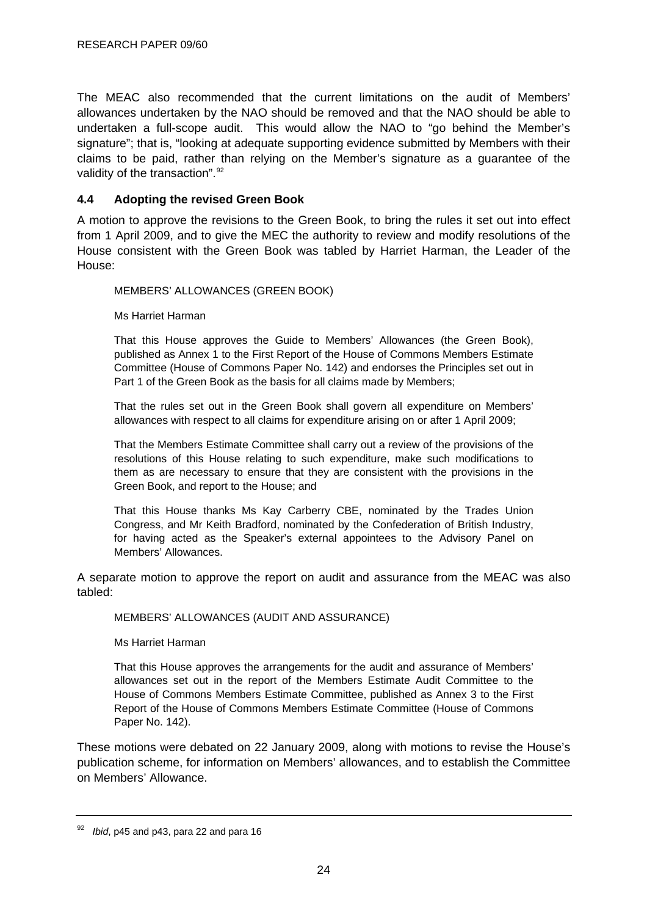<span id="page-27-0"></span>The MEAC also recommended that the current limitations on the audit of Members' allowances undertaken by the NAO should be removed and that the NAO should be able to undertaken a full-scope audit. This would allow the NAO to "go behind the Member's signature"; that is, "looking at adequate supporting evidence submitted by Members with their claims to be paid, rather than relying on the Member's signature as a guarantee of the validity of the transaction".<sup>[92](#page-27-0)</sup>

## **4.4 Adopting the revised Green Book**

A motion to approve the revisions to the Green Book, to bring the rules it set out into effect from 1 April 2009, and to give the MEC the authority to review and modify resolutions of the House consistent with the Green Book was tabled by Harriet Harman, the Leader of the House:

## MEMBERS' ALLOWANCES (GREEN BOOK)

Ms Harriet Harman

That this House approves the Guide to Members' Allowances (the Green Book), published as Annex 1 to the First Report of the House of Commons Members Estimate Committee (House of Commons Paper No. 142) and endorses the Principles set out in Part 1 of the Green Book as the basis for all claims made by Members;

That the rules set out in the Green Book shall govern all expenditure on Members' allowances with respect to all claims for expenditure arising on or after 1 April 2009;

That the Members Estimate Committee shall carry out a review of the provisions of the resolutions of this House relating to such expenditure, make such modifications to them as are necessary to ensure that they are consistent with the provisions in the Green Book, and report to the House; and

That this House thanks Ms Kay Carberry CBE, nominated by the Trades Union Congress, and Mr Keith Bradford, nominated by the Confederation of British Industry, for having acted as the Speaker's external appointees to the Advisory Panel on Members' Allowances.

A separate motion to approve the report on audit and assurance from the MEAC was also tabled:

#### MEMBERS' ALLOWANCES (AUDIT AND ASSURANCE)

Ms Harriet Harman

That this House approves the arrangements for the audit and assurance of Members' allowances set out in the report of the Members Estimate Audit Committee to the House of Commons Members Estimate Committee, published as Annex 3 to the First Report of the House of Commons Members Estimate Committee (House of Commons Paper No. 142).

These motions were debated on 22 January 2009, along with motions to revise the House's publication scheme, for information on Members' allowances, and to establish the Committee on Members' Allowance.

<sup>92</sup> *Ibid*, p45 and p43, para 22 and para 16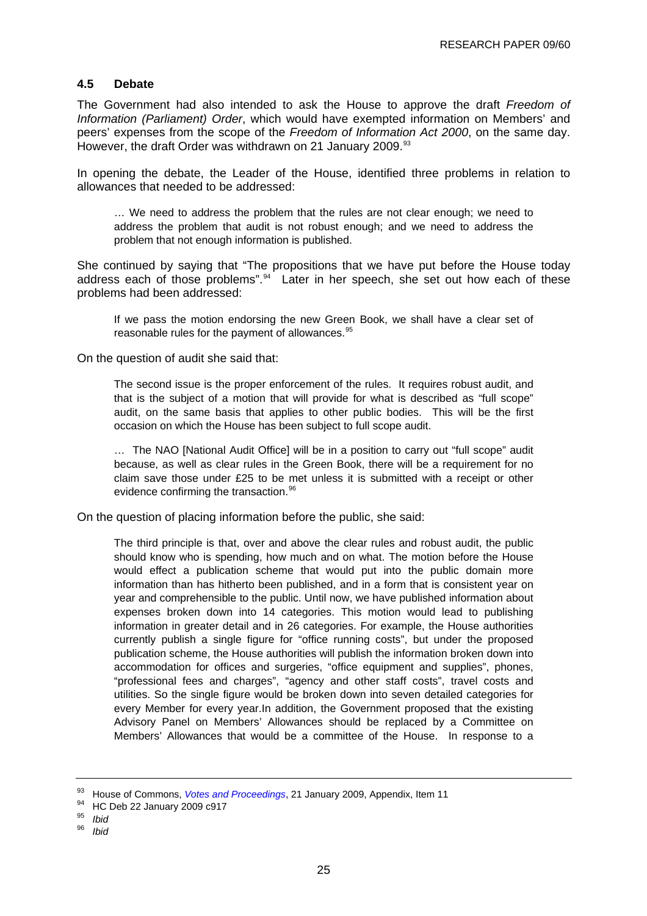## <span id="page-28-0"></span>**4.5 Debate**

The Government had also intended to ask the House to approve the draft *Freedom of Information (Parliament) Order*, which would have exempted information on Members' and peers' expenses from the scope of the *Freedom of Information Act 2000*, on the same day. However, the draft Order was withdrawn on 21 January 2009.<sup>[93](#page-28-0)</sup>

In opening the debate, the Leader of the House, identified three problems in relation to allowances that needed to be addressed:

… We need to address the problem that the rules are not clear enough; we need to address the problem that audit is not robust enough; and we need to address the problem that not enough information is published.

She continued by saying that "The propositions that we have put before the House today address each of those problems".<sup>[94](#page-28-0)</sup> Later in her speech, she set out how each of these problems had been addressed:

If we pass the motion endorsing the new Green Book, we shall have a clear set of reasonable rules for the payment of allowances.<sup>[95](#page-28-0)</sup>

On the question of audit she said that:

The second issue is the proper enforcement of the rules. It requires robust audit, and that is the subject of a motion that will provide for what is described as "full scope" audit, on the same basis that applies to other public bodies. This will be the first occasion on which the House has been subject to full scope audit.

… The NAO [National Audit Office] will be in a position to carry out "full scope" audit because, as well as clear rules in the Green Book, there will be a requirement for no claim save those under £25 to be met unless it is submitted with a receipt or other evidence confirming the transaction.<sup>[96](#page-28-0)</sup>

On the question of placing information before the public, she said:

The third principle is that, over and above the clear rules and robust audit, the public should know who is spending, how much and on what. The motion before the House would effect a publication scheme that would put into the public domain more information than has hitherto been published, and in a form that is consistent year on year and comprehensible to the public. Until now, we have published information about expenses broken down into 14 categories. This motion would lead to publishing information in greater detail and in 26 categories. For example, the House authorities currently publish a single figure for "office running costs", but under the proposed publication scheme, the House authorities will publish the information broken down into accommodation for offices and surgeries, "office equipment and supplies", phones, "professional fees and charges", "agency and other staff costs", travel costs and utilities. So the single figure would be broken down into seven detailed categories for every Member for every year.In addition, the Government proposed that the existing Advisory Panel on Members' Allowances should be replaced by a Committee on Members' Allowances that would be a committee of the House. In response to a

<sup>93</sup> House of Commons[,](http://www.publications.parliament.uk/pa/cm200809/cmvote/90121v01.htm) *Votes and Proceedings*, 21 January 2009, Appendix, Item 11<br>94 HC Deb 22 January 2009 c917<br>95 Ibid

<sup>95</sup> *Ibid* 

*Ibid*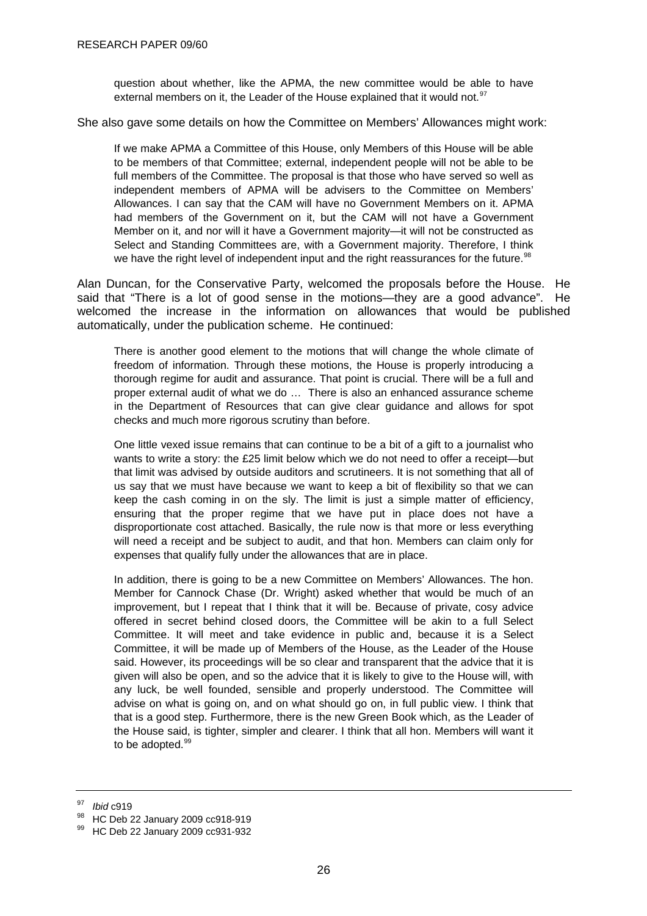<span id="page-29-0"></span>question about whether, like the APMA, the new committee would be able to have external members on it, the Leader of the House explained that it would not.  $97$ 

She also gave some details on how the Committee on Members' Allowances might work:

If we make APMA a Committee of this House, only Members of this House will be able to be members of that Committee; external, independent people will not be able to be full members of the Committee. The proposal is that those who have served so well as independent members of APMA will be advisers to the Committee on Members' Allowances. I can say that the CAM will have no Government Members on it. APMA had members of the Government on it, but the CAM will not have a Government Member on it, and nor will it have a Government majority—it will not be constructed as Select and Standing Committees are, with a Government majority. Therefore, I think we have the right level of independent input and the right reassurances for the future.<sup>[98](#page-29-0)</sup>

Alan Duncan, for the Conservative Party, welcomed the proposals before the House. He said that "There is a lot of good sense in the motions—they are a good advance". He welcomed the increase in the information on allowances that would be published automatically, under the publication scheme. He continued:

There is another good element to the motions that will change the whole climate of freedom of information. Through these motions, the House is properly introducing a thorough regime for audit and assurance. That point is crucial. There will be a full and proper external audit of what we do … There is also an enhanced assurance scheme in the Department of Resources that can give clear guidance and allows for spot checks and much more rigorous scrutiny than before.

One little vexed issue remains that can continue to be a bit of a gift to a journalist who wants to write a story: the £25 limit below which we do not need to offer a receipt—but that limit was advised by outside auditors and scrutineers. It is not something that all of us say that we must have because we want to keep a bit of flexibility so that we can keep the cash coming in on the sly. The limit is just a simple matter of efficiency, ensuring that the proper regime that we have put in place does not have a disproportionate cost attached. Basically, the rule now is that more or less everything will need a receipt and be subject to audit, and that hon. Members can claim only for expenses that qualify fully under the allowances that are in place.

In addition, there is going to be a new Committee on Members' Allowances. The hon. Member for Cannock Chase (Dr. Wright) asked whether that would be much of an improvement, but I repeat that I think that it will be. Because of private, cosy advice offered in secret behind closed doors, the Committee will be akin to a full Select Committee. It will meet and take evidence in public and, because it is a Select Committee, it will be made up of Members of the House, as the Leader of the House said. However, its proceedings will be so clear and transparent that the advice that it is given will also be open, and so the advice that it is likely to give to the House will, with any luck, be well founded, sensible and properly understood. The Committee will advise on what is going on, and on what should go on, in full public view. I think that that is a good step. Furthermore, there is the new Green Book which, as the Leader of the House said, is tighter, simpler and clearer. I think that all hon. Members will want it to be adopted.<sup>[99](#page-29-0)</sup>

<sup>97</sup>*Ibid* c919 98 HC Deb 22 January 2009 cc918-919

<sup>99</sup> HC Deb 22 January 2009 cc931-932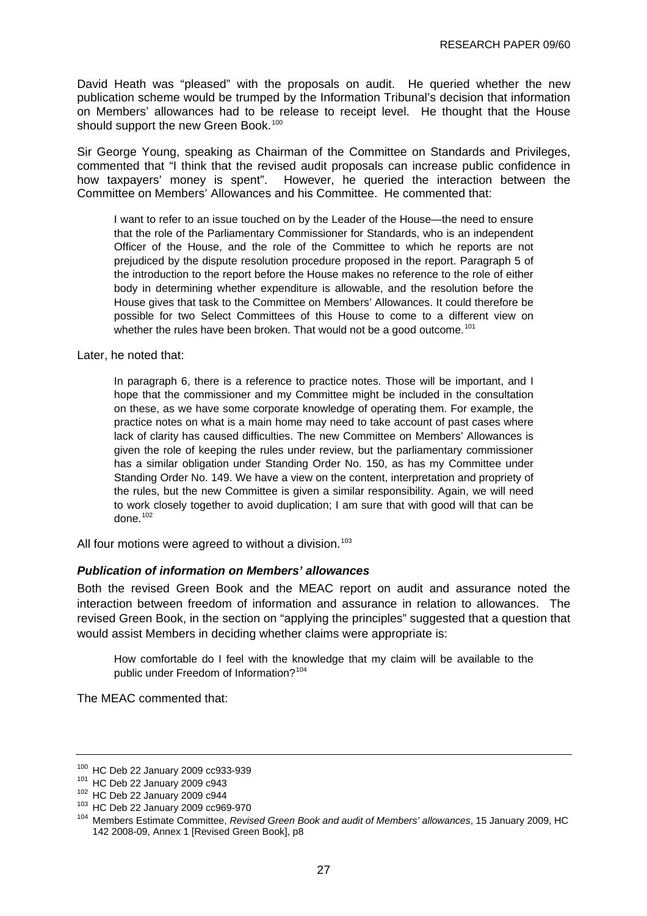<span id="page-30-0"></span>David Heath was "pleased" with the proposals on audit. He queried whether the new publication scheme would be trumped by the Information Tribunal's decision that information on Members' allowances had to be release to receipt level. He thought that the House should support the new Green Book.<sup>[100](#page-30-0)</sup>

Sir George Young, speaking as Chairman of the Committee on Standards and Privileges, commented that "I think that the revised audit proposals can increase public confidence in how taxpayers' money is spent". However, he queried the interaction between the Committee on Members' Allowances and his Committee. He commented that:

I want to refer to an issue touched on by the Leader of the House—the need to ensure that the role of the Parliamentary Commissioner for Standards, who is an independent Officer of the House, and the role of the Committee to which he reports are not prejudiced by the dispute resolution procedure proposed in the report. Paragraph 5 of the introduction to the report before the House makes no reference to the role of either body in determining whether expenditure is allowable, and the resolution before the House gives that task to the Committee on Members' Allowances. It could therefore be possible for two Select Committees of this House to come to a different view on whether the rules have been broken. That would not be a good outcome.<sup>[101](#page-30-0)</sup>

Later, he noted that:

In paragraph 6, there is a reference to practice notes. Those will be important, and I hope that the commissioner and my Committee might be included in the consultation on these, as we have some corporate knowledge of operating them. For example, the practice notes on what is a main home may need to take account of past cases where lack of clarity has caused difficulties. The new Committee on Members' Allowances is given the role of keeping the rules under review, but the parliamentary commissioner has a similar obligation under Standing Order No. 150, as has my Committee under Standing Order No. 149. We have a view on the content, interpretation and propriety of the rules, but the new Committee is given a similar responsibility. Again, we will need to work closely together to avoid duplication; I am sure that with good will that can be done.<sup>[102](#page-30-0)</sup>

All four motions were agreed to without a division.<sup>[103](#page-30-0)</sup>

## *Publication of information on Members' allowances*

Both the revised Green Book and the MEAC report on audit and assurance noted the interaction between freedom of information and assurance in relation to allowances. The revised Green Book, in the section on "applying the principles" suggested that a question that would assist Members in deciding whether claims were appropriate is:

How comfortable do I feel with the knowledge that my claim will be available to the public under Freedom of Information?<sup>[104](#page-30-0)</sup>

The MEAC commented that:

<sup>&</sup>lt;sup>100</sup> HC Deb 22 January 2009 cc933-939<br><sup>101</sup> HC Deb 22 January 2009 c943<br><sup>102</sup> HC Deb 22 January 2009 c944<br><sup>103</sup> HC Deb 22 January 2009 cc969-970<br><sup>104</sup> Members Estimate Committee, *Revised Green Book and audit of Members'* 142 2008-09, Annex 1 [Revised Green Book], p8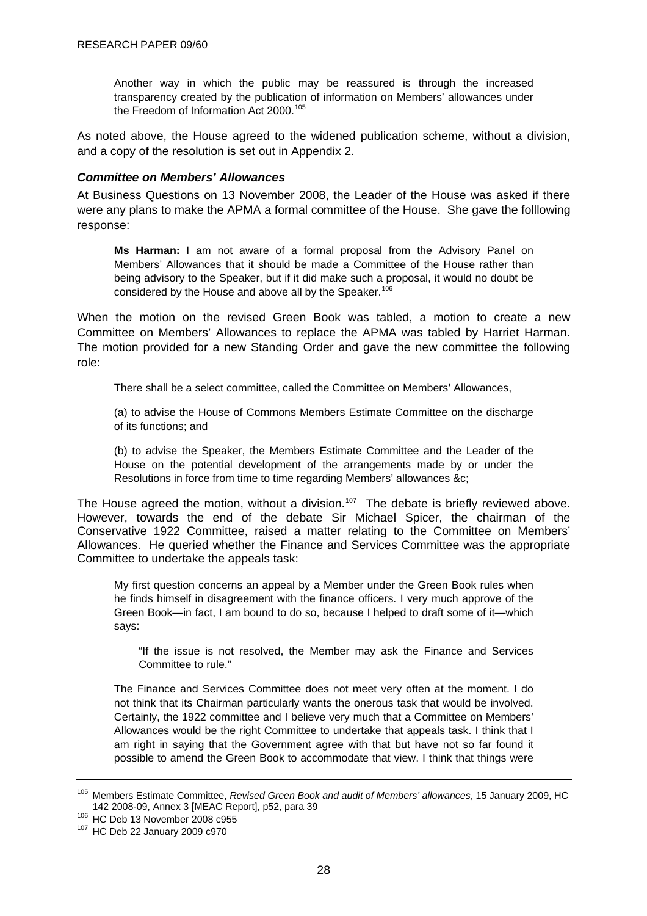<span id="page-31-0"></span>Another way in which the public may be reassured is through the increased transparency created by the publication of information on Members' allowances under the Freedom of Information Act 2000.<sup>[105](#page-31-0)</sup>

As noted above, the House agreed to the widened publication scheme, without a division, and a copy of the resolution is set out in Appendix 2.

## *Committee on Members' Allowances*

At Business Questions on 13 November 2008, the Leader of the House was asked if there were any plans to make the APMA a formal committee of the House. She gave the folllowing response:

**Ms Harman:** I am not aware of a formal proposal from the Advisory Panel on Members' Allowances that it should be made a Committee of the House rather than being advisory to the Speaker, but if it did make such a proposal, it would no doubt be considered by the House and above all by the Speaker.<sup>[106](#page-31-0)</sup>

When the motion on the revised Green Book was tabled, a motion to create a new Committee on Members' Allowances to replace the APMA was tabled by Harriet Harman. The motion provided for a new Standing Order and gave the new committee the following role:

There shall be a select committee, called the Committee on Members' Allowances,

(a) to advise the House of Commons Members Estimate Committee on the discharge of its functions; and

(b) to advise the Speaker, the Members Estimate Committee and the Leader of the House on the potential development of the arrangements made by or under the Resolutions in force from time to time regarding Members' allowances &c;

The House agreed the motion, without a division.<sup>[107](#page-31-0)</sup> The debate is briefly reviewed above. However, towards the end of the debate Sir Michael Spicer, the chairman of the Conservative 1922 Committee, raised a matter relating to the Committee on Members' Allowances. He queried whether the Finance and Services Committee was the appropriate Committee to undertake the appeals task:

My first question concerns an appeal by a Member under the Green Book rules when he finds himself in disagreement with the finance officers. I very much approve of the Green Book—in fact, I am bound to do so, because I helped to draft some of it—which says:

"If the issue is not resolved, the Member may ask the Finance and Services Committee to rule."

The Finance and Services Committee does not meet very often at the moment. I do not think that its Chairman particularly wants the onerous task that would be involved. Certainly, the 1922 committee and I believe very much that a Committee on Members' Allowances would be the right Committee to undertake that appeals task. I think that I am right in saying that the Government agree with that but have not so far found it possible to amend the Green Book to accommodate that view. I think that things were

<sup>105</sup> Members Estimate Committee, *Revised Green Book and audit of Members' allowances*, 15 January 2009, HC

 $106$  HC Deb 13 November 2008 c955  $107$  HC Deb 22 January 2009 c970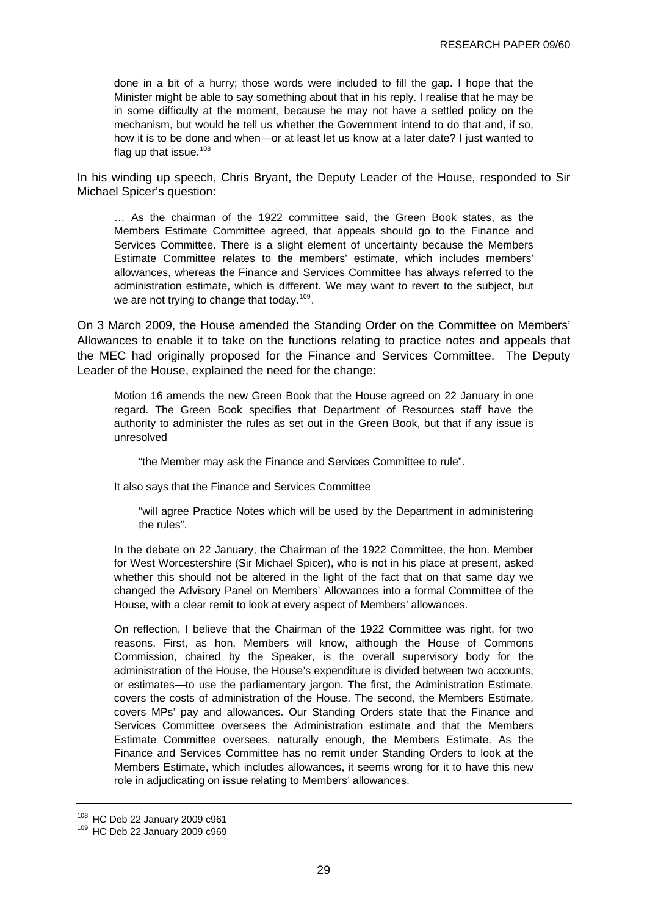<span id="page-32-0"></span>done in a bit of a hurry; those words were included to fill the gap. I hope that the Minister might be able to say something about that in his reply. I realise that he may be in some difficulty at the moment, because he may not have a settled policy on the mechanism, but would he tell us whether the Government intend to do that and, if so, how it is to be done and when—or at least let us know at a later date? I just wanted to flag up that issue. $108$ 

In his winding up speech, Chris Bryant, the Deputy Leader of the House, responded to Sir Michael Spicer's question:

… As the chairman of the 1922 committee said, the Green Book states, as the Members Estimate Committee agreed, that appeals should go to the Finance and Services Committee. There is a slight element of uncertainty because the Members Estimate Committee relates to the members' estimate, which includes members' allowances, whereas the Finance and Services Committee has always referred to the administration estimate, which is different. We may want to revert to the subject, but we are not trying to change that today.<sup>[109](#page-32-0)</sup>.

On 3 March 2009, the House amended the Standing Order on the Committee on Members' Allowances to enable it to take on the functions relating to practice notes and appeals that the MEC had originally proposed for the Finance and Services Committee. The Deputy Leader of the House, explained the need for the change:

Motion 16 amends the new Green Book that the House agreed on 22 January in one regard. The Green Book specifies that Department of Resources staff have the authority to administer the rules as set out in the Green Book, but that if any issue is unresolved

"the Member may ask the Finance and Services Committee to rule".

It also says that the Finance and Services Committee

"will agree Practice Notes which will be used by the Department in administering the rules".

In the debate on 22 January, the Chairman of the 1922 Committee, the hon. Member for West Worcestershire (Sir Michael Spicer), who is not in his place at present, asked whether this should not be altered in the light of the fact that on that same day we changed the Advisory Panel on Members' Allowances into a formal Committee of the House, with a clear remit to look at every aspect of Members' allowances.

On reflection, I believe that the Chairman of the 1922 Committee was right, for two reasons. First, as hon. Members will know, although the House of Commons Commission, chaired by the Speaker, is the overall supervisory body for the administration of the House, the House's expenditure is divided between two accounts, or estimates—to use the parliamentary jargon. The first, the Administration Estimate, covers the costs of administration of the House. The second, the Members Estimate, covers MPs' pay and allowances. Our Standing Orders state that the Finance and Services Committee oversees the Administration estimate and that the Members Estimate Committee oversees, naturally enough, the Members Estimate. As the Finance and Services Committee has no remit under Standing Orders to look at the Members Estimate, which includes allowances, it seems wrong for it to have this new role in adjudicating on issue relating to Members' allowances.

 $108$  HC Deb 22 January 2009 c961<br> $109$  HC Deb 22 January 2009 c969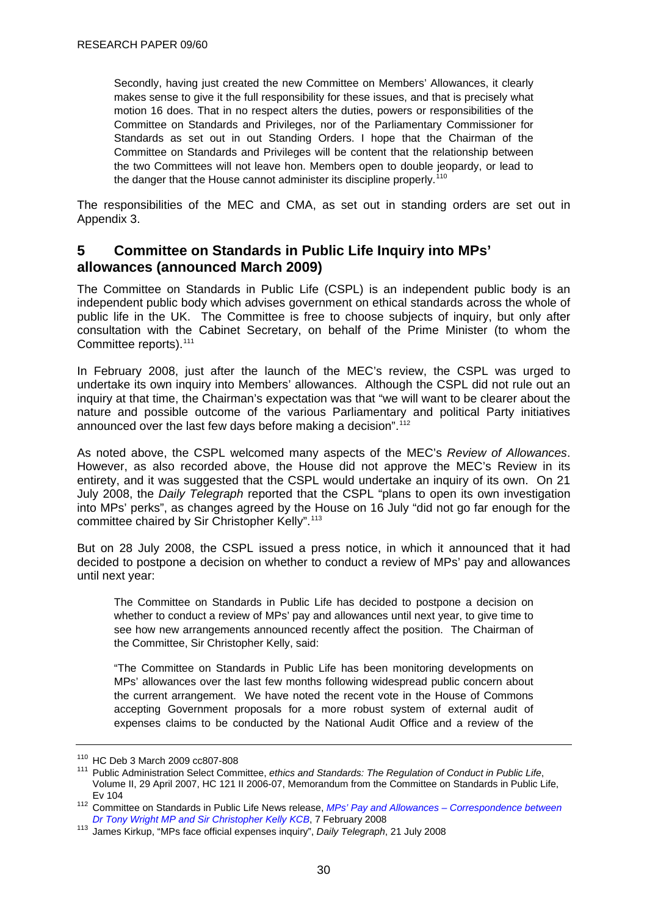<span id="page-33-0"></span>Secondly, having just created the new Committee on Members' Allowances, it clearly makes sense to give it the full responsibility for these issues, and that is precisely what motion 16 does. That in no respect alters the duties, powers or responsibilities of the Committee on Standards and Privileges, nor of the Parliamentary Commissioner for Standards as set out in out Standing Orders. I hope that the Chairman of the Committee on Standards and Privileges will be content that the relationship between the two Committees will not leave hon. Members open to double jeopardy, or lead to the danger that the House cannot administer its discipline properly.<sup>[110](#page-33-0)</sup>

The responsibilities of the MEC and CMA, as set out in standing orders are set out in Appendix 3.

# **5 Committee on Standards in Public Life Inquiry into MPs' allowances (announced March 2009)**

The Committee on Standards in Public Life (CSPL) is an independent public body is an independent public body which advises government on ethical standards across the whole of public life in the UK. The Committee is free to choose subjects of inquiry, but only after consultation with the Cabinet Secretary, on behalf of the Prime Minister (to whom the Committee reports).<sup>[111](#page-33-0)</sup>

In February 2008, just after the launch of the MEC's review, the CSPL was urged to undertake its own inquiry into Members' allowances. Although the CSPL did not rule out an inquiry at that time, the Chairman's expectation was that "we will want to be clearer about the nature and possible outcome of the various Parliamentary and political Party initiatives announced over the last few days before making a decision". $112$ 

As noted above, the CSPL welcomed many aspects of the MEC's *Review of Allowances*. However, as also recorded above, the House did not approve the MEC's Review in its entirety, and it was suggested that the CSPL would undertake an inquiry of its own. On 21 July 2008, the *Daily Telegraph* reported that the CSPL "plans to open its own investigation into MPs' perks", as changes agreed by the House on 16 July "did not go far enough for the committee chaired by Sir Christopher Kelly".<sup>[113](#page-33-0)</sup>

But on 28 July 2008, the CSPL issued a press notice, in which it announced that it had decided to postpone a decision on whether to conduct a review of MPs' pay and allowances until next year:

The Committee on Standards in Public Life has decided to postpone a decision on whether to conduct a review of MPs' pay and allowances until next year, to give time to see how new arrangements announced recently affect the position. The Chairman of the Committee, Sir Christopher Kelly, said:

"The Committee on Standards in Public Life has been monitoring developments on MPs' allowances over the last few months following widespread public concern about the current arrangement. We have noted the recent vote in the House of Commons accepting Government proposals for a more robust system of external audit of expenses claims to be conducted by the National Audit Office and a review of the

<sup>&</sup>lt;sup>110</sup> HC Deb 3 March 2009 cc807-808<br><sup>111</sup> Public Administration Select Committee, *ethics and Standards: The Regulation of Conduct in Public Life*, Volume II, 29 April 2007, HC 121 II 2006-07, Memorandum from the Committee on Standards in Public Life,

Ev 104 112 Committee on Standards in Public Life News release, *[MPs' Pay and Allowances – Correspondence between](http://www.public-standards.gov.uk/news/07_02_08.aspx)* 

<sup>&</sup>lt;sup>113</sup> James Kirkup[,](http://www.public-standards.gov.uk/news/07_02_08.aspx) "MPs face official expenses inquiry", *Daily Telegraph*, 21 July 2008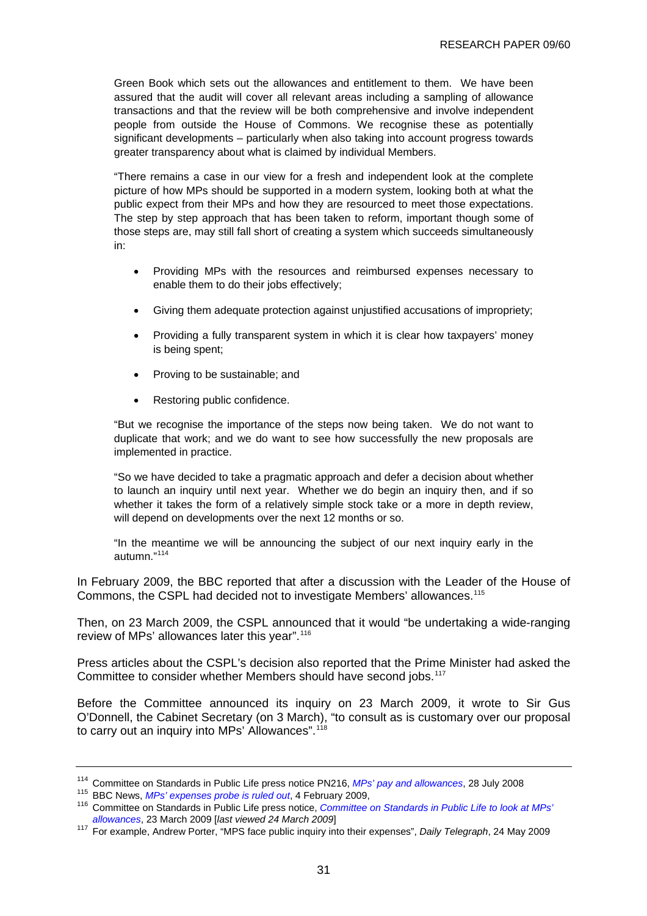<span id="page-34-0"></span>Green Book which sets out the allowances and entitlement to them. We have been assured that the audit will cover all relevant areas including a sampling of allowance transactions and that the review will be both comprehensive and involve independent people from outside the House of Commons. We recognise these as potentially significant developments – particularly when also taking into account progress towards greater transparency about what is claimed by individual Members.

"There remains a case in our view for a fresh and independent look at the complete picture of how MPs should be supported in a modern system, looking both at what the public expect from their MPs and how they are resourced to meet those expectations. The step by step approach that has been taken to reform, important though some of those steps are, may still fall short of creating a system which succeeds simultaneously in:

- Providing MPs with the resources and reimbursed expenses necessary to enable them to do their jobs effectively;
- Giving them adequate protection against unjustified accusations of impropriety;
- Providing a fully transparent system in which it is clear how taxpayers' money is being spent;
- Proving to be sustainable; and
- Restoring public confidence.

"But we recognise the importance of the steps now being taken. We do not want to duplicate that work; and we do want to see how successfully the new proposals are implemented in practice.

"So we have decided to take a pragmatic approach and defer a decision about whether to launch an inquiry until next year. Whether we do begin an inquiry then, and if so whether it takes the form of a relatively simple stock take or a more in depth review, will depend on developments over the next 12 months or so.

"In the meantime we will be announcing the subject of our next inquiry early in the autumn."[114](#page-34-0)

In February 2009, the BBC reported that after a discussion with the Leader of the House of Commons, the CSPL had decided not to investigate Members' allowances.[115](#page-34-0)

Then, on 23 March 2009, the CSPL announced that it would "be undertaking a wide-ranging review of MPs' allowances later this year".[116](#page-34-0)

Press articles about the CSPL's decision also reported that the Prime Minister had asked the Committee to consider whether Members should have second jobs.<sup>[117](#page-34-0)</sup>

Before the Committee announced its inquiry on 23 March 2009, it wrote to Sir Gus O'Donnell, the Cabinet Secretary (on 3 March), "to consult as is customary over our proposal to carry out an inquiry into MPs' Allowances".<sup>[118](#page-34-0)</sup>

<sup>&</sup>lt;sup>114</sup> Committee on Standards in Public Life press notice PN216[,](http://www.public-standards.gov.uk/%7E/media/assets/www.public_standards.gov.uk/pn216%20doc.ashx) MPs' pay and allowances, 28 July 2008<br><sup>115</sup> BBC News, MPs' expenses probe is ruled out, 4 February 2009,<br><sup>116</sup> Committee on Standards in Public Life press not

*allowances*, 23 March 2009 [*last viewed 24 March 2009*] 117 For example, Andrew Porter, "MPS face public inquiry into their expenses", *Daily Telegraph*, 24 May 2009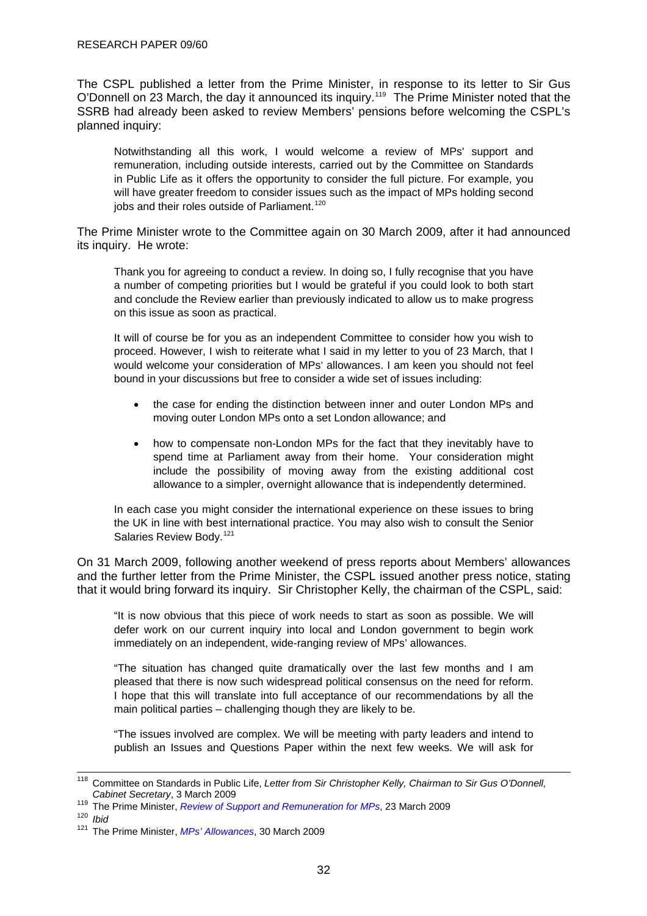<span id="page-35-0"></span>The CSPL published a letter from the Prime Minister, in response to its letter to Sir Gus O'Donnell on 23 March, the day it announced its inquiry.[119](#page-35-0) The Prime Minister noted that the SSRB had already been asked to review Members' pensions before welcoming the CSPL's planned inquiry:

Notwithstanding all this work, I would welcome a review of MPs' support and remuneration, including outside interests, carried out by the Committee on Standards in Public Life as it offers the opportunity to consider the full picture. For example, you will have greater freedom to consider issues such as the impact of MPs holding second jobs and their roles outside of Parliament.<sup>[120](#page-35-0)</sup>

The Prime Minister wrote to the Committee again on 30 March 2009, after it had announced its inquiry. He wrote:

Thank you for agreeing to conduct a review. In doing so, I fully recognise that you have a number of competing priorities but I would be grateful if you could look to both start and conclude the Review earlier than previously indicated to allow us to make progress on this issue as soon as practical.

It will of course be for you as an independent Committee to consider how you wish to proceed. However, I wish to reiterate what I said in my letter to you of 23 March, that I would welcome your consideration of MPs' allowances. I am keen you should not feel bound in your discussions but free to consider a wide set of issues including:

- the case for ending the distinction between inner and outer London MPs and moving outer London MPs onto a set London allowance; and
- how to compensate non-London MPs for the fact that they inevitably have to spend time at Parliament away from their home. Your consideration might include the possibility of moving away from the existing additional cost allowance to a simpler, overnight allowance that is independently determined.

In each case you might consider the international experience on these issues to bring the UK in line with best international practice. You may also wish to consult the Senior Salaries Review Body.<sup>[121](#page-35-0)</sup>

On 31 March 2009, following another weekend of press reports about Members' allowances and the further letter from the Prime Minister, the CSPL issued another press notice, stating that it would bring forward its inquiry. Sir Christopher Kelly, the chairman of the CSPL, said:

"It is now obvious that this piece of work needs to start as soon as possible. We will defer work on our current inquiry into local and London government to begin work immediately on an independent, wide-ranging review of MPs' allowances.

"The situation has changed quite dramatically over the last few months and I am pleased that there is now such widespread political consensus on the need for reform. I hope that this will translate into full acceptance of our recommendations by all the main political parties – challenging though they are likely to be.

"The issues involved are complex. We will be meeting with party leaders and intend to publish an Issues and Questions Paper within the next few weeks. We will ask for

 <sup>118</sup> Committee on Standards in Public Life, Letter from Sir Christopher Kelly, Chairman to Sir Gus O'Donnell, *Cabinet Secretary*, 3 March 2009<br><sup>119</sup> The Prime Minister, *Review of Support and Remuneration for MPs*, 23 March 2009<br><sup>120</sup> *Ibid* 

<sup>121</sup> The Prime Minister, *[MPs' Allowances](http://www.public-standards.org.uk/Library/Letter_from_the_PM_to__Sir_Christopher_Kelly090330.pdf)*, 30 March 2009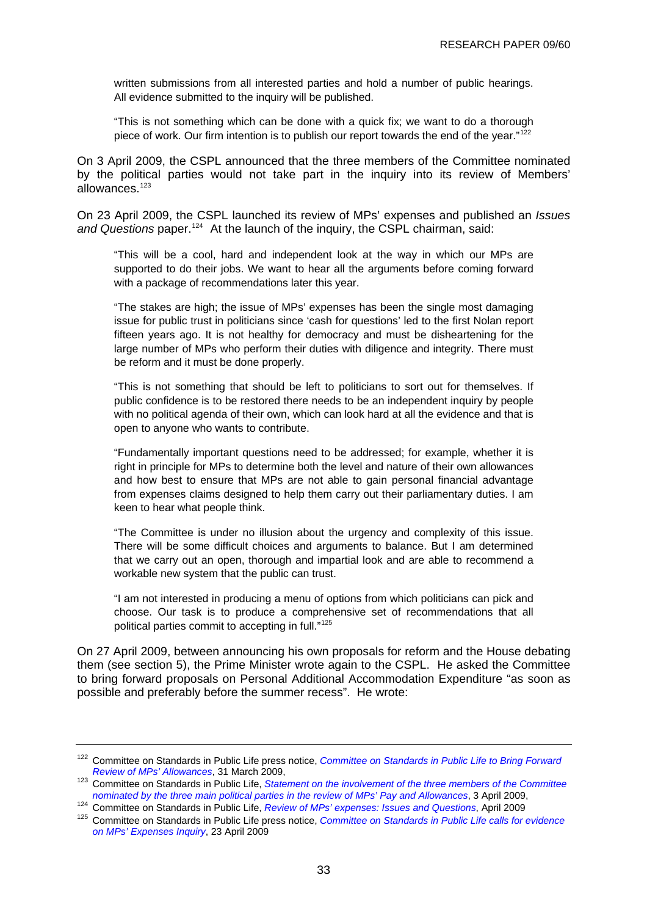<span id="page-36-0"></span>written submissions from all interested parties and hold a number of public hearings. All evidence submitted to the inquiry will be published.

"This is not something which can be done with a quick fix; we want to do a thorough piece of work. Our firm intention is to publish our report towards the end of the year."<sup>[122](#page-36-0)</sup>

On 3 April 2009, the CSPL announced that the three members of the Committee nominated by the political parties would not take part in the inquiry into its review of Members' allowances.<sup>[123](#page-36-0)</sup>

On 23 April 2009, the CSPL launched its review of MPs' expenses and published an *Issues*  and Questions paper.<sup>[124](#page-36-0)</sup> At the launch of the inquiry, the CSPL chairman, said:

"This will be a cool, hard and independent look at the way in which our MPs are supported to do their jobs. We want to hear all the arguments before coming forward with a package of recommendations later this year.

"The stakes are high; the issue of MPs' expenses has been the single most damaging issue for public trust in politicians since 'cash for questions' led to the first Nolan report fifteen years ago. It is not healthy for democracy and must be disheartening for the large number of MPs who perform their duties with diligence and integrity. There must be reform and it must be done properly.

"This is not something that should be left to politicians to sort out for themselves. If public confidence is to be restored there needs to be an independent inquiry by people with no political agenda of their own, which can look hard at all the evidence and that is open to anyone who wants to contribute.

"Fundamentally important questions need to be addressed; for example, whether it is right in principle for MPs to determine both the level and nature of their own allowances and how best to ensure that MPs are not able to gain personal financial advantage from expenses claims designed to help them carry out their parliamentary duties. I am keen to hear what people think.

"The Committee is under no illusion about the urgency and complexity of this issue. There will be some difficult choices and arguments to balance. But I am determined that we carry out an open, thorough and impartial look and are able to recommend a workable new system that the public can trust.

"I am not interested in producing a menu of options from which politicians can pick and choose. Our task is to produce a comprehensive set of recommendations that all political parties commit to accepting in full."[125](#page-36-0)

On 27 April 2009, between announcing his own proposals for reform and the House debating them (see section 5), the Prime Minister wrote again to the CSPL. He asked the Committee to bring forward proposals on Personal Additional Accommodation Expenditure "as soon as possible and preferably before the summer recess". He wrote:

<sup>122</sup> Committee on Standards in Public Life press notice, *[Committee on Standards in Public Life to Bring Forward](http://www.public-standards.org.uk/Library/PN221.doc)  Review of MPs' Allowances*, 31 March 2009, 123 Committee on Standards in Public Life, *[Statement on the involvement of the three members of the Committee](http://www.public-standards.org.uk/Library/Statement_on_involvement_of_the_Parliamentary_members_of_the_Committee.doc)* 

nominatedby the three main political parties in the review of MPs' Pay and Allowances, 3 April 2009,<br><sup>124</sup> Committee on Standards in Public Life, *Review of MPs' expenses: Issues and Questions*, April 2009<br><sup>125</sup> Committee

*[on MPs' Expenses Inquiry](http://www.public-standards.org.uk/Library/PN222.doc)*, 23 April 2009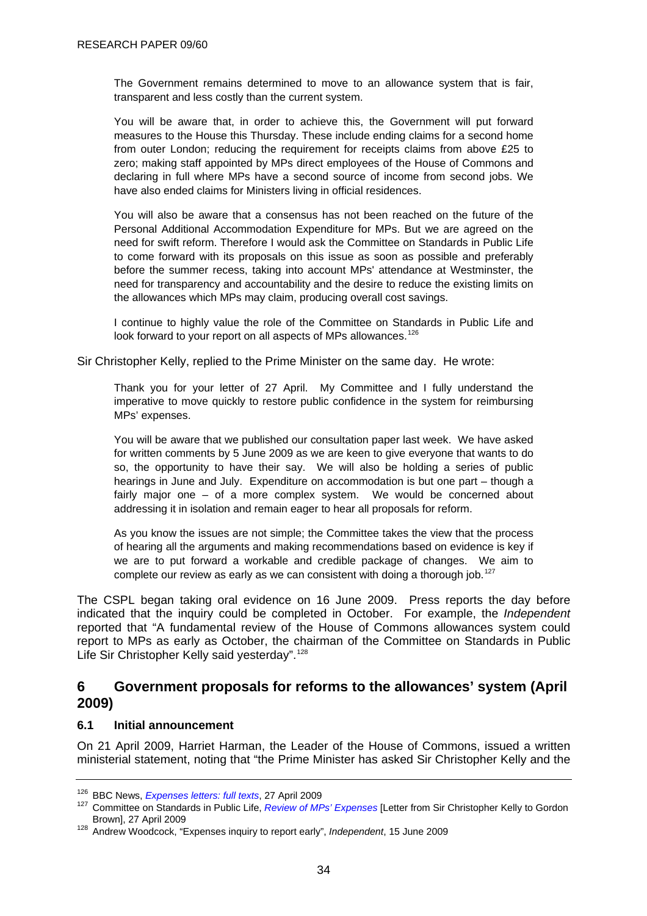<span id="page-37-0"></span>The Government remains determined to move to an allowance system that is fair, transparent and less costly than the current system.

You will be aware that, in order to achieve this, the Government will put forward measures to the House this Thursday. These include ending claims for a second home from outer London; reducing the requirement for receipts claims from above £25 to zero; making staff appointed by MPs direct employees of the House of Commons and declaring in full where MPs have a second source of income from second jobs. We have also ended claims for Ministers living in official residences.

You will also be aware that a consensus has not been reached on the future of the Personal Additional Accommodation Expenditure for MPs. But we are agreed on the need for swift reform. Therefore I would ask the Committee on Standards in Public Life to come forward with its proposals on this issue as soon as possible and preferably before the summer recess, taking into account MPs' attendance at Westminster, the need for transparency and accountability and the desire to reduce the existing limits on the allowances which MPs may claim, producing overall cost savings.

I continue to highly value the role of the Committee on Standards in Public Life and look forward to your report on all aspects of MPs allowances.<sup>[126](#page-37-0)</sup>

Sir Christopher Kelly, replied to the Prime Minister on the same day. He wrote:

Thank you for your letter of 27 April. My Committee and I fully understand the imperative to move quickly to restore public confidence in the system for reimbursing MPs' expenses.

You will be aware that we published our consultation paper last week. We have asked for written comments by 5 June 2009 as we are keen to give everyone that wants to do so, the opportunity to have their say. We will also be holding a series of public hearings in June and July. Expenditure on accommodation is but one part – though a fairly major one – of a more complex system. We would be concerned about addressing it in isolation and remain eager to hear all proposals for reform.

As you know the issues are not simple; the Committee takes the view that the process of hearing all the arguments and making recommendations based on evidence is key if we are to put forward a workable and credible package of changes. We aim to complete our review as early as we can consistent with doing a thorough job.<sup>[127](#page-37-0)</sup>

The CSPL began taking oral evidence on 16 June 2009. Press reports the day before indicated that the inquiry could be completed in October. For example, the *Independent* reported that "A fundamental review of the House of Commons allowances system could report to MPs as early as October, the chairman of the Committee on Standards in Public Life Sir Christopher Kelly said yesterday".<sup>[128](#page-37-0)</sup>

# **6 Government proposals for reforms to the allowances' system (April 2009)**

## **6.1 Initial announcement**

On 21 April 2009, Harriet Harman, the Leader of the House of Commons, issued a written ministerial statement, noting that "the Prime Minister has asked Sir Christopher Kelly and the

<sup>&</sup>lt;sup>126</sup> BBC News, *Expenses letters: full texts*, 27 April 2009<br><sup>127</sup> Committee on Standards in Public Life, *[Review of MPs' Expenses](http://www.public-standards.org.uk/Library/090427_Letter_from_Sir_Christopher_Kelly.pdf)* [Letter from Sir Christopher Kelly to Gordon<br>Brown], 27 April 2009

<sup>128</sup> Andrew Woodcock, "Expenses inquiry to report early", *Independent*, 15 June 2009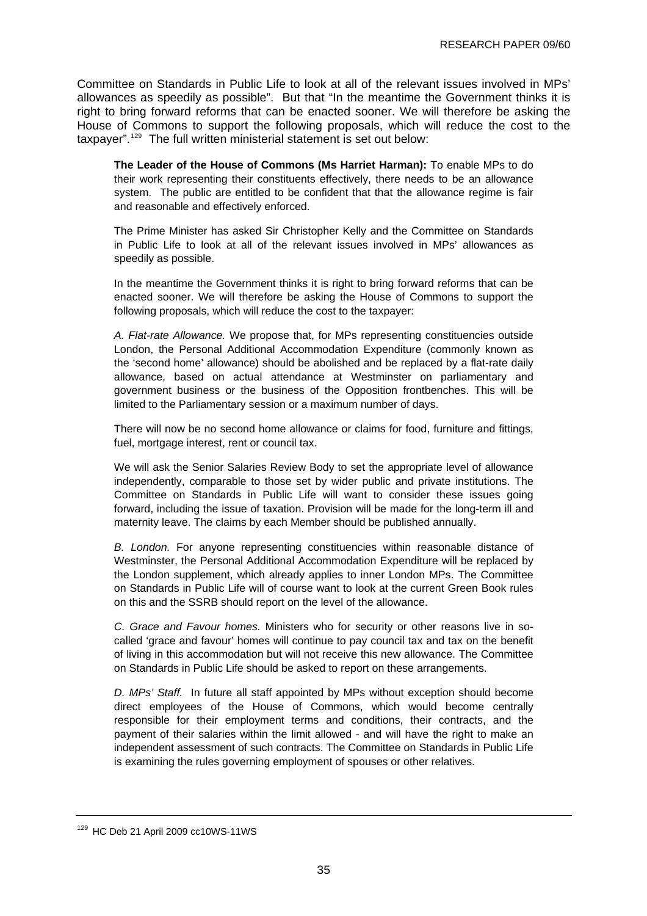<span id="page-38-0"></span>Committee on Standards in Public Life to look at all of the relevant issues involved in MPs' allowances as speedily as possible". But that "In the meantime the Government thinks it is right to bring forward reforms that can be enacted sooner. We will therefore be asking the House of Commons to support the following proposals, which will reduce the cost to the taxpayer".[129](#page-38-0) The full written ministerial statement is set out below:

**The Leader of the House of Commons (Ms Harriet Harman):** To enable MPs to do their work representing their constituents effectively, there needs to be an allowance system. The public are entitled to be confident that that the allowance regime is fair and reasonable and effectively enforced.

The Prime Minister has asked Sir Christopher Kelly and the Committee on Standards in Public Life to look at all of the relevant issues involved in MPs' allowances as speedily as possible.

In the meantime the Government thinks it is right to bring forward reforms that can be enacted sooner. We will therefore be asking the House of Commons to support the following proposals, which will reduce the cost to the taxpayer:

*A. Flat-rate Allowance.* We propose that, for MPs representing constituencies outside London, the Personal Additional Accommodation Expenditure (commonly known as the 'second home' allowance) should be abolished and be replaced by a flat-rate daily allowance, based on actual attendance at Westminster on parliamentary and government business or the business of the Opposition frontbenches. This will be limited to the Parliamentary session or a maximum number of days.

There will now be no second home allowance or claims for food, furniture and fittings, fuel, mortgage interest, rent or council tax.

We will ask the Senior Salaries Review Body to set the appropriate level of allowance independently, comparable to those set by wider public and private institutions. The Committee on Standards in Public Life will want to consider these issues going forward, including the issue of taxation. Provision will be made for the long-term ill and maternity leave. The claims by each Member should be published annually.

*B. London.* For anyone representing constituencies within reasonable distance of Westminster, the Personal Additional Accommodation Expenditure will be replaced by the London supplement, which already applies to inner London MPs. The Committee on Standards in Public Life will of course want to look at the current Green Book rules on this and the SSRB should report on the level of the allowance.

*C. Grace and Favour homes.* Ministers who for security or other reasons live in socalled 'grace and favour' homes will continue to pay council tax and tax on the benefit of living in this accommodation but will not receive this new allowance. The Committee on Standards in Public Life should be asked to report on these arrangements.

*D. MPs' Staff.* In future all staff appointed by MPs without exception should become direct employees of the House of Commons, which would become centrally responsible for their employment terms and conditions, their contracts, and the payment of their salaries within the limit allowed - and will have the right to make an independent assessment of such contracts. The Committee on Standards in Public Life is examining the rules governing employment of spouses or other relatives.

<sup>129</sup> HC Deb 21 April 2009 cc10WS-11WS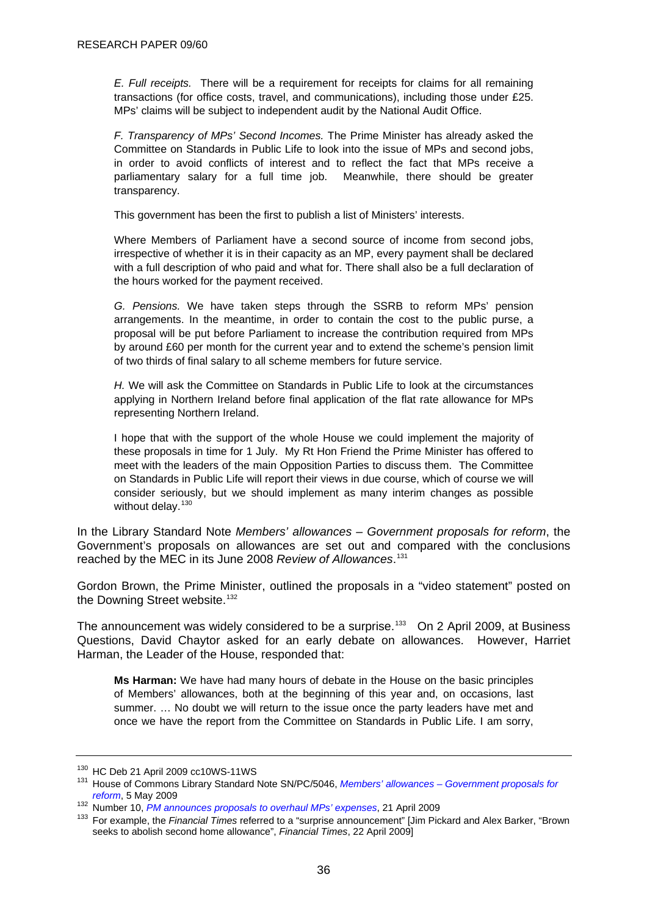<span id="page-39-0"></span>*E. Full receipts.* There will be a requirement for receipts for claims for all remaining transactions (for office costs, travel, and communications), including those under £25. MPs' claims will be subject to independent audit by the National Audit Office.

*F. Transparency of MPs' Second Incomes.* The Prime Minister has already asked the Committee on Standards in Public Life to look into the issue of MPs and second jobs, in order to avoid conflicts of interest and to reflect the fact that MPs receive a parliamentary salary for a full time job. Meanwhile, there should be greater transparency.

This government has been the first to publish a list of Ministers' interests.

Where Members of Parliament have a second source of income from second jobs, irrespective of whether it is in their capacity as an MP, every payment shall be declared with a full description of who paid and what for. There shall also be a full declaration of the hours worked for the payment received.

*G. Pensions.* We have taken steps through the SSRB to reform MPs' pension arrangements. In the meantime, in order to contain the cost to the public purse, a proposal will be put before Parliament to increase the contribution required from MPs by around £60 per month for the current year and to extend the scheme's pension limit of two thirds of final salary to all scheme members for future service.

*H.* We will ask the Committee on Standards in Public Life to look at the circumstances applying in Northern Ireland before final application of the flat rate allowance for MPs representing Northern Ireland.

I hope that with the support of the whole House we could implement the majority of these proposals in time for 1 July. My Rt Hon Friend the Prime Minister has offered to meet with the leaders of the main Opposition Parties to discuss them. The Committee on Standards in Public Life will report their views in due course, which of course we will consider seriously, but we should implement as many interim changes as possible without delay.<sup>[130](#page-39-0)</sup>

In the Library Standard Note *Members' allowances – Government proposals for reform*, the Government's proposals on allowances are set out and compared with the conclusions reached by the MEC in its June 2008 *Review of Allowances*. [131](#page-39-0)

Gordon Brown, the Prime Minister, outlined the proposals in a "video statement" posted on the Downing Street website.<sup>[132](#page-39-0)</sup>

The announcement was widely considered to be a surprise.<sup>[133](#page-39-0)</sup> On 2 April 2009, at Business Questions, David Chaytor asked for an early debate on allowances. However, Harriet Harman, the Leader of the House, responded that:

**Ms Harman:** We have had many hours of debate in the House on the basic principles of Members' allowances, both at the beginning of this year and, on occasions, last summer. … No doubt we will return to the issue once the party leaders have met and once we have the report from the Committee on Standards in Public Life. I am sorry,

<sup>&</sup>lt;sup>130</sup> HC Deb 21 April 2009 cc10WS-11WS<br><sup>131</sup> House of Commons Library Standard Note SN/PC/5046, *Members' allowances – Government proposals for* reform[,](http://www.number10.gov.uk/Page19060) 5 May 2009<br><sup>132</sup> Number 10, *PM announces proposals to overhaul MPs' expenses*, 21 April 2009<br><sup>133</sup> For example, the *Financial Times* referred to a "surprise announcement" [Jim Pickard and Alex Barker, "Brown

seeks to abolish second home allowance", *Financial Times*, 22 April 2009]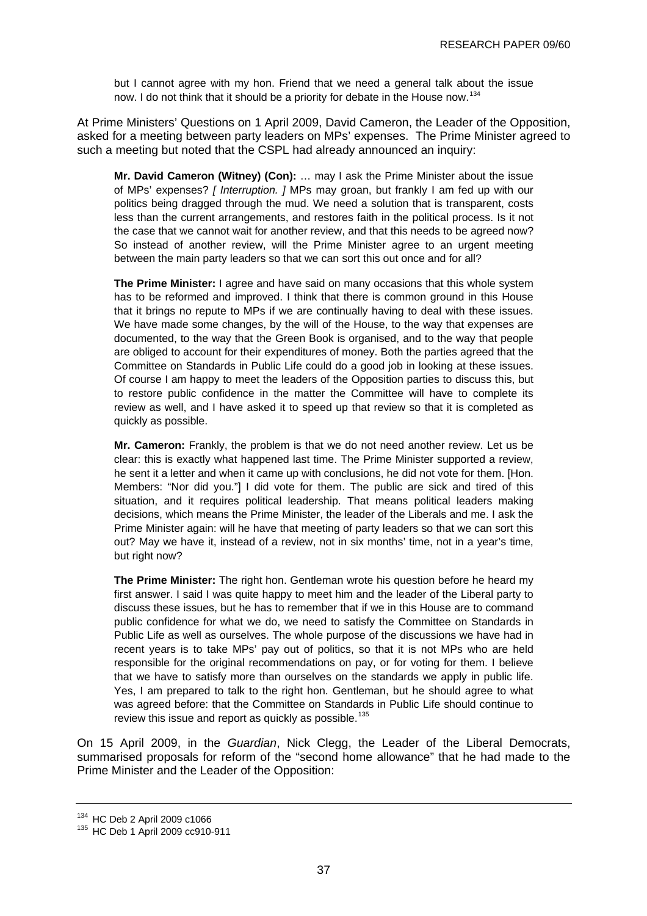<span id="page-40-0"></span>but I cannot agree with my hon. Friend that we need a general talk about the issue now. I do not think that it should be a priority for debate in the House now.<sup>[134](#page-40-0)</sup>

At Prime Ministers' Questions on 1 April 2009, David Cameron, the Leader of the Opposition, asked for a meeting between party leaders on MPs' expenses. The Prime Minister agreed to such a meeting but noted that the CSPL had already announced an inquiry:

**Mr. David Cameron (Witney) (Con):** … may I ask the Prime Minister about the issue of MPs' expenses? *[ Interruption. ]* MPs may groan, but frankly I am fed up with our politics being dragged through the mud. We need a solution that is transparent, costs less than the current arrangements, and restores faith in the political process. Is it not the case that we cannot wait for another review, and that this needs to be agreed now? So instead of another review, will the Prime Minister agree to an urgent meeting between the main party leaders so that we can sort this out once and for all?

**The Prime Minister:** I agree and have said on many occasions that this whole system has to be reformed and improved. I think that there is common ground in this House that it brings no repute to MPs if we are continually having to deal with these issues. We have made some changes, by the will of the House, to the way that expenses are documented, to the way that the Green Book is organised, and to the way that people are obliged to account for their expenditures of money. Both the parties agreed that the Committee on Standards in Public Life could do a good job in looking at these issues. Of course I am happy to meet the leaders of the Opposition parties to discuss this, but to restore public confidence in the matter the Committee will have to complete its review as well, and I have asked it to speed up that review so that it is completed as quickly as possible.

**Mr. Cameron:** Frankly, the problem is that we do not need another review. Let us be clear: this is exactly what happened last time. The Prime Minister supported a review, he sent it a letter and when it came up with conclusions, he did not vote for them. [Hon. Members: "Nor did you."] I did vote for them. The public are sick and tired of this situation, and it requires political leadership. That means political leaders making decisions, which means the Prime Minister, the leader of the Liberals and me. I ask the Prime Minister again: will he have that meeting of party leaders so that we can sort this out? May we have it, instead of a review, not in six months' time, not in a year's time, but right now?

**The Prime Minister:** The right hon. Gentleman wrote his question before he heard my first answer. I said I was quite happy to meet him and the leader of the Liberal party to discuss these issues, but he has to remember that if we in this House are to command public confidence for what we do, we need to satisfy the Committee on Standards in Public Life as well as ourselves. The whole purpose of the discussions we have had in recent years is to take MPs' pay out of politics, so that it is not MPs who are held responsible for the original recommendations on pay, or for voting for them. I believe that we have to satisfy more than ourselves on the standards we apply in public life. Yes, I am prepared to talk to the right hon. Gentleman, but he should agree to what was agreed before: that the Committee on Standards in Public Life should continue to review this issue and report as quickly as possible.<sup>[135](#page-40-0)</sup>

On 15 April 2009, in the *Guardian*, Nick Clegg, the Leader of the Liberal Democrats, summarised proposals for reform of the "second home allowance" that he had made to the Prime Minister and the Leader of the Opposition:

 $^{134}$  HC Deb 2 April 2009 c1066<br> $^{135}$  HC Deb 1 April 2009 cc910-911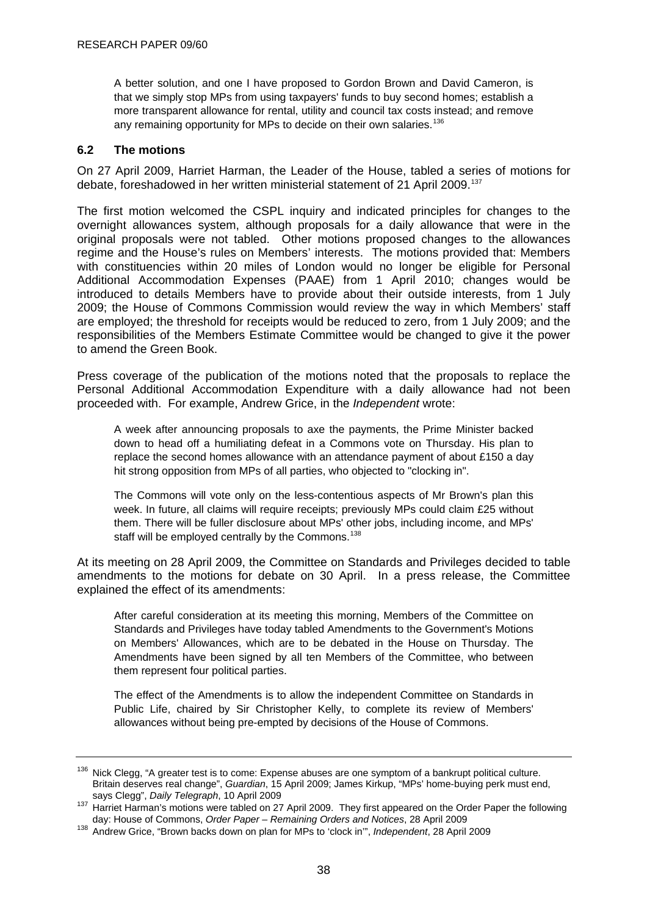<span id="page-41-0"></span>A better solution, and one I have proposed to Gordon Brown and David Cameron, is that we simply stop MPs from using taxpayers' funds to buy second homes; establish a more transparent allowance for rental, utility and council tax costs instead; and remove any remaining opportunity for MPs to decide on their own salaries.<sup>[136](#page-41-0)</sup>

## **6.2 The motions**

On 27 April 2009, Harriet Harman, the Leader of the House, tabled a series of motions for debate, foreshadowed in her written ministerial statement of 21 April 2009.<sup>[137](#page-41-0)</sup>

The first motion welcomed the CSPL inquiry and indicated principles for changes to the overnight allowances system, although proposals for a daily allowance that were in the original proposals were not tabled. Other motions proposed changes to the allowances regime and the House's rules on Members' interests. The motions provided that: Members with constituencies within 20 miles of London would no longer be eligible for Personal Additional Accommodation Expenses (PAAE) from 1 April 2010; changes would be introduced to details Members have to provide about their outside interests, from 1 July 2009; the House of Commons Commission would review the way in which Members' staff are employed; the threshold for receipts would be reduced to zero, from 1 July 2009; and the responsibilities of the Members Estimate Committee would be changed to give it the power to amend the Green Book.

Press coverage of the publication of the motions noted that the proposals to replace the Personal Additional Accommodation Expenditure with a daily allowance had not been proceeded with. For example, Andrew Grice, in the *Independent* wrote:

A week after announcing proposals to axe the payments, the Prime Minister backed down to head off a humiliating defeat in a Commons vote on Thursday. His plan to replace the second homes allowance with an attendance payment of about £150 a day hit strong opposition from MPs of all parties, who objected to "clocking in".

The Commons will vote only on the less-contentious aspects of Mr Brown's plan this week. In future, all claims will require receipts; previously MPs could claim £25 without them. There will be fuller disclosure about MPs' other jobs, including income, and MPs' staff will be employed centrally by the Commons.<sup>[138](#page-41-0)</sup>

At its meeting on 28 April 2009, the Committee on Standards and Privileges decided to table amendments to the motions for debate on 30 April. In a press release, the Committee explained the effect of its amendments:

After careful consideration at its meeting this morning, Members of the Committee on Standards and Privileges have today tabled Amendments to the Government's Motions on Members' Allowances, which are to be debated in the House on Thursday. The Amendments have been signed by all ten Members of the Committee, who between them represent four political parties.

The effect of the Amendments is to allow the independent Committee on Standards in Public Life, chaired by Sir Christopher Kelly, to complete its review of Members' allowances without being pre-empted by decisions of the House of Commons.

<sup>136</sup> Nick Clegg, "A greater test is to come: Expense abuses are one symptom of a bankrupt political culture. Britain deserves real change", *Guardian*, 15 April 2009; James Kirkup, "MPs' home-buying perk must end,

says Clegg", *Daily Telegraph*, 10 April 2009<br><sup>137</sup> Harriet Harman's motions were tabled on 27 April 2009. They first appeared on the Order Paper the following<br>day: House of Commons, Order Paper – Remaining Orders and Noti

day: House of Commons, *Order Paper – Remaining Orders and Notices*, 28 April 2009 138 Andrew Grice, "Brown backs down on plan for MPs to 'clock in'", *Independent*, 28 April 2009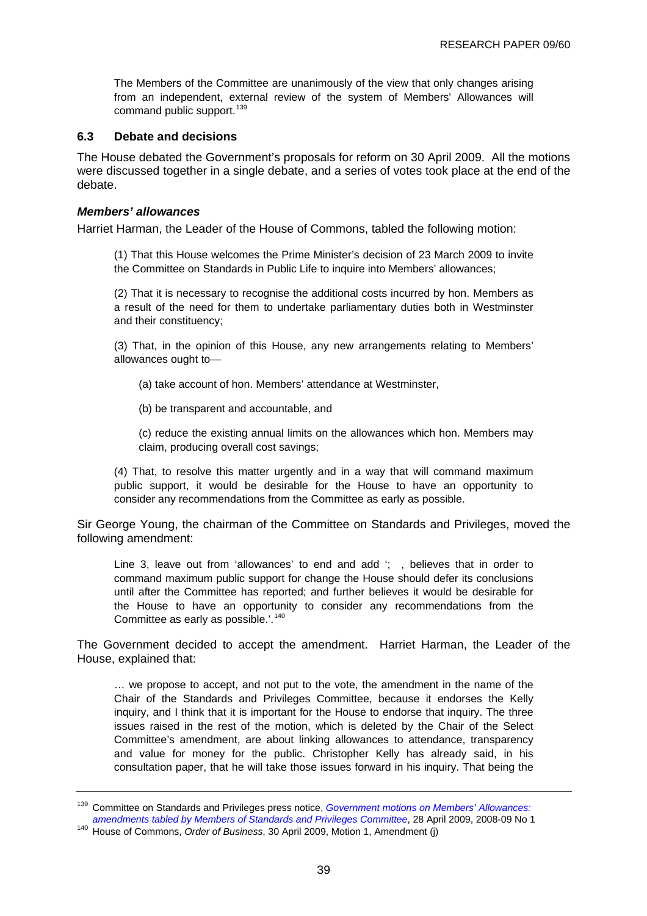<span id="page-42-0"></span>The Members of the Committee are unanimously of the view that only changes arising from an independent, external review of the system of Members' Allowances will command public support.<sup>[139](#page-42-0)</sup>

#### **6.3 Debate and decisions**

The House debated the Government's proposals for reform on 30 April 2009. All the motions were discussed together in a single debate, and a series of votes took place at the end of the debate.

#### *Members' allowances*

Harriet Harman, the Leader of the House of Commons, tabled the following motion:

(1) That this House welcomes the Prime Minister's decision of 23 March 2009 to invite the Committee on Standards in Public Life to inquire into Members' allowances;

(2) That it is necessary to recognise the additional costs incurred by hon. Members as a result of the need for them to undertake parliamentary duties both in Westminster and their constituency;

(3) That, in the opinion of this House, any new arrangements relating to Members' allowances ought to—

(a) take account of hon. Members' attendance at Westminster,

(b) be transparent and accountable, and

(c) reduce the existing annual limits on the allowances which hon. Members may claim, producing overall cost savings;

(4) That, to resolve this matter urgently and in a way that will command maximum public support, it would be desirable for the House to have an opportunity to consider any recommendations from the Committee as early as possible.

Sir George Young, the chairman of the Committee on Standards and Privileges, moved the following amendment:

Line 3, leave out from 'allowances' to end and add '; , believes that in order to command maximum public support for change the House should defer its conclusions until after the Committee has reported; and further believes it would be desirable for the House to have an opportunity to consider any recommendations from the Committee as early as possible.'.<sup>[140](#page-42-0)</sup>

The Government decided to accept the amendment. Harriet Harman, the Leader of the House, explained that:

… we propose to accept, and not put to the vote, the amendment in the name of the Chair of the Standards and Privileges Committee, because it endorses the Kelly inquiry, and I think that it is important for the House to endorse that inquiry. The three issues raised in the rest of the motion, which is deleted by the Chair of the Select Committee's amendment, are about linking allowances to attendance, transparency and value for money for the public. Christopher Kelly has already said, in his consultation paper, that he will take those issues forward in his inquiry. That being the

<sup>139</sup> Committee on Standards and Privileges press notice, *[Government motions on Members' Allowances:](http://www.parliament.uk/parliamentary_committees/standards_and_privileges/sandppn8.cfm)* 

<sup>&</sup>lt;sup>140</sup> House of Commons[,](http://www.parliament.uk/parliamentary_committees/standards_and_privileges/sandppn8.cfm) *Order of Business*, 30 April 2009, Motion 1, Amendment (j)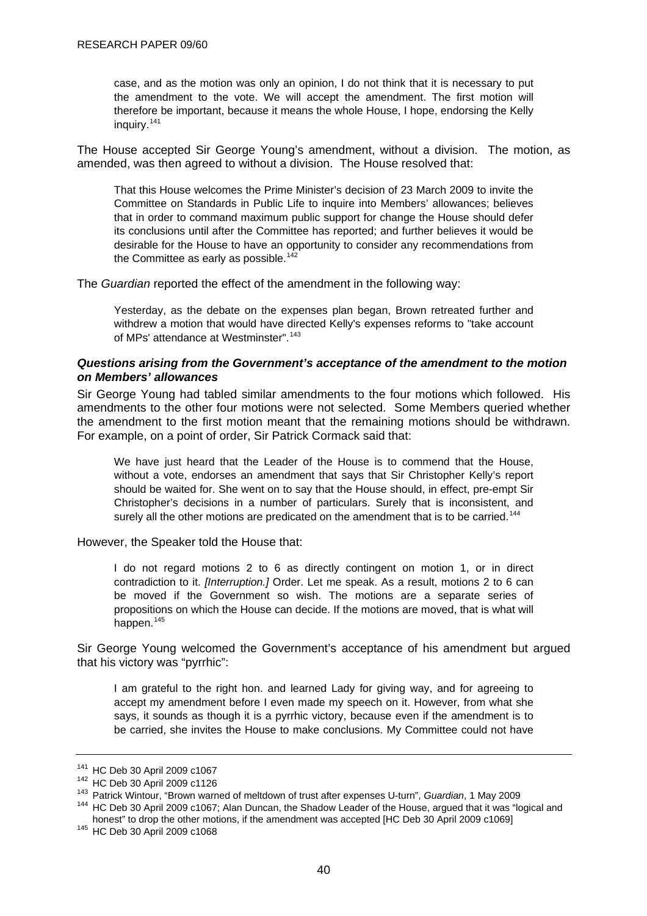<span id="page-43-0"></span>case, and as the motion was only an opinion, I do not think that it is necessary to put the amendment to the vote. We will accept the amendment. The first motion will therefore be important, because it means the whole House, I hope, endorsing the Kelly inquiry.<sup>[141](#page-43-0)</sup>

The House accepted Sir George Young's amendment, without a division. The motion, as amended, was then agreed to without a division. The House resolved that:

That this House welcomes the Prime Minister's decision of 23 March 2009 to invite the Committee on Standards in Public Life to inquire into Members' allowances; believes that in order to command maximum public support for change the House should defer its conclusions until after the Committee has reported; and further believes it would be desirable for the House to have an opportunity to consider any recommendations from the Committee as early as possible.<sup>[142](#page-43-0)</sup>

The *Guardian* reported the effect of the amendment in the following way:

Yesterday, as the debate on the expenses plan began, Brown retreated further and withdrew a motion that would have directed Kelly's expenses reforms to "take account of MPs' attendance at Westminster".<sup>[143](#page-43-0)</sup>

#### *Questions arising from the Government's acceptance of the amendment to the motion on Members' allowances*

Sir George Young had tabled similar amendments to the four motions which followed. His amendments to the other four motions were not selected. Some Members queried whether the amendment to the first motion meant that the remaining motions should be withdrawn. For example, on a point of order, Sir Patrick Cormack said that:

We have just heard that the Leader of the House is to commend that the House, without a vote, endorses an amendment that says that Sir Christopher Kelly's report should be waited for. She went on to say that the House should, in effect, pre-empt Sir Christopher's decisions in a number of particulars. Surely that is inconsistent, and surely all the other motions are predicated on the amendment that is to be carried.<sup>[144](#page-43-0)</sup>

However, the Speaker told the House that:

I do not regard motions 2 to 6 as directly contingent on motion 1, or in direct contradiction to it. *[Interruption.]* Order. Let me speak. As a result, motions 2 to 6 can be moved if the Government so wish. The motions are a separate series of propositions on which the House can decide. If the motions are moved, that is what will happen.<sup>[145](#page-43-0)</sup>

Sir George Young welcomed the Government's acceptance of his amendment but argued that his victory was "pyrrhic":

I am grateful to the right hon. and learned Lady for giving way, and for agreeing to accept my amendment before I even made my speech on it. However, from what she says, it sounds as though it is a pyrrhic victory, because even if the amendment is to be carried, she invites the House to make conclusions. My Committee could not have

<sup>&</sup>lt;sup>141</sup> HC Deb 30 April 2009 c1067<br><sup>142</sup> HC Deb 30 April 2009 c1126<br><sup>143</sup> Patrick Wintour, "Brown warned of meltdown of trust after expenses U-turn", *Guardian*, 1 May 2009<br><sup>144</sup> HC Deb 30 April 2009 c1067; Alan Duncan, the

honest" to drop the other motions, if the amendment was accepted [HC Deb 30 April 2009 c1069] 145 HC Deb 30 April 2009 c1068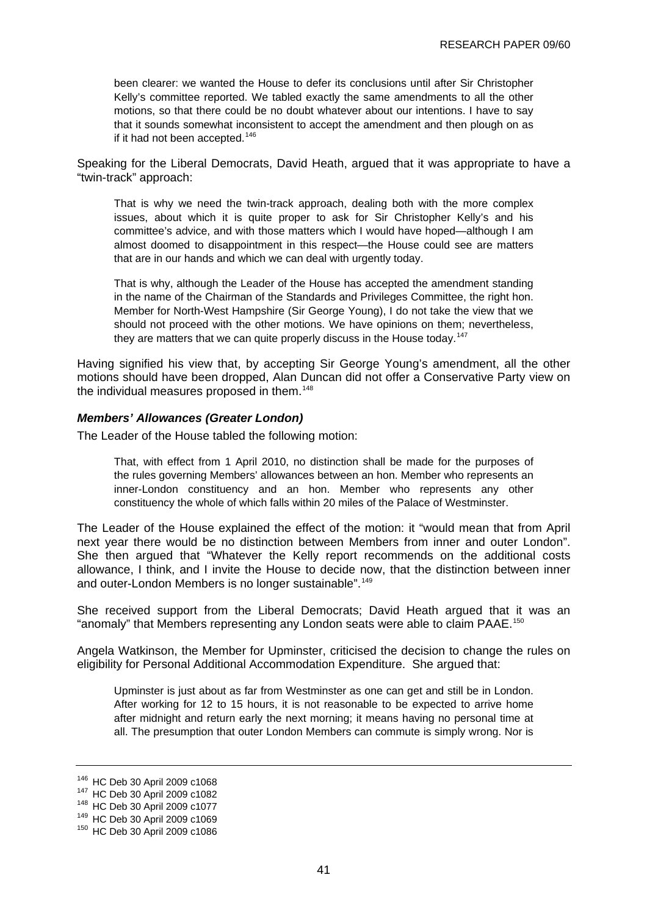<span id="page-44-0"></span>been clearer: we wanted the House to defer its conclusions until after Sir Christopher Kelly's committee reported. We tabled exactly the same amendments to all the other motions, so that there could be no doubt whatever about our intentions. I have to say that it sounds somewhat inconsistent to accept the amendment and then plough on as if it had not been accepted.<sup>[146](#page-44-0)</sup>

Speaking for the Liberal Democrats, David Heath, argued that it was appropriate to have a "twin-track" approach:

That is why we need the twin-track approach, dealing both with the more complex issues, about which it is quite proper to ask for Sir Christopher Kelly's and his committee's advice, and with those matters which I would have hoped—although I am almost doomed to disappointment in this respect—the House could see are matters that are in our hands and which we can deal with urgently today.

That is why, although the Leader of the House has accepted the amendment standing in the name of the Chairman of the Standards and Privileges Committee, the right hon. Member for North-West Hampshire (Sir George Young), I do not take the view that we should not proceed with the other motions. We have opinions on them; nevertheless, they are matters that we can quite properly discuss in the House today.<sup>[147](#page-44-0)</sup>

Having signified his view that, by accepting Sir George Young's amendment, all the other motions should have been dropped, Alan Duncan did not offer a Conservative Party view on the individual measures proposed in them.<sup>[148](#page-44-0)</sup>

## *Members' Allowances (Greater London)*

The Leader of the House tabled the following motion:

That, with effect from 1 April 2010, no distinction shall be made for the purposes of the rules governing Members' allowances between an hon. Member who represents an inner-London constituency and an hon. Member who represents any other constituency the whole of which falls within 20 miles of the Palace of Westminster.

The Leader of the House explained the effect of the motion: it "would mean that from April next year there would be no distinction between Members from inner and outer London". She then argued that "Whatever the Kelly report recommends on the additional costs allowance, I think, and I invite the House to decide now, that the distinction between inner and outer-London Members is no longer sustainable".<sup>[149](#page-44-0)</sup>

She received support from the Liberal Democrats; David Heath argued that it was an "anomaly" that Members representing any London seats were able to claim PAAE.<sup>[150](#page-44-0)</sup>

Angela Watkinson, the Member for Upminster, criticised the decision to change the rules on eligibility for Personal Additional Accommodation Expenditure. She argued that:

Upminster is just about as far from Westminster as one can get and still be in London. After working for 12 to 15 hours, it is not reasonable to be expected to arrive home after midnight and return early the next morning; it means having no personal time at all. The presumption that outer London Members can commute is simply wrong. Nor is

<sup>&</sup>lt;sup>146</sup> HC Deb 30 April 2009 c1068<br><sup>147</sup> HC Deb 30 April 2009 c1082<br><sup>148</sup> HC Deb 30 April 2009 c1069<br><sup>150</sup> HC Deb 30 April 2009 c1086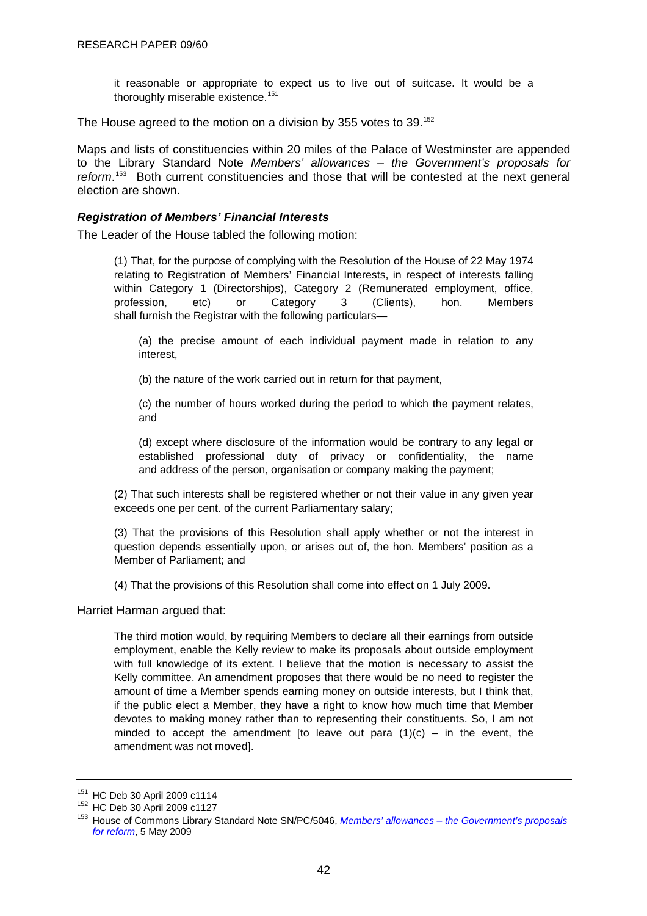<span id="page-45-0"></span>it reasonable or appropriate to expect us to live out of suitcase. It would be a thoroughly miserable existence.<sup>[151](#page-45-0)</sup>

The House agreed to the motion on a division by 355 votes to 39.<sup>[152](#page-45-0)</sup>

Maps and lists of constituencies within 20 miles of the Palace of Westminster are appended to the Library Standard Note *Members' allowances – the Government's proposals for*  reform.<sup>[153](#page-45-0)</sup> Both current constituencies and those that will be contested at the next general election are shown.

## *Registration of Members' Financial Interests*

The Leader of the House tabled the following motion:

(1) That, for the purpose of complying with the Resolution of the House of 22 May 1974 relating to Registration of Members' Financial Interests, in respect of interests falling within Category 1 (Directorships), Category 2 (Remunerated employment, office, profession, etc) or Category 3 (Clients), hon. Members shall furnish the Registrar with the following particulars—

(a) the precise amount of each individual payment made in relation to any interest,

(b) the nature of the work carried out in return for that payment,

(c) the number of hours worked during the period to which the payment relates, and

(d) except where disclosure of the information would be contrary to any legal or established professional duty of privacy or confidentiality, the name and address of the person, organisation or company making the payment;

(2) That such interests shall be registered whether or not their value in any given year exceeds one per cent. of the current Parliamentary salary;

(3) That the provisions of this Resolution shall apply whether or not the interest in question depends essentially upon, or arises out of, the hon. Members' position as a Member of Parliament; and

(4) That the provisions of this Resolution shall come into effect on 1 July 2009.

Harriet Harman argued that:

The third motion would, by requiring Members to declare all their earnings from outside employment, enable the Kelly review to make its proposals about outside employment with full knowledge of its extent. I believe that the motion is necessary to assist the Kelly committee. An amendment proposes that there would be no need to register the amount of time a Member spends earning money on outside interests, but I think that, if the public elect a Member, they have a right to know how much time that Member devotes to making money rather than to representing their constituents. So, I am not minded to accept the amendment [to leave out para  $(1)(c)$  – in the event, the amendment was not moved].

<sup>&</sup>lt;sup>151</sup> HC Deb 30 April 2009 c1114<br><sup>152</sup> HC Deb 30 April 2009 c1127<br><sup>153</sup> House of Commons Library Standard Note SN/PC/5046, *Members' allowances – the Government's proposals for reform*, 5 May 2009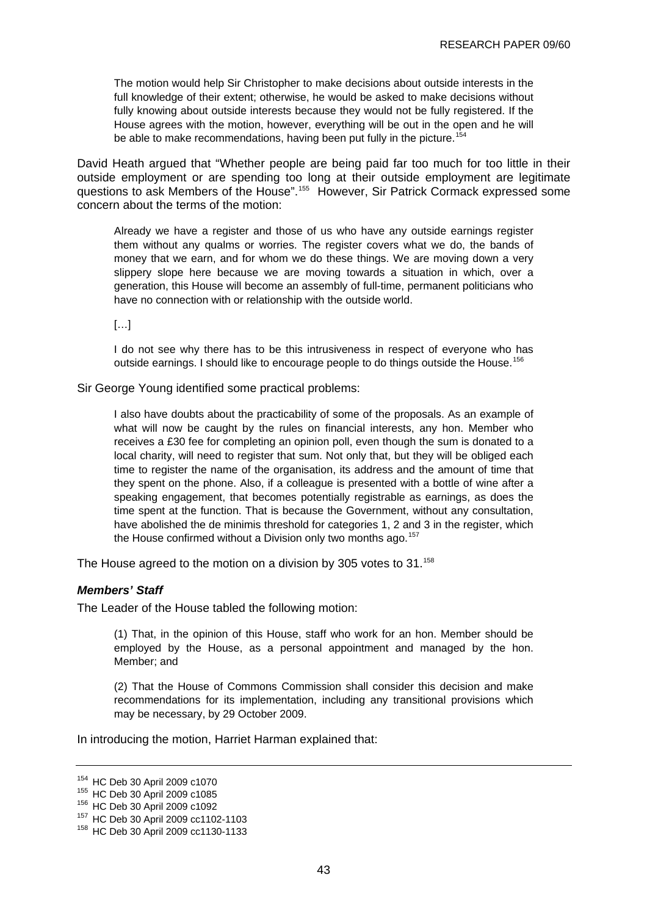<span id="page-46-0"></span>The motion would help Sir Christopher to make decisions about outside interests in the full knowledge of their extent; otherwise, he would be asked to make decisions without fully knowing about outside interests because they would not be fully registered. If the House agrees with the motion, however, everything will be out in the open and he will be able to make recommendations, having been put fully in the picture.<sup>[154](#page-46-0)</sup>

David Heath argued that "Whether people are being paid far too much for too little in their outside employment or are spending too long at their outside employment are legitimate questions to ask Members of the House".[155](#page-46-0) However, Sir Patrick Cormack expressed some concern about the terms of the motion:

Already we have a register and those of us who have any outside earnings register them without any qualms or worries. The register covers what we do, the bands of money that we earn, and for whom we do these things. We are moving down a very slippery slope here because we are moving towards a situation in which, over a generation, this House will become an assembly of full-time, permanent politicians who have no connection with or relationship with the outside world.

 $[...]$ 

I do not see why there has to be this intrusiveness in respect of everyone who has outside earnings. I should like to encourage people to do things outside the House.<sup>[156](#page-46-0)</sup>

Sir George Young identified some practical problems:

I also have doubts about the practicability of some of the proposals. As an example of what will now be caught by the rules on financial interests, any hon. Member who receives a £30 fee for completing an opinion poll, even though the sum is donated to a local charity, will need to register that sum. Not only that, but they will be obliged each time to register the name of the organisation, its address and the amount of time that they spent on the phone. Also, if a colleague is presented with a bottle of wine after a speaking engagement, that becomes potentially registrable as earnings, as does the time spent at the function. That is because the Government, without any consultation, have abolished the de minimis threshold for categories 1, 2 and 3 in the register, which the House confirmed without a Division only two months ago.<sup>[157](#page-46-0)</sup>

The House agreed to the motion on a division by 305 votes to 31.<sup>[158](#page-46-0)</sup>

#### *Members' Staff*

The Leader of the House tabled the following motion:

(1) That, in the opinion of this House, staff who work for an hon. Member should be employed by the House, as a personal appointment and managed by the hon. Member; and

(2) That the House of Commons Commission shall consider this decision and make recommendations for its implementation, including any transitional provisions which may be necessary, by 29 October 2009.

In introducing the motion, Harriet Harman explained that:

<sup>&</sup>lt;sup>154</sup> HC Deb 30 April 2009 c1070<br><sup>155</sup> HC Deb 30 April 2009 c1085<br><sup>156</sup> HC Deb 30 April 2009 cc1102-1103<br><sup>158</sup> HC Deb 30 April 2009 cc1130-1133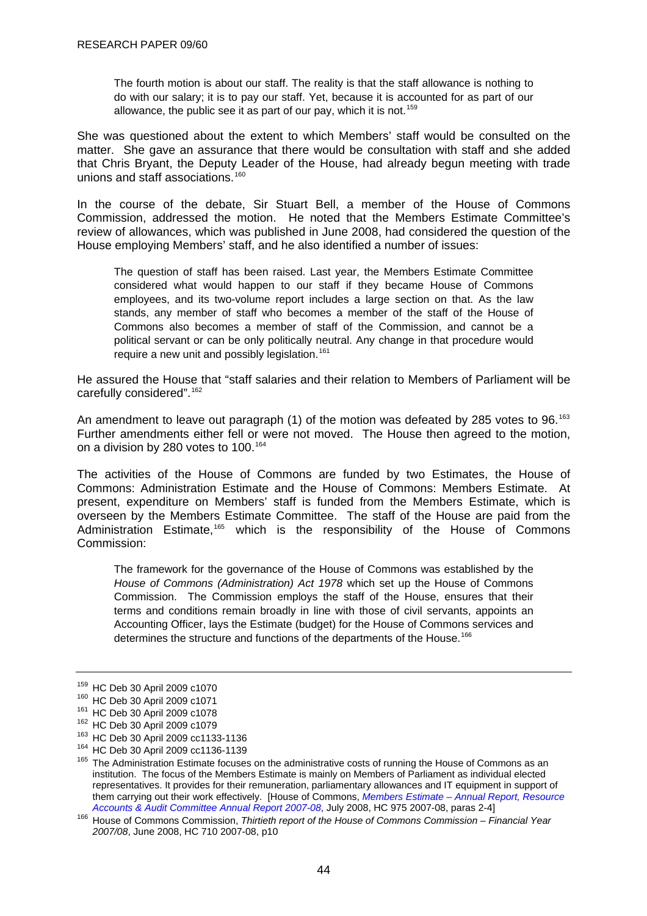<span id="page-47-0"></span>The fourth motion is about our staff. The reality is that the staff allowance is nothing to do with our salary; it is to pay our staff. Yet, because it is accounted for as part of our allowance, the public see it as part of our pay, which it is not.<sup>[159](#page-47-0)</sup>

She was questioned about the extent to which Members' staff would be consulted on the matter. She gave an assurance that there would be consultation with staff and she added that Chris Bryant, the Deputy Leader of the House, had already begun meeting with trade unions and staff associations.<sup>[160](#page-47-0)</sup>

In the course of the debate, Sir Stuart Bell, a member of the House of Commons Commission, addressed the motion. He noted that the Members Estimate Committee's review of allowances, which was published in June 2008, had considered the question of the House employing Members' staff, and he also identified a number of issues:

The question of staff has been raised. Last year, the Members Estimate Committee considered what would happen to our staff if they became House of Commons employees, and its two-volume report includes a large section on that. As the law stands, any member of staff who becomes a member of the staff of the House of Commons also becomes a member of staff of the Commission, and cannot be a political servant or can be only politically neutral. Any change in that procedure would require a new unit and possibly legislation.<sup>[161](#page-47-0)</sup>

He assured the House that "staff salaries and their relation to Members of Parliament will be carefully considered".<sup>[162](#page-47-0)</sup>

An amendment to leave out paragraph (1) of the motion was defeated by 285 votes to 96.<sup>[163](#page-47-0)</sup> Further amendments either fell or were not moved. The House then agreed to the motion, on a division by 280 votes to 100.<sup>[164](#page-47-0)</sup>

The activities of the House of Commons are funded by two Estimates, the House of Commons: Administration Estimate and the House of Commons: Members Estimate. At present, expenditure on Members' staff is funded from the Members Estimate, which is overseen by the Members Estimate Committee. The staff of the House are paid from the Administration Estimate,<sup>[165](#page-47-0)</sup> which is the responsibility of the House of Commons Commission:

Accounting Officer, lays the Estimate (budget) for the House of Commons services and determines the structure and functions of the departments of the House.<sup>166</sup> The framework for the governance of the House of Commons was established by the *House of Commons (Administration) Act 1978* which set up the House of Commons Commission. The Commission employs the staff of the House, ensures that their terms and conditions remain broadly in line with those of civil servants, appoints an

<sup>&</sup>lt;sup>159</sup> HC Deb 30 April 2009 c1070<br><sup>160</sup> HC Deb 30 April 2009 c1071<br><sup>161</sup> HC Deb 30 April 2009 c1078<br><sup>162</sup> HC Deb 30 April 2009 c1079<br><sup>163</sup> HC Deb 30 April 2009 cc1133-1136<br><sup>164</sup> HC Deb 30 April 2009 cc1136-1139<br><sup>165</sup> The A institution. The focus of the Members Estimate is mainly on Members of Parliament as individual elected representatives. It provides for their remuneration, parliamentary allowances and IT equipment in support of them carrying out their work effectively. [House of Commons, *[Members Estimate – Annual Report, Resource](http://www.publications.parliament.uk/pa/cm/cmresource/975.pdf)* 

*Accounts & Audit Committee Annual Report 2007-08*, July 2008, HC 975 2007-08, paras 2-4] 166 House of Commons Commission, *Thirtieth report of the House of Commons Commission – Financial Year 2007/08*, June 2008, HC 710 2007-08, p10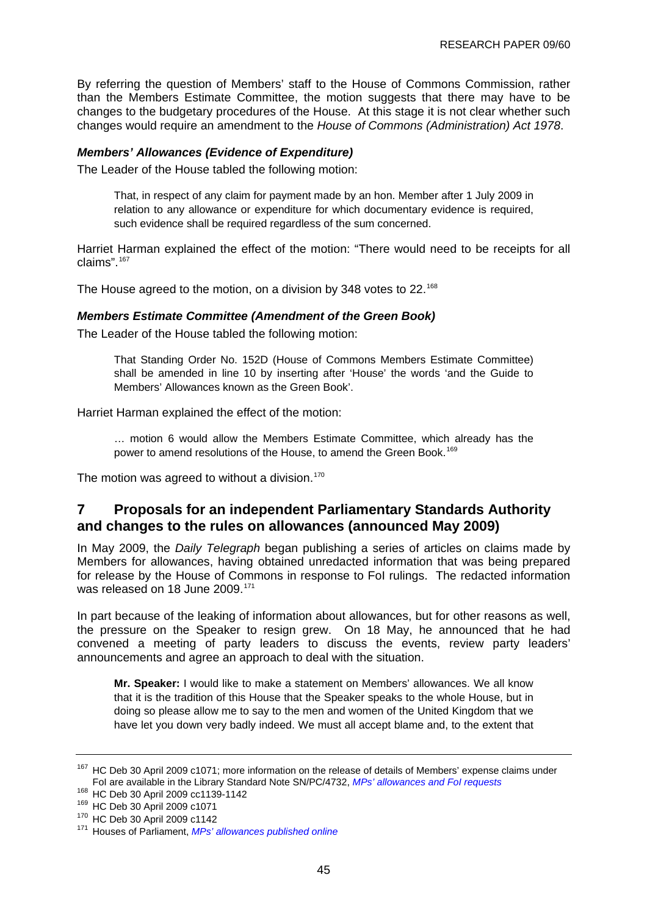<span id="page-48-0"></span>By referring the question of Members' staff to the House of Commons Commission, rather than the Members Estimate Committee, the motion suggests that there may have to be changes to the budgetary procedures of the House. At this stage it is not clear whether such changes would require an amendment to the *House of Commons (Administration) Act 1978*.

## *Members' Allowances (Evidence of Expenditure)*

The Leader of the House tabled the following motion:

That, in respect of any claim for payment made by an hon. Member after 1 July 2009 in relation to any allowance or expenditure for which documentary evidence is required, such evidence shall be required regardless of the sum concerned.

Harriet Harman explained the effect of the motion: "There would need to be receipts for all claims".[167](#page-48-0)

The House agreed to the motion, on a division by 348 votes to 22.<sup>[168](#page-48-0)</sup>

#### *Members Estimate Committee (Amendment of the Green Book)*

The Leader of the House tabled the following motion:

That Standing Order No. 152D (House of Commons Members Estimate Committee) shall be amended in line 10 by inserting after 'House' the words 'and the Guide to Members' Allowances known as the Green Book'.

Harriet Harman explained the effect of the motion:

… motion 6 would allow the Members Estimate Committee, which already has the power to amend resolutions of the House, to amend the Green Book.<sup>[169](#page-48-0)</sup>

The motion was agreed to without a division. $170$ 

# **7 Proposals for an independent Parliamentary Standards Authority and changes to the rules on allowances (announced May 2009)**

In May 2009, the *Daily Telegraph* began publishing a series of articles on claims made by Members for allowances, having obtained unredacted information that was being prepared for release by the House of Commons in response to FoI rulings. The redacted information was released on 18 June 2009.<sup>[171](#page-48-0)</sup>

In part because of the leaking of information about allowances, but for other reasons as well, the pressure on the Speaker to resign grew. On 18 May, he announced that he had convened a meeting of party leaders to discuss the events, review party leaders' announcements and agree an approach to deal with the situation.

**Mr. Speaker:** I would like to make a statement on Members' allowances. We all know that it is the tradition of this House that the Speaker speaks to the whole House, but in doing so please allow me to say to the men and women of the United Kingdom that we have let you down very badly indeed. We must all accept blame and, to the extent that

<sup>&</sup>lt;sup>167</sup> HC Deb 30 April 2009 c1071; more information on the release of details of Members' expense claims under Folare available in the Library Standard Note SN/PC/4732, MPs' allowances and Fol requests<br><sup>168</sup> HC Deb 30 April 2009 cc1139-1142<br><sup>169</sup> HC Deb 30 April 2009 c1071<br><sup>170</sup> HC Deb 30 April 2009 c1142<br><sup>171</sup> Houses of Parliamen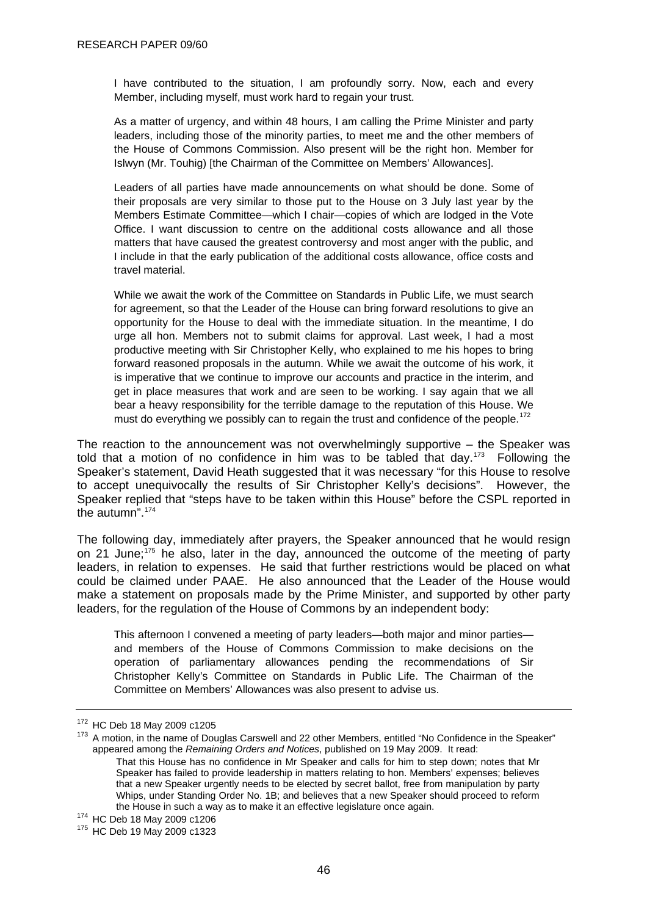<span id="page-49-0"></span>I have contributed to the situation, I am profoundly sorry. Now, each and every Member, including myself, must work hard to regain your trust.

As a matter of urgency, and within 48 hours, I am calling the Prime Minister and party leaders, including those of the minority parties, to meet me and the other members of the House of Commons Commission. Also present will be the right hon. Member for Islwyn (Mr. Touhig) [the Chairman of the Committee on Members' Allowances].

Leaders of all parties have made announcements on what should be done. Some of their proposals are very similar to those put to the House on 3 July last year by the Members Estimate Committee—which I chair—copies of which are lodged in the Vote Office. I want discussion to centre on the additional costs allowance and all those matters that have caused the greatest controversy and most anger with the public, and I include in that the early publication of the additional costs allowance, office costs and travel material.

While we await the work of the Committee on Standards in Public Life, we must search for agreement, so that the Leader of the House can bring forward resolutions to give an opportunity for the House to deal with the immediate situation. In the meantime, I do urge all hon. Members not to submit claims for approval. Last week, I had a most productive meeting with Sir Christopher Kelly, who explained to me his hopes to bring forward reasoned proposals in the autumn. While we await the outcome of his work, it is imperative that we continue to improve our accounts and practice in the interim, and get in place measures that work and are seen to be working. I say again that we all bear a heavy responsibility for the terrible damage to the reputation of this House. We must do everything we possibly can to regain the trust and confidence of the people.<sup>[172](#page-49-0)</sup>

The reaction to the announcement was not overwhelmingly supportive – the Speaker was told that a motion of no confidence in him was to be tabled that day.<sup>[173](#page-49-0)</sup> Following the Speaker's statement, David Heath suggested that it was necessary "for this House to resolve to accept unequivocally the results of Sir Christopher Kelly's decisions". However, the Speaker replied that "steps have to be taken within this House" before the CSPL reported in the autumn".[174](#page-49-0)

The following day, immediately after prayers, the Speaker announced that he would resign on 21 June;  $175$  he also, later in the day, announced the outcome of the meeting of party leaders, in relation to expenses. He said that further restrictions would be placed on what could be claimed under PAAE. He also announced that the Leader of the House would make a statement on proposals made by the Prime Minister, and supported by other party leaders, for the regulation of the House of Commons by an independent body:

This afternoon I convened a meeting of party leaders—both major and minor parties and members of the House of Commons Commission to make decisions on the operation of parliamentary allowances pending the recommendations of Sir Christopher Kelly's Committee on Standards in Public Life. The Chairman of the Committee on Members' Allowances was also present to advise us.

 $172$  HC Deb 18 May 2009 c1205<br> $173$  A motion, in the name of Douglas Carswell and 22 other Members, entitled "No Confidence in the Speaker" appeared among the *Remaining Orders and Notices*, published on 19 May 2009. It read:

That this House has no confidence in Mr Speaker and calls for him to step down; notes that Mr Speaker has failed to provide leadership in matters relating to hon. Members' expenses; believes that a new Speaker urgently needs to be elected by secret ballot, free from manipulation by party Whips, under Standing Order No. 1B; and believes that a new Speaker should proceed to reform the House in such a way as to make it an effective legislature once again.<br><sup>174</sup> HC Deb 18 May 2009 c1206<br><sup>175</sup> HC Deb 19 May 2009 c1323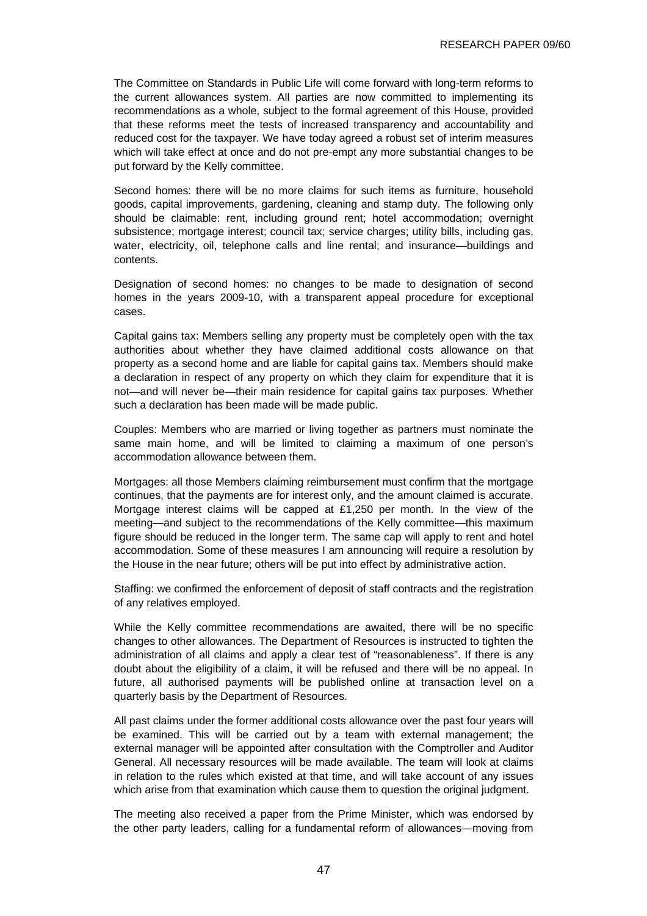The Committee on Standards in Public Life will come forward with long-term reforms to the current allowances system. All parties are now committed to implementing its recommendations as a whole, subject to the formal agreement of this House, provided that these reforms meet the tests of increased transparency and accountability and reduced cost for the taxpayer. We have today agreed a robust set of interim measures which will take effect at once and do not pre-empt any more substantial changes to be put forward by the Kelly committee.

Second homes: there will be no more claims for such items as furniture, household goods, capital improvements, gardening, cleaning and stamp duty. The following only should be claimable: rent, including ground rent; hotel accommodation; overnight subsistence; mortgage interest; council tax; service charges; utility bills, including gas, water, electricity, oil, telephone calls and line rental; and insurance—buildings and contents.

Designation of second homes: no changes to be made to designation of second homes in the years 2009-10, with a transparent appeal procedure for exceptional cases.

Capital gains tax: Members selling any property must be completely open with the tax authorities about whether they have claimed additional costs allowance on that property as a second home and are liable for capital gains tax. Members should make a declaration in respect of any property on which they claim for expenditure that it is not—and will never be—their main residence for capital gains tax purposes. Whether such a declaration has been made will be made public.

Couples: Members who are married or living together as partners must nominate the same main home, and will be limited to claiming a maximum of one person's accommodation allowance between them.

Mortgages: all those Members claiming reimbursement must confirm that the mortgage continues, that the payments are for interest only, and the amount claimed is accurate. Mortgage interest claims will be capped at £1,250 per month. In the view of the meeting—and subject to the recommendations of the Kelly committee—this maximum figure should be reduced in the longer term. The same cap will apply to rent and hotel accommodation. Some of these measures I am announcing will require a resolution by the House in the near future; others will be put into effect by administrative action.

Staffing: we confirmed the enforcement of deposit of staff contracts and the registration of any relatives employed.

While the Kelly committee recommendations are awaited, there will be no specific changes to other allowances. The Department of Resources is instructed to tighten the administration of all claims and apply a clear test of "reasonableness". If there is any doubt about the eligibility of a claim, it will be refused and there will be no appeal. In future, all authorised payments will be published online at transaction level on a quarterly basis by the Department of Resources.

All past claims under the former additional costs allowance over the past four years will be examined. This will be carried out by a team with external management; the external manager will be appointed after consultation with the Comptroller and Auditor General. All necessary resources will be made available. The team will look at claims in relation to the rules which existed at that time, and will take account of any issues which arise from that examination which cause them to question the original judgment.

The meeting also received a paper from the Prime Minister, which was endorsed by the other party leaders, calling for a fundamental reform of allowances—moving from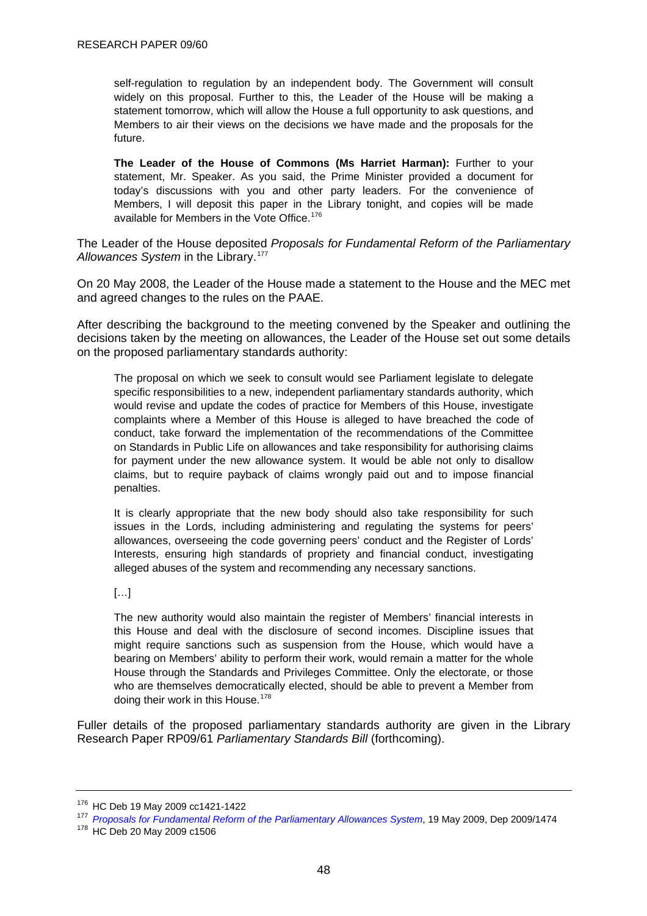<span id="page-51-0"></span>self-regulation to regulation by an independent body. The Government will consult widely on this proposal. Further to this, the Leader of the House will be making a statement tomorrow, which will allow the House a full opportunity to ask questions, and Members to air their views on the decisions we have made and the proposals for the future.

**The Leader of the House of Commons (Ms Harriet Harman):** Further to your statement, Mr. Speaker. As you said, the Prime Minister provided a document for today's discussions with you and other party leaders. For the convenience of Members, I will deposit this paper in the Library tonight, and copies will be made available for Members in the Vote Office.<sup>[176](#page-51-0)</sup>

The Leader of the House deposited *Proposals for Fundamental Reform of the Parliamentary Allowances System* in the Library.[177](#page-51-0)

On 20 May 2008, the Leader of the House made a statement to the House and the MEC met and agreed changes to the rules on the PAAE.

After describing the background to the meeting convened by the Speaker and outlining the decisions taken by the meeting on allowances, the Leader of the House set out some details on the proposed parliamentary standards authority:

The proposal on which we seek to consult would see Parliament legislate to delegate specific responsibilities to a new, independent parliamentary standards authority, which would revise and update the codes of practice for Members of this House, investigate complaints where a Member of this House is alleged to have breached the code of conduct, take forward the implementation of the recommendations of the Committee on Standards in Public Life on allowances and take responsibility for authorising claims for payment under the new allowance system. It would be able not only to disallow claims, but to require payback of claims wrongly paid out and to impose financial penalties.

It is clearly appropriate that the new body should also take responsibility for such issues in the Lords, including administering and regulating the systems for peers' allowances, overseeing the code governing peers' conduct and the Register of Lords' Interests, ensuring high standards of propriety and financial conduct, investigating alleged abuses of the system and recommending any necessary sanctions.

 $[\ldots]$ 

The new authority would also maintain the register of Members' financial interests in this House and deal with the disclosure of second incomes. Discipline issues that might require sanctions such as suspension from the House, which would have a bearing on Members' ability to perform their work, would remain a matter for the whole House through the Standards and Privileges Committee. Only the electorate, or those who are themselves democratically elected, should be able to prevent a Member from doing their work in this House.<sup>[178](#page-51-0)</sup>

Fuller details of the proposed parliamentary standards authority are given in the Library Research Paper RP09/61 *Parliamentary Standards Bill* (forthcoming).

<sup>&</sup>lt;sup>176</sup> HC Deb 19 May 2009 cc1421-1422<br><sup>177</sup> *Proposals for Fundamental Reform of the Parliamentary Allowances System*[,](http://www.parliament.uk/deposits/depositedpapers/2009/DEP2009-1474.doc) 19 May 2009, Dep 2009/1474<br><sup>178</sup> HC Deb 20 May 2009 c1506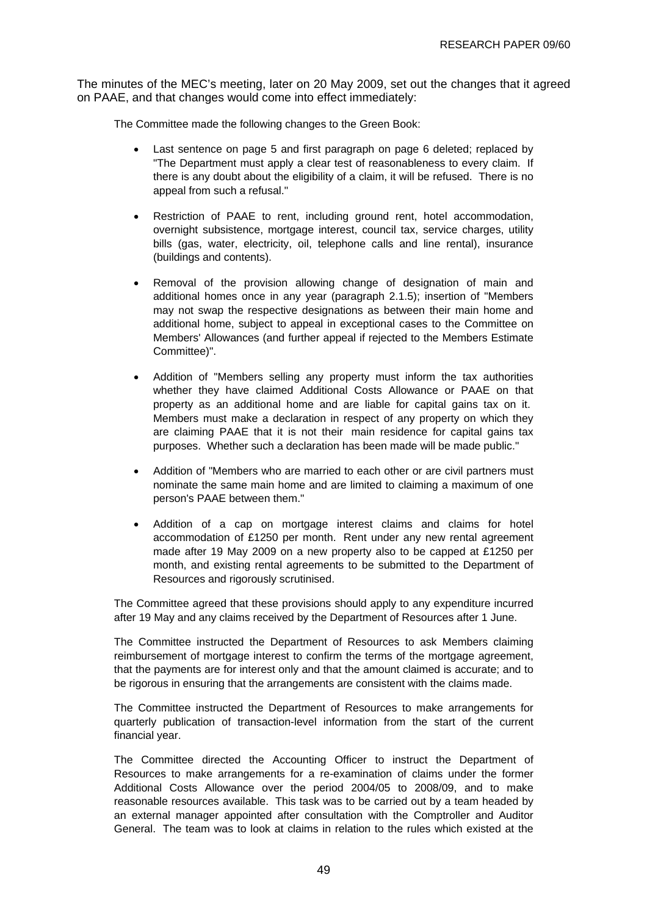The minutes of the MEC's meeting, later on 20 May 2009, set out the changes that it agreed on PAAE, and that changes would come into effect immediately:

The Committee made the following changes to the Green Book:

- Last sentence on page 5 and first paragraph on page 6 deleted; replaced by "The Department must apply a clear test of reasonableness to every claim. If there is any doubt about the eligibility of a claim, it will be refused. There is no appeal from such a refusal."
- Restriction of PAAE to rent, including ground rent, hotel accommodation, overnight subsistence, mortgage interest, council tax, service charges, utility bills (gas, water, electricity, oil, telephone calls and line rental), insurance (buildings and contents).
- Removal of the provision allowing change of designation of main and additional homes once in any year (paragraph 2.1.5); insertion of "Members may not swap the respective designations as between their main home and additional home, subject to appeal in exceptional cases to the Committee on Members' Allowances (and further appeal if rejected to the Members Estimate Committee)".
- Addition of "Members selling any property must inform the tax authorities whether they have claimed Additional Costs Allowance or PAAE on that property as an additional home and are liable for capital gains tax on it. Members must make a declaration in respect of any property on which they are claiming PAAE that it is not their main residence for capital gains tax purposes. Whether such a declaration has been made will be made public."
- Addition of "Members who are married to each other or are civil partners must nominate the same main home and are limited to claiming a maximum of one person's PAAE between them."
- Addition of a cap on mortgage interest claims and claims for hotel accommodation of £1250 per month. Rent under any new rental agreement made after 19 May 2009 on a new property also to be capped at £1250 per month, and existing rental agreements to be submitted to the Department of Resources and rigorously scrutinised.

The Committee agreed that these provisions should apply to any expenditure incurred after 19 May and any claims received by the Department of Resources after 1 June.

The Committee instructed the Department of Resources to ask Members claiming reimbursement of mortgage interest to confirm the terms of the mortgage agreement, that the payments are for interest only and that the amount claimed is accurate; and to be rigorous in ensuring that the arrangements are consistent with the claims made.

The Committee instructed the Department of Resources to make arrangements for quarterly publication of transaction-level information from the start of the current financial year.

The Committee directed the Accounting Officer to instruct the Department of Resources to make arrangements for a re-examination of claims under the former Additional Costs Allowance over the period 2004/05 to 2008/09, and to make reasonable resources available. This task was to be carried out by a team headed by an external manager appointed after consultation with the Comptroller and Auditor General. The team was to look at claims in relation to the rules which existed at the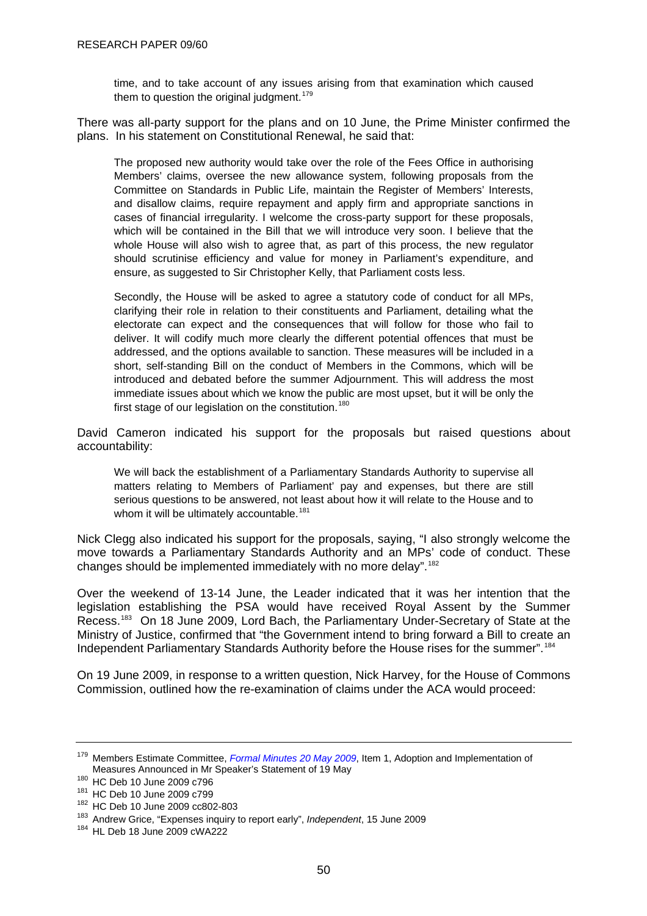<span id="page-53-0"></span>time, and to take account of any issues arising from that examination which caused them to question the original judgment.<sup>[179](#page-53-0)</sup>

There was all-party support for the plans and on 10 June, the Prime Minister confirmed the plans. In his statement on Constitutional Renewal, he said that:

The proposed new authority would take over the role of the Fees Office in authorising Members' claims, oversee the new allowance system, following proposals from the Committee on Standards in Public Life, maintain the Register of Members' Interests, and disallow claims, require repayment and apply firm and appropriate sanctions in cases of financial irregularity. I welcome the cross-party support for these proposals, which will be contained in the Bill that we will introduce very soon. I believe that the whole House will also wish to agree that, as part of this process, the new regulator should scrutinise efficiency and value for money in Parliament's expenditure, and ensure, as suggested to Sir Christopher Kelly, that Parliament costs less.

Secondly, the House will be asked to agree a statutory code of conduct for all MPs, clarifying their role in relation to their constituents and Parliament, detailing what the electorate can expect and the consequences that will follow for those who fail to deliver. It will codify much more clearly the different potential offences that must be addressed, and the options available to sanction. These measures will be included in a short, self-standing Bill on the conduct of Members in the Commons, which will be introduced and debated before the summer Adjournment. This will address the most immediate issues about which we know the public are most upset, but it will be only the first stage of our legislation on the constitution.<sup>[180](#page-53-0)</sup>

David Cameron indicated his support for the proposals but raised questions about accountability:

We will back the establishment of a Parliamentary Standards Authority to supervise all matters relating to Members of Parliament' pay and expenses, but there are still serious questions to be answered, not least about how it will relate to the House and to whom it will be ultimately accountable.<sup>[181](#page-53-0)</sup>

Nick Clegg also indicated his support for the proposals, saying, "I also strongly welcome the move towards a Parliamentary Standards Authority and an MPs' code of conduct. These changes should be implemented immediately with no more delay".<sup>[182](#page-53-0)</sup>

Over the weekend of 13-14 June, the Leader indicated that it was her intention that the legislation establishing the PSA would have received Royal Assent by the Summer Recess.<sup>[183](#page-53-0)</sup> On 18 June 2009, Lord Bach, the Parliamentary Under-Secretary of State at the Ministry of Justice, confirmed that "the Government intend to bring forward a Bill to create an Independent Parliamentary Standards Authority before the House rises for the summer".<sup>[184](#page-53-0)</sup>

On 19 June 2009, in response to a written question, Nick Harvey, for the House of Commons Commission, outlined how the re-examination of claims under the ACA would proceed:

<sup>179</sup> Members Estimate Committee, *[Formal Minutes 20 May 2009](http://www.parliament.uk/parliamentary_committees/mec/mecfm200509.cfm)*, Item 1, Adoption and Implementation of Measures Announced in Mr Speaker's Statement of 19 May<br><sup>180</sup> HC Deb 10 June 2009 c796<br><sup>181</sup> HC Deb 10 June 2009 c799<br><sup>182</sup> HC Deb 10 June 2009 cc802-803<br><sup>183</sup> Andrew Grice, "Expenses inquiry to report early", *Independent*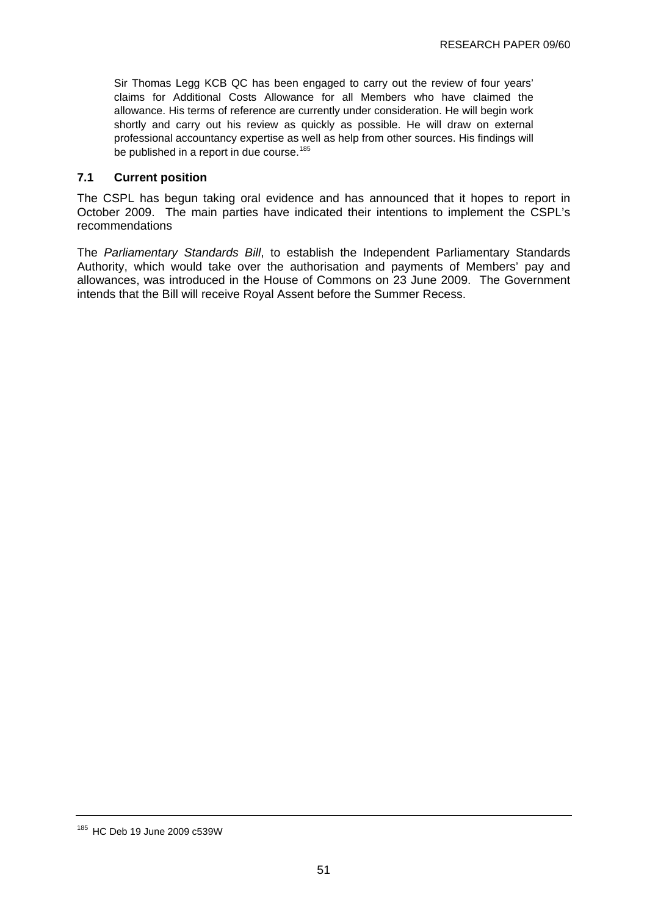<span id="page-54-0"></span>Sir Thomas Legg KCB QC has been engaged to carry out the review of four years' claims for Additional Costs Allowance for all Members who have claimed the allowance. His terms of reference are currently under consideration. He will begin work shortly and carry out his review as quickly as possible. He will draw on external professional accountancy expertise as well as help from other sources. His findings will be published in a report in due course.<sup>[185](#page-54-0)</sup>

## **7.1 Current position**

The CSPL has begun taking oral evidence and has announced that it hopes to report in October 2009. The main parties have indicated their intentions to implement the CSPL's recommendations

The *Parliamentary Standards Bill*, to establish the Independent Parliamentary Standards Authority, which would take over the authorisation and payments of Members' pay and allowances, was introduced in the House of Commons on 23 June 2009. The Government intends that the Bill will receive Royal Assent before the Summer Recess.

<sup>185</sup> HC Deb 19 June 2009 c539W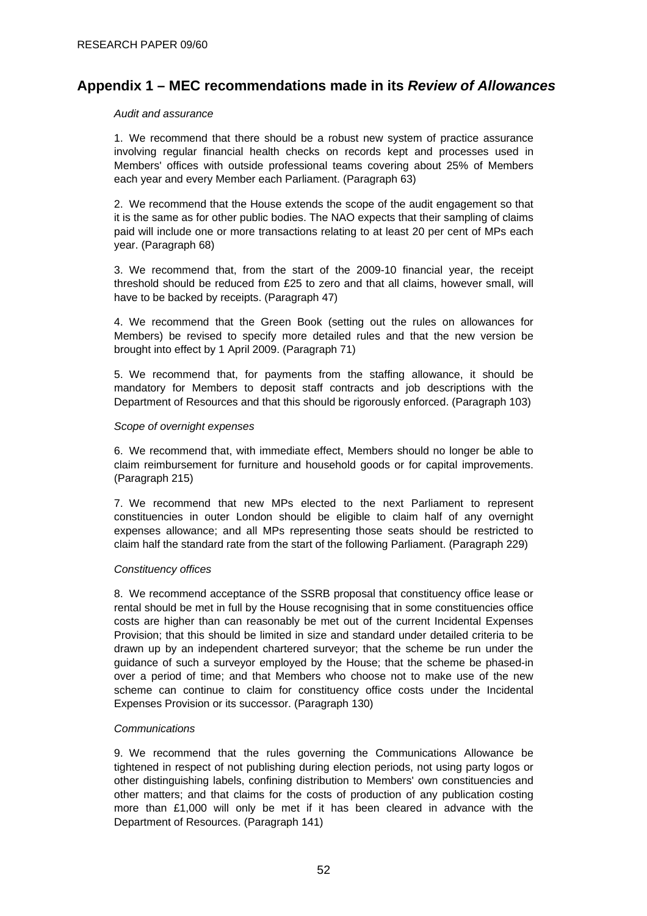# <span id="page-55-0"></span>**Appendix 1 – MEC recommendations made in its** *Review of Allowances*

#### *Audit and assurance*

1. We recommend that there should be a robust new system of practice assurance involving regular financial health checks on records kept and processes used in Members' offices with outside professional teams covering about 25% of Members each year and every Member each Parliament. (Paragraph 63)

2. We recommend that the House extends the scope of the audit engagement so that it is the same as for other public bodies. The NAO expects that their sampling of claims paid will include one or more transactions relating to at least 20 per cent of MPs each year. (Paragraph 68)

3. We recommend that, from the start of the 2009-10 financial year, the receipt threshold should be reduced from £25 to zero and that all claims, however small, will have to be backed by receipts. (Paragraph 47)

4. We recommend that the Green Book (setting out the rules on allowances for Members) be revised to specify more detailed rules and that the new version be brought into effect by 1 April 2009. (Paragraph 71)

5. We recommend that, for payments from the staffing allowance, it should be mandatory for Members to deposit staff contracts and job descriptions with the Department of Resources and that this should be rigorously enforced. (Paragraph 103)

#### *Scope of overnight expenses*

6. We recommend that, with immediate effect, Members should no longer be able to claim reimbursement for furniture and household goods or for capital improvements. (Paragraph 215)

7. We recommend that new MPs elected to the next Parliament to represent constituencies in outer London should be eligible to claim half of any overnight expenses allowance; and all MPs representing those seats should be restricted to claim half the standard rate from the start of the following Parliament. (Paragraph 229)

#### *Constituency offices*

8. We recommend acceptance of the SSRB proposal that constituency office lease or rental should be met in full by the House recognising that in some constituencies office costs are higher than can reasonably be met out of the current Incidental Expenses Provision; that this should be limited in size and standard under detailed criteria to be drawn up by an independent chartered surveyor; that the scheme be run under the guidance of such a surveyor employed by the House; that the scheme be phased-in over a period of time; and that Members who choose not to make use of the new scheme can continue to claim for constituency office costs under the Incidental Expenses Provision or its successor. (Paragraph 130)

#### *Communications*

9. We recommend that the rules governing the Communications Allowance be tightened in respect of not publishing during election periods, not using party logos or other distinguishing labels, confining distribution to Members' own constituencies and other matters; and that claims for the costs of production of any publication costing more than £1,000 will only be met if it has been cleared in advance with the Department of Resources. (Paragraph 141)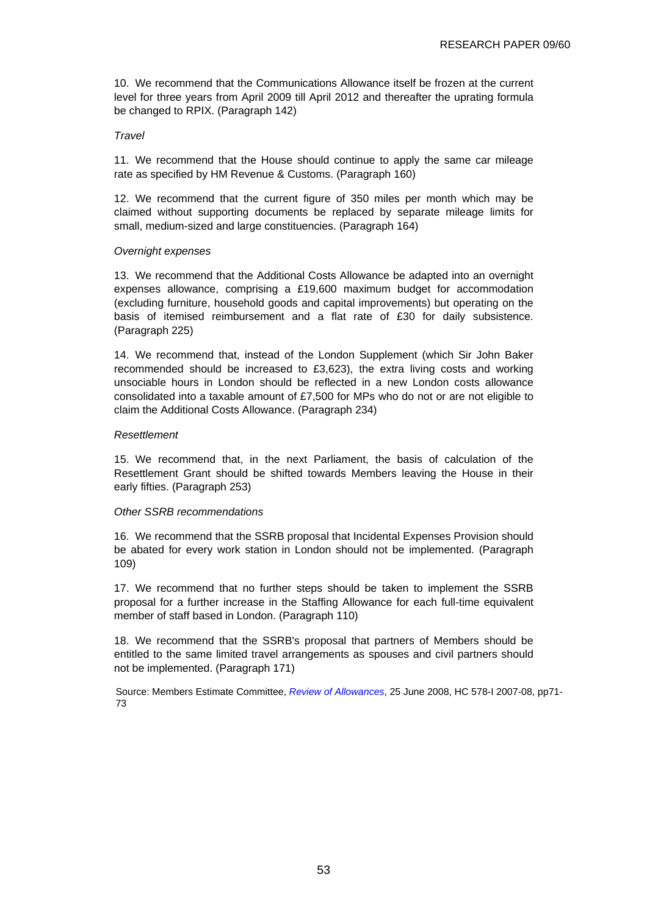10. We recommend that the Communications Allowance itself be frozen at the current level for three years from April 2009 till April 2012 and thereafter the uprating formula be changed to RPIX. (Paragraph 142)

#### *Travel*

11. We recommend that the House should continue to apply the same car mileage rate as specified by HM Revenue & Customs. (Paragraph 160)

12. We recommend that the current figure of 350 miles per month which may be claimed without supporting documents be replaced by separate mileage limits for small, medium-sized and large constituencies. (Paragraph 164)

#### *Overnight expenses*

13. We recommend that the Additional Costs Allowance be adapted into an overnight expenses allowance, comprising a £19,600 maximum budget for accommodation (excluding furniture, household goods and capital improvements) but operating on the basis of itemised reimbursement and a flat rate of £30 for daily subsistence. (Paragraph 225)

14. We recommend that, instead of the London Supplement (which Sir John Baker recommended should be increased to £3,623), the extra living costs and working unsociable hours in London should be reflected in a new London costs allowance consolidated into a taxable amount of £7,500 for MPs who do not or are not eligible to claim the Additional Costs Allowance. (Paragraph 234)

#### *Resettlement*

15. We recommend that, in the next Parliament, the basis of calculation of the Resettlement Grant should be shifted towards Members leaving the House in their early fifties. (Paragraph 253)

#### *Other SSRB recommendations*

16. We recommend that the SSRB proposal that Incidental Expenses Provision should be abated for every work station in London should not be implemented. (Paragraph 109)

17. We recommend that no further steps should be taken to implement the SSRB proposal for a further increase in the Staffing Allowance for each full-time equivalent member of staff based in London. (Paragraph 110)

18. We recommend that the SSRB's proposal that partners of Members should be entitled to the same limited travel arrangements as spouses and civil partners should not be implemented. (Paragraph 171)

Source: Members Estimate Committee, *[Review of Allowances](http://www.publications.parliament.uk/pa/cm200708/cmselect/cmmemest/578/578i.pdf)*, 25 June 2008, HC 578-I 2007-08, pp71- 73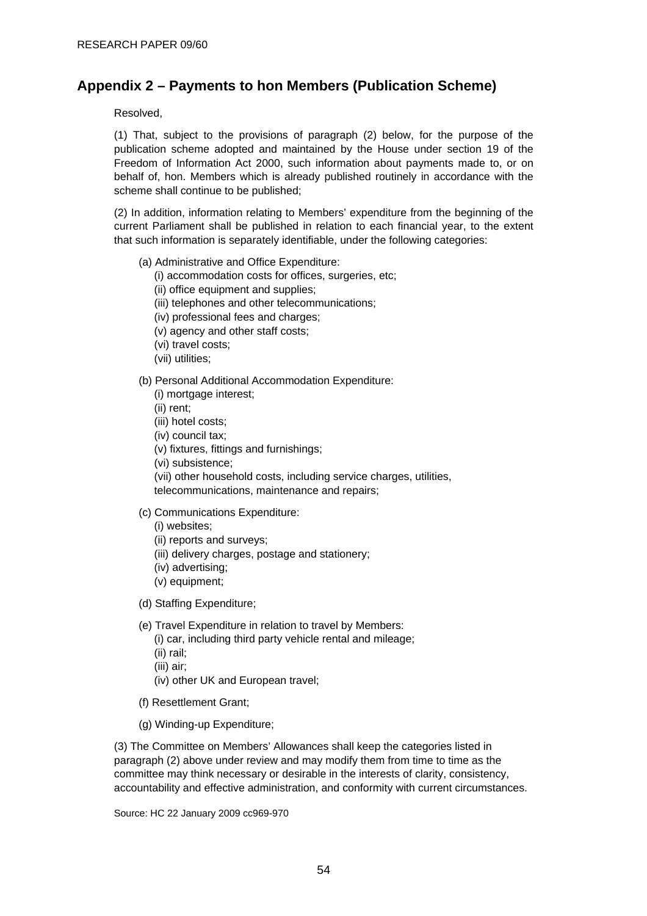# <span id="page-57-0"></span>**Appendix 2 – Payments to hon Members (Publication Scheme)**

Resolved,

(1) That, subject to the provisions of paragraph (2) below, for the purpose of the publication scheme adopted and maintained by the House under section 19 of the Freedom of Information Act 2000, such information about payments made to, or on behalf of, hon. Members which is already published routinely in accordance with the scheme shall continue to be published;

(2) In addition, information relating to Members' expenditure from the beginning of the current Parliament shall be published in relation to each financial year, to the extent that such information is separately identifiable, under the following categories:

- (a) Administrative and Office Expenditure:
	- (i) accommodation costs for offices, surgeries, etc;
	- (ii) office equipment and supplies;
	- (iii) telephones and other telecommunications;
	- (iv) professional fees and charges;
	- (v) agency and other staff costs;
	- (vi) travel costs;
	- (vii) utilities;

(b) Personal Additional Accommodation Expenditure:

- (i) mortgage interest;
- (ii) rent;
- (iii) hotel costs;
- (iv) council tax;
- (v) fixtures, fittings and furnishings;
- (vi) subsistence;

(vii) other household costs, including service charges, utilities,

# telecommunications, maintenance and repairs;

#### (c) Communications Expenditure:

- (i) websites;
- (ii) reports and surveys;
- (iii) delivery charges, postage and stationery;
- (iv) advertising;
- (v) equipment;
- (d) Staffing Expenditure;
- (e) Travel Expenditure in relation to travel by Members:

(i) car, including third party vehicle rental and mileage;

- (ii) rail;
- (iii) air;
- (iv) other UK and European travel;
- (f) Resettlement Grant;
- (g) Winding-up Expenditure;

(3) The Committee on Members' Allowances shall keep the categories listed in paragraph (2) above under review and may modify them from time to time as the committee may think necessary or desirable in the interests of clarity, consistency, accountability and effective administration, and conformity with current circumstances.

Source: HC 22 January 2009 cc969-970